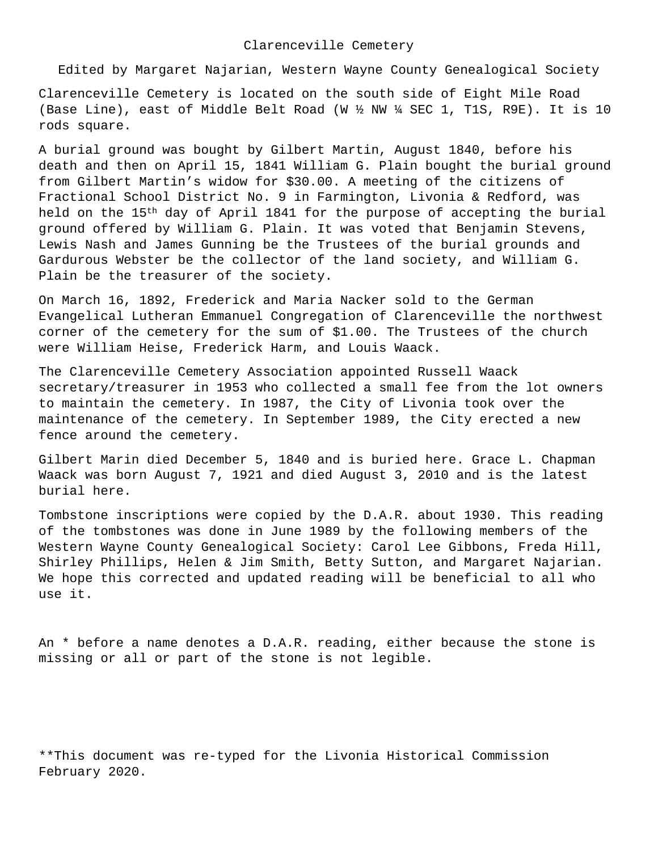Edited by Margaret Najarian, Western Wayne County Genealogical Society

Clarenceville Cemetery is located on the south side of Eight Mile Road (Base Line), east of Middle Belt Road (W ½ NW ¼ SEC 1, T1S, R9E). It is 10 rods square.

A burial ground was bought by Gilbert Martin, August 1840, before his death and then on April 15, 1841 William G. Plain bought the burial ground from Gilbert Martin's widow for \$30.00. A meeting of the citizens of Fractional School District No. 9 in Farmington, Livonia & Redford, was held on the 15<sup>th</sup> day of April 1841 for the purpose of accepting the burial ground offered by William G. Plain. It was voted that Benjamin Stevens, Lewis Nash and James Gunning be the Trustees of the burial grounds and Gardurous Webster be the collector of the land society, and William G. Plain be the treasurer of the society.

On March 16, 1892, Frederick and Maria Nacker sold to the German Evangelical Lutheran Emmanuel Congregation of Clarenceville the northwest corner of the cemetery for the sum of \$1.00. The Trustees of the church were William Heise, Frederick Harm, and Louis Waack.

The Clarenceville Cemetery Association appointed Russell Waack secretary/treasurer in 1953 who collected a small fee from the lot owners to maintain the cemetery. In 1987, the City of Livonia took over the maintenance of the cemetery. In September 1989, the City erected a new fence around the cemetery.

Gilbert Marin died December 5, 1840 and is buried here. Grace L. Chapman Waack was born August 7, 1921 and died August 3, 2010 and is the latest burial here.

Tombstone inscriptions were copied by the D.A.R. about 1930. This reading of the tombstones was done in June 1989 by the following members of the Western Wayne County Genealogical Society: Carol Lee Gibbons, Freda Hill, Shirley Phillips, Helen & Jim Smith, Betty Sutton, and Margaret Najarian. We hope this corrected and updated reading will be beneficial to all who use it.

An \* before a name denotes a D.A.R. reading, either because the stone is missing or all or part of the stone is not legible.

\*\*This document was re-typed for the Livonia Historical Commission February 2020.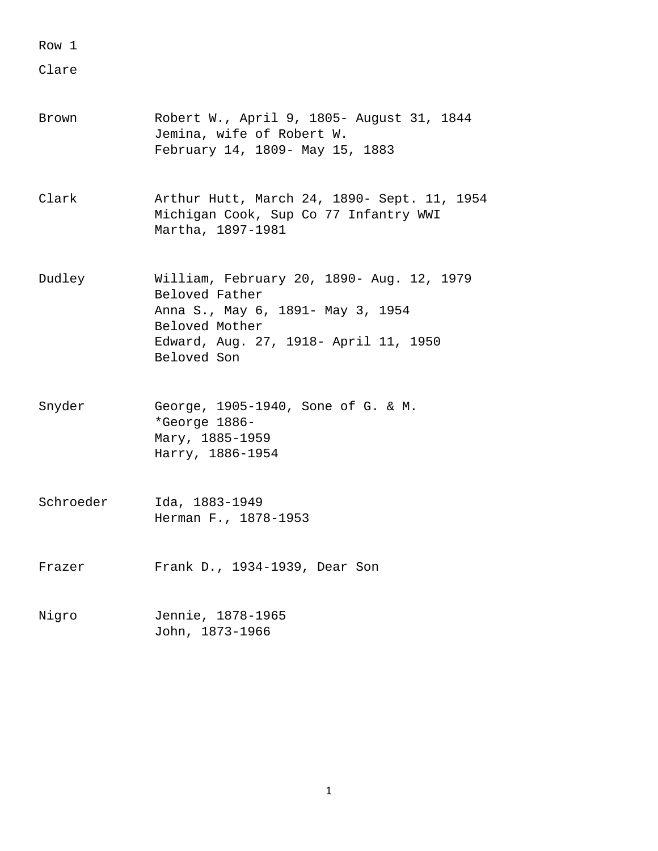Clare

- Brown Robert W., April 9, 1805- August 31, 1844 Jemina, wife of Robert W. February 14, 1809- May 15, 1883
- Clark Arthur Hutt, March 24, 1890- Sept. 11, 1954 Michigan Cook, Sup Co 77 Infantry WWI Martha, 1897-1981
- Dudley William, February 20, 1890- Aug. 12, 1979 Beloved Father Anna S., May 6, 1891- May 3, 1954 Beloved Mother Edward, Aug. 27, 1918- April 11, 1950 Beloved Son
- Snyder George, 1905-1940, Sone of G. & M. \*George 1886- Mary, 1885-1959 Harry, 1886-1954
- Schroeder Ida, 1883-1949 Herman F., 1878-1953
- Frazer Frank D., 1934-1939, Dear Son
- Nigro Jennie, 1878-1965 John, 1873-1966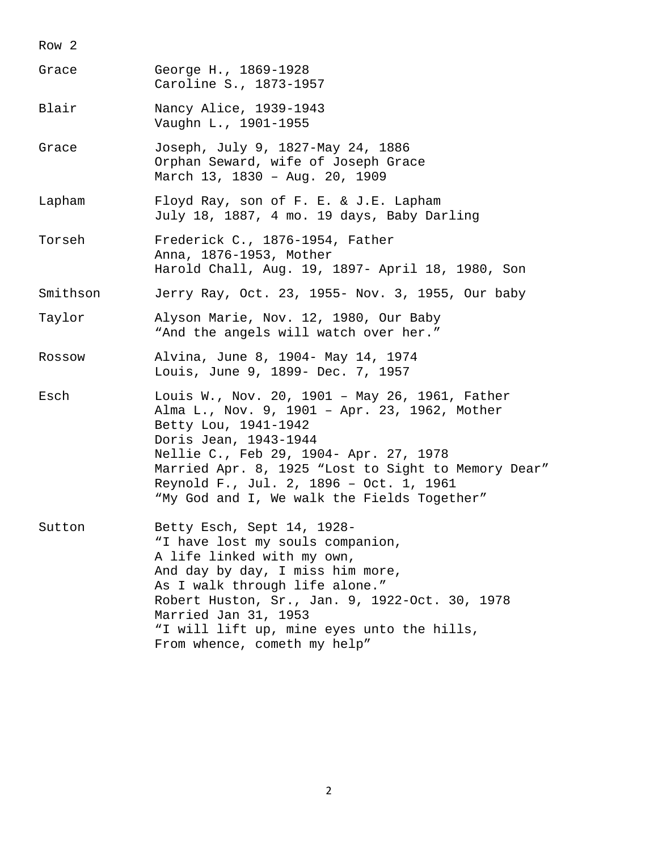Row 2 Grace George H., 1869-1928 Caroline S., 1873-1957 Blair Nancy Alice, 1939-1943 Vaughn L., 1901-1955 Grace Joseph, July 9, 1827-May 24, 1886 Orphan Seward, wife of Joseph Grace March 13, 1830 – Aug. 20, 1909 Lapham Floyd Ray, son of F. E. & J.E. Lapham July 18, 1887, 4 mo. 19 days, Baby Darling Torseh Frederick C., 1876-1954, Father Anna, 1876-1953, Mother Harold Chall, Aug. 19, 1897- April 18, 1980, Son Smithson Jerry Ray, Oct. 23, 1955- Nov. 3, 1955, Our baby Taylor Alyson Marie, Nov. 12, 1980, Our Baby "And the angels will watch over her." Rossow Alvina, June 8, 1904- May 14, 1974 Louis, June 9, 1899- Dec. 7, 1957 Esch Louis W., Nov. 20, 1901 – May 26, 1961, Father Alma L., Nov. 9, 1901 – Apr. 23, 1962, Mother Betty Lou, 1941-1942 Doris Jean, 1943-1944 Nellie C., Feb 29, 1904- Apr. 27, 1978 Married Apr. 8, 1925 "Lost to Sight to Memory Dear" Reynold F., Jul. 2, 1896 – Oct. 1, 1961 "My God and I, We walk the Fields Together" Sutton Betty Esch, Sept 14, 1928- "I have lost my souls companion, A life linked with my own, And day by day, I miss him more, As I walk through life alone." Robert Huston, Sr., Jan. 9, 1922-Oct. 30, 1978 Married Jan 31, 1953 "I will lift up, mine eyes unto the hills, From whence, cometh my help"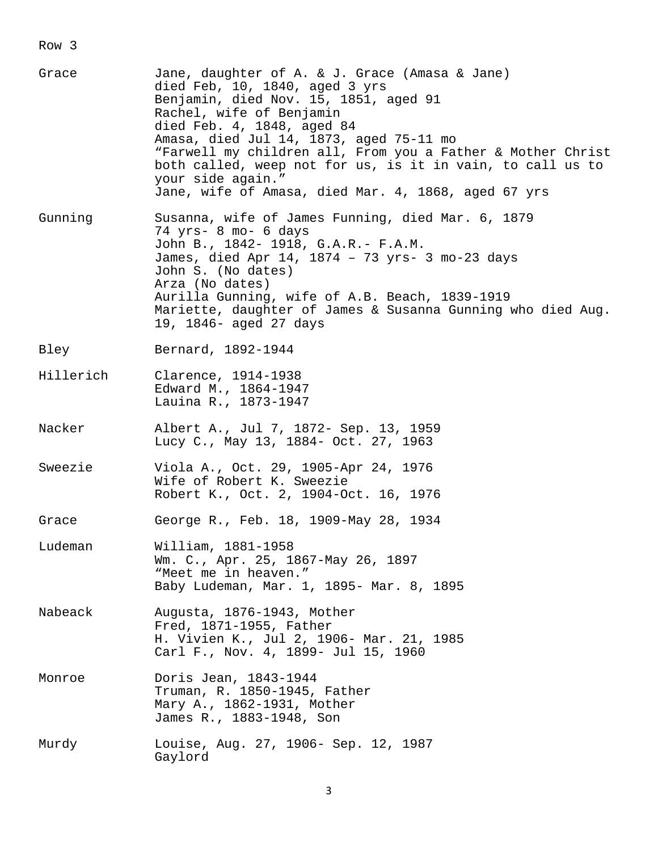| Grace     | Jane, daughter of A. & J. Grace (Amasa & Jane)<br>died Feb, 10, 1840, aged 3 yrs<br>Benjamin, died Nov. 15, 1851, aged 91<br>Rachel, wife of Benjamin<br>died Feb. 4, 1848, aged 84<br>Amasa, died Jul 14, 1873, aged 75-11 mo<br>"Farwell my children all, From you a Father & Mother Christ<br>both called, weep not for us, is it in vain, to call us to<br>your side again."<br>Jane, wife of Amasa, died Mar. 4, 1868, aged 67 yrs |
|-----------|-----------------------------------------------------------------------------------------------------------------------------------------------------------------------------------------------------------------------------------------------------------------------------------------------------------------------------------------------------------------------------------------------------------------------------------------|
| Gunning   | Susanna, wife of James Funning, died Mar. 6, 1879<br>74 yrs- 8 mo- 6 days<br>John B., 1842- 1918, G.A.R.- F.A.M.<br>James, died Apr 14, 1874 - 73 yrs- 3 mo-23 days<br>John S. (No dates)<br>Arza (No dates)<br>Aurilla Gunning, wife of A.B. Beach, 1839-1919<br>Mariette, daughter of James & Susanna Gunning who died Aug.<br>19, 1846- aged 27 days                                                                                 |
| Bley      | Bernard, 1892-1944                                                                                                                                                                                                                                                                                                                                                                                                                      |
| Hillerich | Clarence, 1914-1938<br>Edward M., 1864-1947<br>Lauina R., 1873-1947                                                                                                                                                                                                                                                                                                                                                                     |
| Nacker    | Albert A., Jul 7, 1872- Sep. 13, 1959<br>Lucy C., May 13, 1884- Oct. 27, 1963                                                                                                                                                                                                                                                                                                                                                           |
| Sweezie   | Viola A., Oct. 29, 1905-Apr 24, 1976<br>Wife of Robert K. Sweezie<br>Robert K., Oct. 2, 1904-Oct. 16, 1976                                                                                                                                                                                                                                                                                                                              |
| Grace     | George R., Feb. 18, 1909-May 28, 1934                                                                                                                                                                                                                                                                                                                                                                                                   |
| Ludeman   | William, 1881-1958<br>Wm. C., Apr. 25, 1867-May 26, 1897<br>"Meet me in heaven."<br>Baby Ludeman, Mar. 1, 1895- Mar. 8, 1895                                                                                                                                                                                                                                                                                                            |
| Nabeack   | Augusta, 1876-1943, Mother<br>Fred, 1871-1955, Father<br>H. Vivien K., Jul 2, 1906- Mar. 21, 1985<br>Carl F., Nov. 4, 1899- Jul 15, 1960                                                                                                                                                                                                                                                                                                |
| Monroe    | Doris Jean, 1843-1944<br>Truman, R. 1850-1945, Father<br>Mary A., 1862-1931, Mother<br>James R., 1883-1948, Son                                                                                                                                                                                                                                                                                                                         |
| Murdy     | Louise, Aug. 27, 1906- Sep. 12, 1987<br>Gaylord                                                                                                                                                                                                                                                                                                                                                                                         |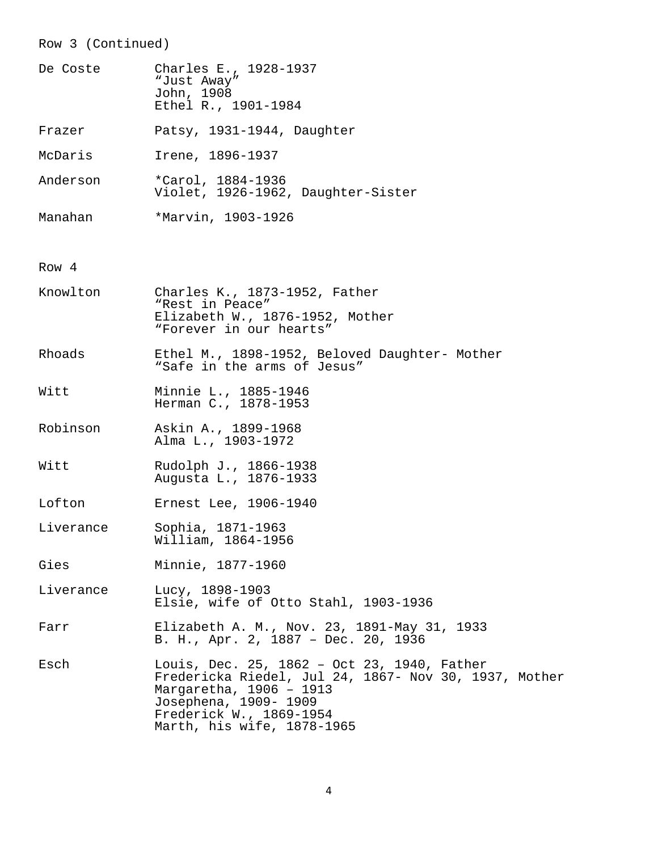# Row 3 (Continued)

| De Coste  | Charles E., 1928-1937<br>"Just Away"<br>John, 1908<br>Ethel R., 1901-1984                                                                                                                                         |
|-----------|-------------------------------------------------------------------------------------------------------------------------------------------------------------------------------------------------------------------|
| Frazer    | Patsy, 1931-1944, Daughter                                                                                                                                                                                        |
| McDaris   | Irene, 1896-1937                                                                                                                                                                                                  |
| Anderson  | *Carol, 1884-1936<br>Violet, 1926-1962, Daughter-Sister                                                                                                                                                           |
| Manahan   | *Marvin, 1903-1926                                                                                                                                                                                                |
|           |                                                                                                                                                                                                                   |
| Row 4     |                                                                                                                                                                                                                   |
| Knowlton  | Charles K., 1873-1952, Father<br>"Rest in Peace"<br>Elizabeth W., 1876-1952, Mother<br>"Forever in our hearts"                                                                                                    |
| Rhoads    | Ethel M., 1898-1952, Beloved Daughter- Mother<br>"Safe in the arms of Jesus"                                                                                                                                      |
| Witt      | Minnie L., 1885-1946<br>Herman C., 1878-1953                                                                                                                                                                      |
| Robinson  | Askin A., 1899-1968<br>Alma L., 1903-1972                                                                                                                                                                         |
| Witt      | Rudolph J., 1866-1938<br>Augusta L., 1876-1933                                                                                                                                                                    |
| Lofton    | Ernest Lee, 1906-1940                                                                                                                                                                                             |
| Liverance | Sophia, 1871-1963<br>William, 1864-1956                                                                                                                                                                           |
| Gies      | Minnie, 1877-1960                                                                                                                                                                                                 |
| Liverance | Lucy, 1898-1903<br>Elsie, wife of Otto Stahl, 1903-1936                                                                                                                                                           |
| Farr      | Elizabeth A. M., Nov. 23, 1891-May 31, 1933<br>B. H., Apr. 2, 1887 - Dec. 20, 1936                                                                                                                                |
| Esch      | Louis, Dec. 25, 1862 - Oct 23, 1940, Father<br>Fredericka Riedel, Jul 24, 1867- Nov 30, 1937, Mother<br>Margaretha, 1906 - 1913<br>Josephena, 1909- 1909<br>Frederick W., 1869-1954<br>Marth, his wife, 1878-1965 |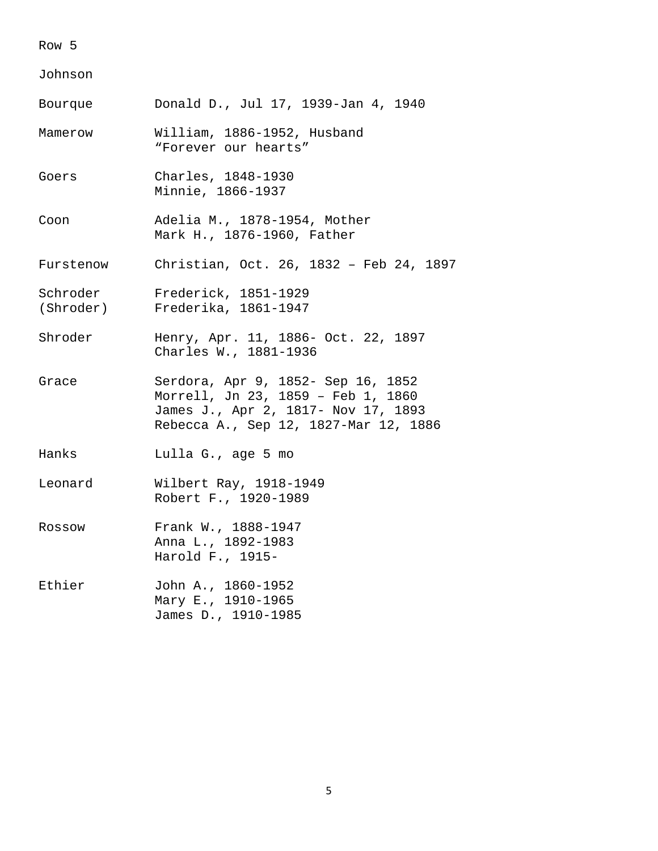#### Johnson

| Bourque   | Donald D., Jul 17, 1939-Jan 4, 1940                                                                                                                      |
|-----------|----------------------------------------------------------------------------------------------------------------------------------------------------------|
| Mamerow   | William, 1886-1952, Husband<br>"Forever our hearts"                                                                                                      |
| Goers     | Charles, 1848-1930<br>Minnie, 1866-1937                                                                                                                  |
| Coon      | Adelia M., 1878-1954, Mother<br>Mark H., 1876-1960, Father                                                                                               |
| Furstenow | Christian, Oct. 26, 1832 - Feb 24, 1897                                                                                                                  |
|           | Schroder Frederick, 1851-1929<br>(Shroder) Frederika, 1861-1947                                                                                          |
| Shroder   | Henry, Apr. 11, 1886- Oct. 22, 1897<br>Charles W., 1881-1936                                                                                             |
| Grace     | Serdora, Apr 9, 1852- Sep 16, 1852<br>Morrell, Jn 23, 1859 - Feb 1, 1860<br>James J., Apr 2, 1817- Nov 17, 1893<br>Rebecca A., Sep 12, 1827-Mar 12, 1886 |
| Hanks     | Lulla G., age 5 mo                                                                                                                                       |
| Leonard   | Wilbert Ray, 1918-1949<br>Robert F., 1920-1989                                                                                                           |
| Rossow    | Frank W., 1888-1947<br>Anna L., 1892-1983<br>Harold F., 1915-                                                                                            |
| Ethier    | John A., 1860-1952<br>Mary E., 1910-1965<br>James D., 1910-1985                                                                                          |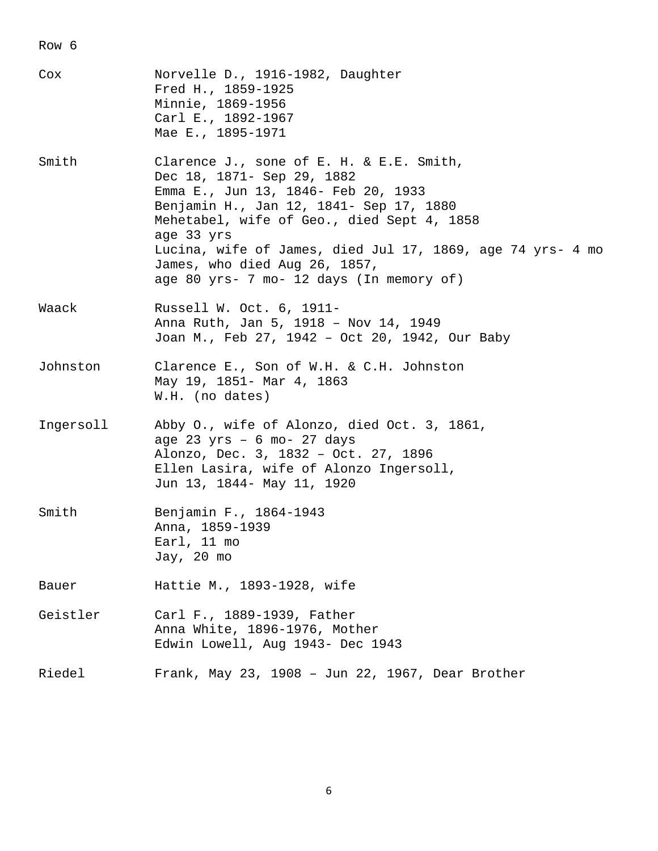| Cox       | Norvelle D., 1916-1982, Daughter<br>Fred H., 1859-1925<br>Minnie, 1869-1956<br>Carl E., 1892-1967<br>Mae E., 1895-1971                                                                                                                                                                                                                                          |
|-----------|-----------------------------------------------------------------------------------------------------------------------------------------------------------------------------------------------------------------------------------------------------------------------------------------------------------------------------------------------------------------|
| Smith     | Clarence J., sone of E. H. & E.E. Smith,<br>Dec 18, 1871- Sep 29, 1882<br>Emma E., Jun 13, 1846- Feb 20, 1933<br>Benjamin H., Jan 12, 1841- Sep 17, 1880<br>Mehetabel, wife of Geo., died Sept 4, 1858<br>age 33 yrs<br>Lucina, wife of James, died Jul 17, 1869, age 74 yrs- 4 mo<br>James, who died Aug 26, 1857,<br>age 80 yrs- 7 mo- 12 days (In memory of) |
| Waack     | Russell W. Oct. 6, 1911-<br>Anna Ruth, Jan 5, 1918 - Nov 14, 1949<br>Joan M., Feb 27, 1942 - Oct 20, 1942, Our Baby                                                                                                                                                                                                                                             |
| Johnston  | Clarence E., Son of W.H. & C.H. Johnston<br>May 19, 1851- Mar 4, 1863<br>W.H. (no dates)                                                                                                                                                                                                                                                                        |
| Ingersoll | Abby O., wife of Alonzo, died Oct. 3, 1861,<br>age 23 yrs - 6 mo- 27 days<br>Alonzo, Dec. 3, 1832 - Oct. 27, 1896<br>Ellen Lasira, wife of Alonzo Ingersoll,<br>Jun 13, 1844- May 11, 1920                                                                                                                                                                      |
| Smith     | Benjamin F., 1864-1943<br>Anna, 1859-1939<br>Earl, 11 mo<br>Jay, 20 mo                                                                                                                                                                                                                                                                                          |
| Bauer     | Hattie M., 1893-1928, wife                                                                                                                                                                                                                                                                                                                                      |
| Geistler  | Carl F., 1889-1939, Father<br>Anna White, 1896-1976, Mother<br>Edwin Lowell, Aug 1943- Dec 1943                                                                                                                                                                                                                                                                 |
| Riedel    | Frank, May 23, 1908 - Jun 22, 1967, Dear Brother                                                                                                                                                                                                                                                                                                                |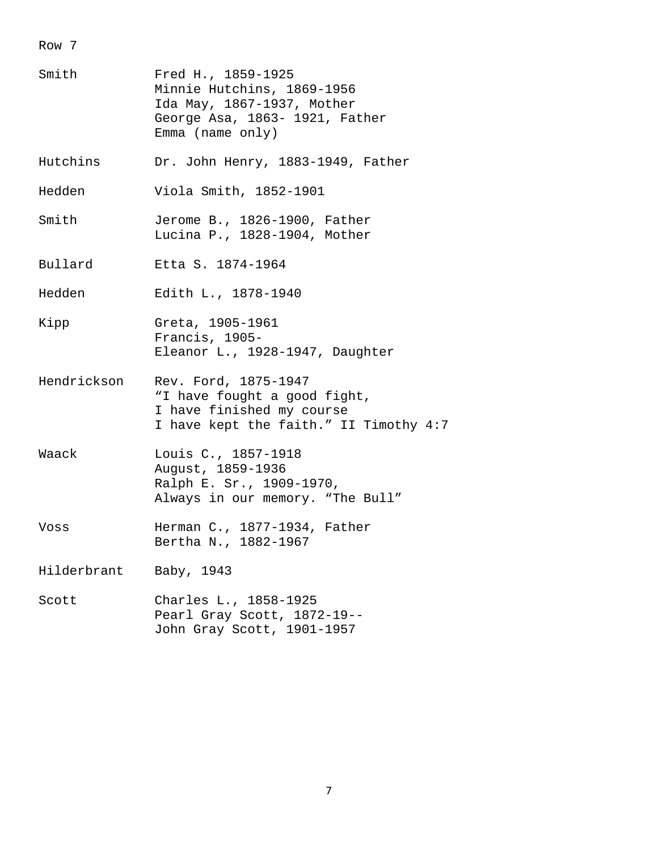| Smith       | Fred H., 1859-1925<br>Minnie Hutchins, 1869-1956<br>Ida May, 1867-1937, Mother<br>George Asa, 1863- 1921, Father<br>Emma (name $only)$ |
|-------------|----------------------------------------------------------------------------------------------------------------------------------------|
| Hutchins    | Dr. John Henry, 1883-1949, Father                                                                                                      |
| Hedden      | Viola Smith, 1852-1901                                                                                                                 |
| Smith       | Jerome B., 1826-1900, Father<br>Lucina P., 1828-1904, Mother                                                                           |
| Bullard     | Etta S. 1874-1964                                                                                                                      |
| Hedden      | Edith L., 1878-1940                                                                                                                    |
| Kipp        | Greta, 1905-1961<br>Francis, 1905-<br>Eleanor L., 1928-1947, Daughter                                                                  |
| Hendrickson | Rev. Ford, 1875-1947<br>"I have fought a good fight,<br>I have finished my course<br>I have kept the faith." II Timothy 4:7            |
| Waack       | Louis C., 1857-1918<br>August, 1859-1936<br>Ralph E. Sr., 1909-1970,<br>Always in our memory. "The Bull"                               |
| Voss        | Herman C., 1877-1934, Father<br>Bertha N., 1882-1967                                                                                   |
| Hilderbrant | Baby, 1943                                                                                                                             |
| Scott       | Charles L., 1858-1925<br>Pearl Gray Scott, 1872-19--<br>John Gray Scott, 1901-1957                                                     |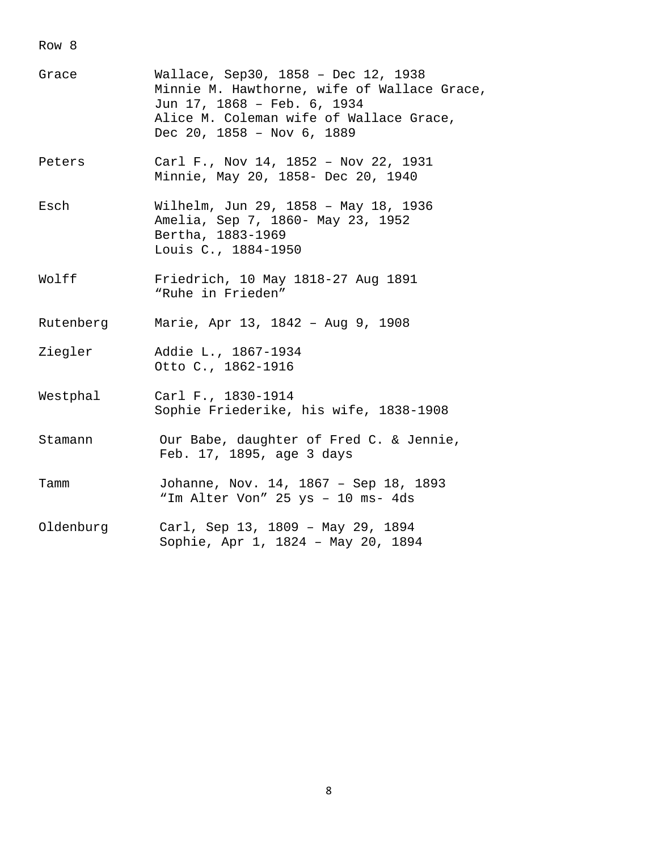| Grace     | Wallace, Sep30, 1858 - Dec 12, 1938<br>Minnie M. Hawthorne, wife of Wallace Grace,<br>Jun 17, 1868 - Feb. 6, 1934<br>Alice M. Coleman wife of Wallace Grace,<br>Dec 20, $1858 - Nov 6, 1889$ |
|-----------|----------------------------------------------------------------------------------------------------------------------------------------------------------------------------------------------|
| Peters    | Carl F., Nov 14, 1852 - Nov 22, 1931<br>Minnie, May 20, 1858- Dec 20, 1940                                                                                                                   |
| Esch      | Wilhelm, Jun 29, 1858 - May 18, 1936<br>Amelia, Sep 7, 1860- May 23, 1952<br>Bertha, 1883-1969<br>Louis C., 1884-1950                                                                        |
| Wolff     | Friedrich, 10 May 1818-27 Aug 1891<br>"Ruhe in Frieden"                                                                                                                                      |
| Rutenberg | Marie, Apr 13, 1842 - Aug 9, 1908                                                                                                                                                            |
| Ziegler   | Addie L., 1867-1934<br>Otto C., 1862-1916                                                                                                                                                    |
| Westphal  | Carl F., 1830-1914<br>Sophie Friederike, his wife, 1838-1908                                                                                                                                 |
| Stamann   | Our Babe, daughter of Fred C. & Jennie,<br>Feb. 17, 1895, age 3 days                                                                                                                         |
| Tamm      | Johanne, Nov. 14, 1867 - Sep 18, 1893<br>"Im Alter Von" 25 ys - 10 ms- 4ds                                                                                                                   |
| Oldenburg | Carl, Sep 13, 1809 - May 29, 1894<br>Sophie, Apr 1, 1824 - May 20, 1894                                                                                                                      |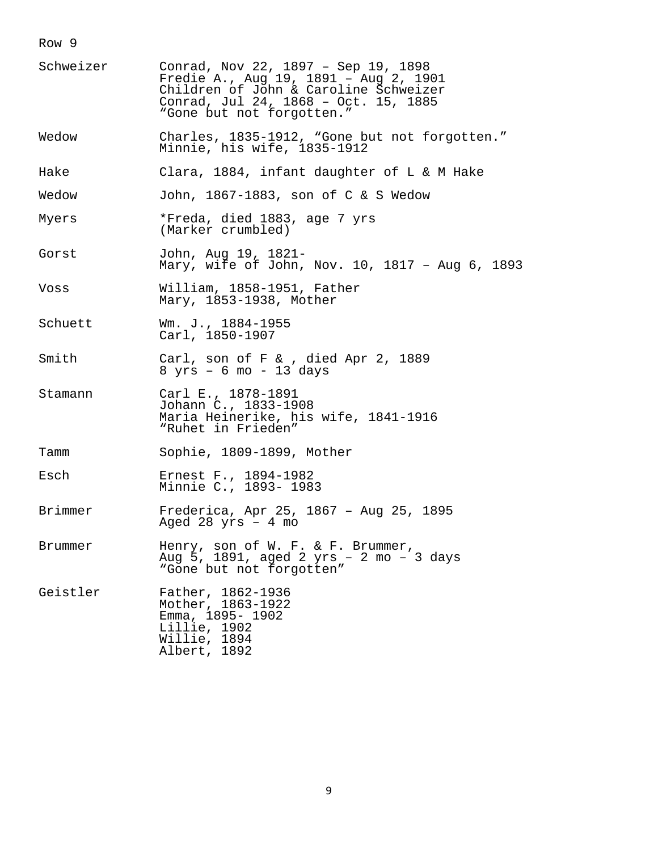| Schweizer | Conrad, Nov 22, 1897 - Sep 19, 1898<br>Fredie A., Aug 19, 1891 - Aug 2, 1901<br>Children of John & Caroline Schweizer<br>Conrad, Jul 24, 1868 - Oct. 15, 1885<br>"Gone but not forgotten." |
|-----------|--------------------------------------------------------------------------------------------------------------------------------------------------------------------------------------------|
| Wedow     | Charles, 1835-1912, "Gone but not forgotten."<br>Minnie, his wife, 1835-1912                                                                                                               |
| Hake      | Clara, 1884, infant daughter of L & M Hake                                                                                                                                                 |
| Wedow     | John, 1867-1883, son of C & S Wedow                                                                                                                                                        |
| Myers     | *Freda, died 1883, age 7 yrs<br>(Marker crumbled)                                                                                                                                          |
| Gorst     | John, Aug 19, 1821-<br>Mary, wife of John, Nov. 10, 1817 - Aug 6, 1893                                                                                                                     |
| Voss      | William, 1858-1951, Father<br>Mary, 1853-1938, Mother                                                                                                                                      |
| Schuett   | Wm. J., 1884-1955<br>Carl, 1850-1907                                                                                                                                                       |
| Smith     | Carl, son of $F <$ , died Apr 2, 1889<br>$8 \text{ yrs}$ - 6 mo - 13 days                                                                                                                  |
| Stamann   | Carl E., 1878-1891<br>Johann C., 1833-1908<br>Maria Heinerike, his wife, 1841-1916<br>"Ruhet in Frieden"                                                                                   |
| Tamm      | Sophie, 1809-1899, Mother                                                                                                                                                                  |
| Esch      | Ernest F., 1894-1982<br>Minnie C., 1893- 1983                                                                                                                                              |
| Brimmer   | Frederica, Apr 25, 1867 - Aug 25, 1895<br>Aged 28 $yrs - 4$ mo                                                                                                                             |
| Brummer   | Henry, son of W. F. & F. Brummer,<br>Aug 5, 1891, aged 2 yrs - 2 mo - 3 days<br>"Gone but not forgotten"                                                                                   |
| Geistler  | Father, 1862-1936<br>Mother, 1863-1922<br>Emma, 1895- 1902<br>Lillie, 1902<br>Willie, 1894<br>Albert, 1892                                                                                 |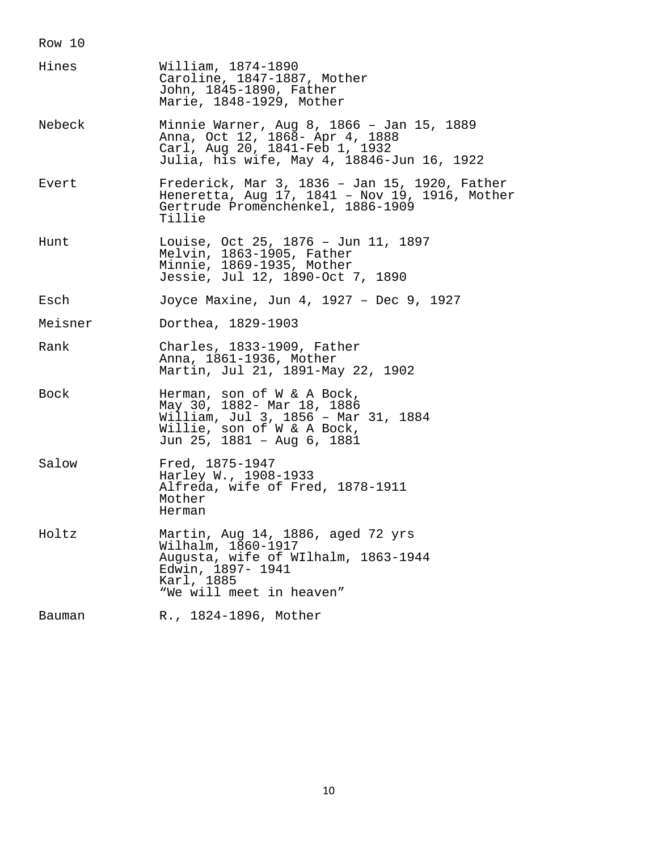| Hines   | William, 1874-1890<br>Caroline, 1847-1887, Mother<br>John, 1845-1890, Father<br>Marie, 1848-1929, Mother                                                      |
|---------|---------------------------------------------------------------------------------------------------------------------------------------------------------------|
| Nebeck  | Minnie Warner, Aug 8, 1866 - Jan 15, 1889<br>Anna, Oct 12, 1868- Apr 4, 1888<br>Carl, Aug 20, 1841-Feb 1, 1932<br>Julia, his wife, May 4, 18846-Jun 16, 1922  |
| Evert   | Frederick, Mar 3, 1836 - Jan 15, 1920, Father<br>Heneretta, Aug 17, 1841 - Nov 19, 1916, Mother<br>Gertrude Promenchenkel, 1886-1909<br>Tillie                |
| Hunt    | Louise, Oct 25, 1876 - Jun 11, 1897<br>Melvin, 1863-1905, Father<br>Minnie, 1869-1935, Mother<br>Jessie, Jul 12, 1890-Oct 7, 1890                             |
| Esch    | Joyce Maxine, Jun 4, 1927 - Dec 9, 1927                                                                                                                       |
| Meisner | Dorthea, 1829-1903                                                                                                                                            |
| Rank    | Charles, 1833-1909, Father<br>Anna, 1861-1936, Mother<br>Martin, Jul 21, 1891-May 22, 1902                                                                    |
| Bock    | Herman, son of W & A Bock,<br>May 30, 1882- Mar 18, 1886<br>William, Jul 3, 1856 - Mar 31, 1884<br>Willie, son of W & A Bock,<br>Jun 25, 1881 - Aug 6, 1881   |
| Salow   | Fred, 1875-1947<br>Harley W., 1908-1933<br>Alfreda, wife of Fred, 1878-1911<br>Mother<br>Herman                                                               |
| Holtz   | Martin, Aug 14, 1886, aged 72 yrs<br>Wilhalm, 1860-1917<br>Augusta, wife of WIlhalm, 1863-1944<br>Edwin, 1897- 1941<br>Karl, 1885<br>"We will meet in heaven" |
| Bauman  | R., 1824-1896, Mother                                                                                                                                         |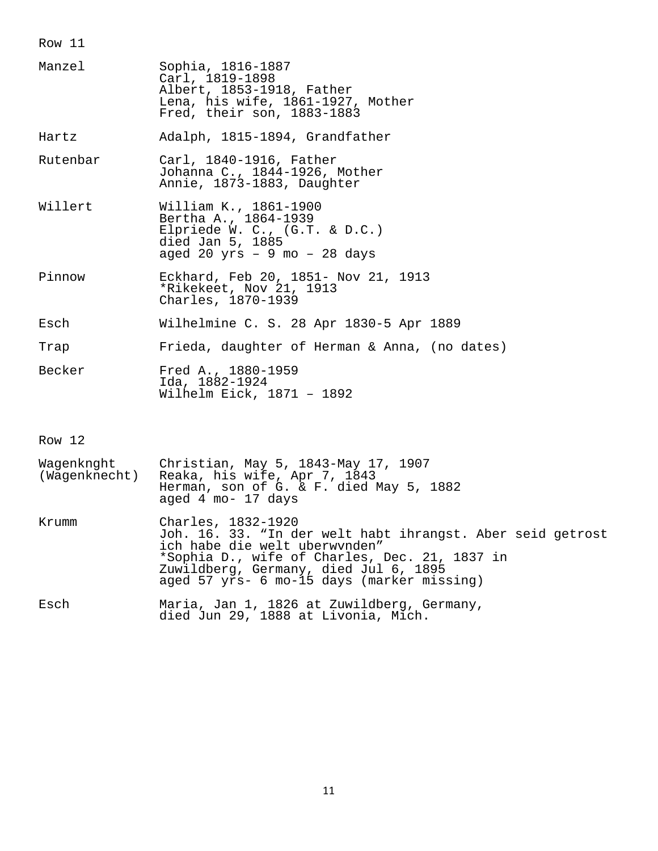| Manzel          | Sophia, 1816-1887<br>Carl, 1819-1898<br>Albert, 1853-1918, Father<br>Lena, his wife, 1861-1927, Mother<br>Fred, their son, 1883-1883   |
|-----------------|----------------------------------------------------------------------------------------------------------------------------------------|
| Hartz           | Adalph, 1815-1894, Grandfather                                                                                                         |
| Rutenbar        | Carl, 1840-1916, Father<br>Johanna C., 1844-1926, Mother<br>Annie, 1873-1883, Daughter                                                 |
| Willert         | William K., 1861-1900<br>Bertha A., 1864-1939<br>Elpriede W. C., (G.T. & D.C.)<br>died Jan 5, 1885<br>aged 20 $yrs - 9$ mo $-$ 28 days |
| Pinnow          | Eckhard, Feb 20, 1851- Nov 21, 1913<br>*Rikekeet, Nov 21, 1913<br>Charles, 1870-1939                                                   |
| Esch            | Wilhelmine C. S. 28 Apr 1830-5 Apr 1889                                                                                                |
| Trap            | Frieda, daughter of Herman & Anna, (no dates)                                                                                          |
| Becker          | Fred A., 1880-1959<br>Ida, 1882-1924<br>Wilhelm Eick, 1871 - 1892                                                                      |
| Row 12          |                                                                                                                                        |
| $W \cap \alpha$ | $\alpha$                                                                                                                               |

| Waqenknqht<br>(Waqenknecht) | Christian, May 5, 1843-May 17, 1907<br>Reaka, his wife, Apr 7, 1843<br>Herman, son of G. & F. died May 5, 1882<br>aged 4 mo- 17 days                                                                                                                      |
|-----------------------------|-----------------------------------------------------------------------------------------------------------------------------------------------------------------------------------------------------------------------------------------------------------|
| Krumm                       | Charles, 1832-1920<br>Joh. 16. 33. "In der welt habt ihrangst. Aber seid getrost<br>ich habe die welt uberwynden"<br>*Sophia D., wife of Charles, Dec. 21, 1837 in<br>Zuwildberg, Germany, died Jul 6, 1895<br>aged 57 yrs- 6 mo-15 days (marker missing) |
| Esch                        | Maria, Jan 1, 1826 at Zuwildberg, Germany,<br>$\sim$ 0.0 4.000 $\sim$ -1                                                                                                                                                                                  |

died Jun 29, 1888 at Livonia, Mich.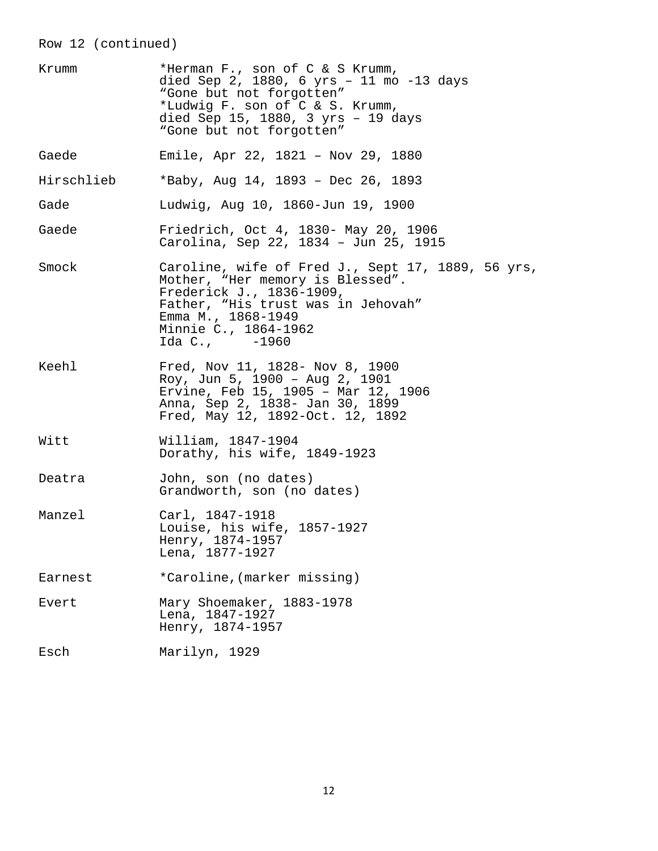# Row 12 (continued)

| Krumm      | *Herman F., son of C & S Krumm,<br>died Sep 2, 1880, 6 yrs - 11 mo -13 days<br>"Gone but not forgotten"<br>*Ludwig F. son of C & S. Krumm,<br>died Sep 15, 1880, 3 yrs - 19 days<br>"Gone but not forgotten"           |
|------------|------------------------------------------------------------------------------------------------------------------------------------------------------------------------------------------------------------------------|
| Gaede      | Emile, Apr 22, 1821 - Nov 29, 1880                                                                                                                                                                                     |
| Hirschlieb | *Baby, Aug 14, 1893 - Dec 26, 1893                                                                                                                                                                                     |
| Gade       | Ludwig, Aug 10, 1860-Jun 19, 1900                                                                                                                                                                                      |
| Gaede      | Friedrich, Oct 4, 1830- May 20, 1906<br>Carolina, Sep 22, 1834 - Jun 25, 1915                                                                                                                                          |
| Smock      | Caroline, wife of Fred J., Sept 17, 1889, 56 yrs,<br>Mother, "Her memory is Blessed".<br>Frederick J., 1836-1909,<br>Father, "His trust was in Jehovah"<br>Emma M., 1868-1949<br>Minnie C., 1864-1962<br>Ida C., -1960 |
| Keehl      | Fred, Nov 11, 1828- Nov 8, 1900<br>Roy, Jun 5, 1900 - Aug 2, 1901<br>Ervine, Feb 15, 1905 - Mar 12, 1906<br>Anna, Sep 2, 1838- Jan 30, 1899<br>Fred, May 12, 1892-Oct. 12, 1892                                        |
| Witt       | William, 1847-1904<br>Dorathy, his wife, 1849-1923                                                                                                                                                                     |
| Deatra     | John, son (no dates)<br>Grandworth, son (no dates)                                                                                                                                                                     |
| Manzel     | Carl, 1847-1918<br>Louise, his wife, 1857-1927<br>Henry, 1874-1957<br>Lena, 1877-1927                                                                                                                                  |
| Earnest    | *Caroline, (marker missing)                                                                                                                                                                                            |
| Evert      | Mary Shoemaker, 1883-1978<br>Lena, 1847-1927<br>Henry, 1874-1957                                                                                                                                                       |
| Esch       | Marilyn, 1929                                                                                                                                                                                                          |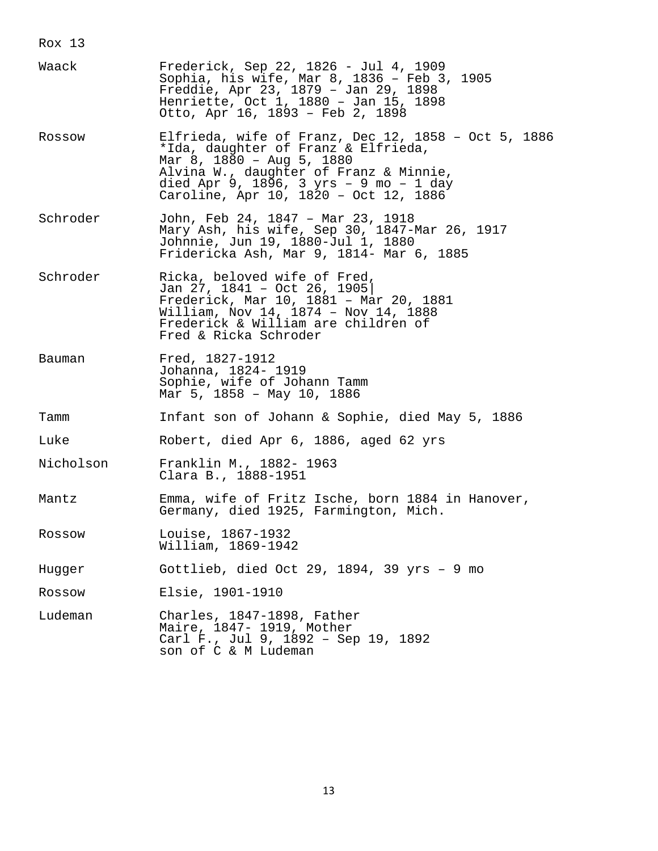Rox 13

| Waack     | Frederick, Sep 22, 1826 - Jul 4, 1909<br>Sophia, his wife, Mar 8, 1836 - Feb 3, 1905<br>Freddie, Apr 23, 1879 - Jan 29, 1898<br>Henriette, Oct 1, 1880 - Jan 15, 1898<br>Otto, Apr 16, 1893 - Feb 2, 1898                                            |
|-----------|------------------------------------------------------------------------------------------------------------------------------------------------------------------------------------------------------------------------------------------------------|
| Rossow    | Elfrieda, wife of Franz, Dec 12, 1858 - Oct 5, 1886<br>*Ida, daughter of Franz & Elfrieda,<br>Mar 8, 1880 - Aug 5, 1880<br>Alvina W., daughter of Franz & Minnie,<br>died Apr 9, 1896, 3 yrs - 9 mo - 1 day<br>Caroline, Apr 10, 1820 - Oct 12, 1886 |
| Schroder  | John, Feb 24, 1847 - Mar 23, 1918<br>Mary Ash, his wife, Sep 30, 1847-Mar 26, 1917<br>Johnnie, Jun 19, 1880-Jul 1, 1880<br>Fridericka Ash, Mar 9, 1814- Mar 6, 1885                                                                                  |
| Schroder  | Ricka, beloved wife of Fred,<br>Jan 27, 1841 - Oct 26, 1905<br>Frederick, Mar 10, 1881 - Mar 20, 1881<br>William, Nov 14, 1874 - Nov 14, 1888<br>Frederick & William are children of<br>Fred & Ricka Schroder                                        |
| Bauman    | Fred, 1827-1912<br>Johanna, 1824- 1919<br>Sophie, wife of Johann Tamm<br>Mar 5, 1858 - May 10, 1886                                                                                                                                                  |
| Tamm      | Infant son of Johann & Sophie, died May 5, 1886                                                                                                                                                                                                      |
| Luke      | Robert, died Apr 6, 1886, aged 62 yrs                                                                                                                                                                                                                |
| Nicholson | Franklin M., 1882- 1963<br>Clara B., 1888-1951                                                                                                                                                                                                       |
| Mantz     | Emma, wife of Fritz Ische, born 1884 in Hanover,<br>Germany, died 1925, Farmington, Mich.                                                                                                                                                            |
| Rossow    | Louise, 1867-1932<br>William, 1869–1942                                                                                                                                                                                                              |
| Hugger    | Gottlieb, died Oct 29, 1894, 39 yrs - 9 mo                                                                                                                                                                                                           |
| Rossow    | Elsie, 1901-1910                                                                                                                                                                                                                                     |
| Ludeman   | Charles, 1847-1898, Father<br>Maire, 1847- 1919, Mother<br>Carl F., Jul 9, 1892 - Sep 19, 1892<br>son of C & M Ludeman                                                                                                                               |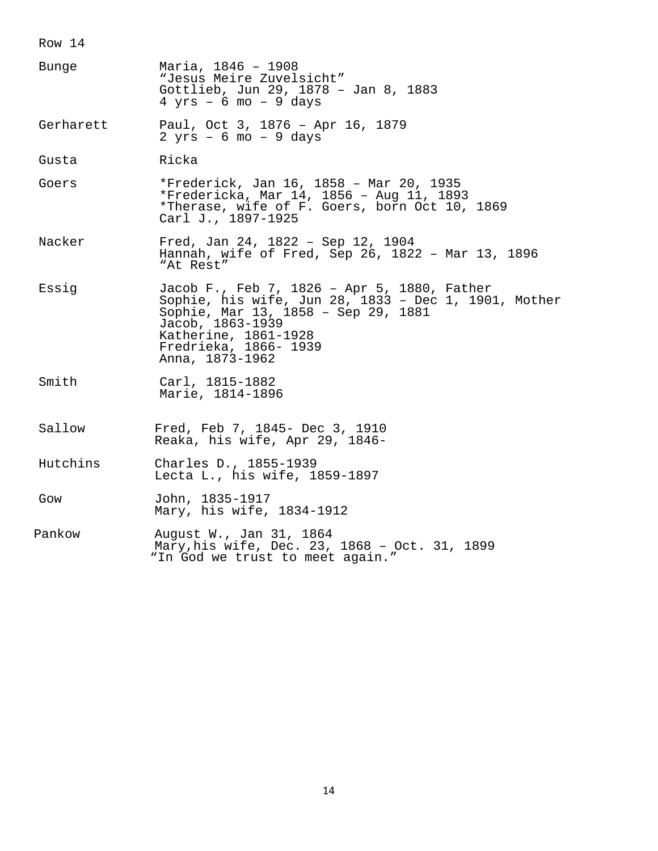| Bunge     | Maria, 1846 - 1908<br>"Jesus Meire Zuvelsicht"<br>Gottlieb, Jun 29, 1878 - Jan 8, 1883<br>$4 \text{ yrs}$ - 6 mo - 9 days                                                                                                          |
|-----------|------------------------------------------------------------------------------------------------------------------------------------------------------------------------------------------------------------------------------------|
| Gerharett | Paul, Oct 3, 1876 - Apr 16, 1879<br>$2 yrs - 6 mo - 9 days$                                                                                                                                                                        |
| Gusta     | Ricka                                                                                                                                                                                                                              |
| Goers     | *Frederick, Jan 16, 1858 - Mar 20, 1935<br>*Fredericka, Mar 14, 1856 - Aug 11, 1893<br>*Therase, wife of F. Goers, born Oct 10, 1869<br>Carl J., 1897-1925                                                                         |
| Nacker    | Fred, Jan 24, 1822 - Sep 12, 1904<br>Hannah, wife of Fred, Sep 26, 1822 - Mar 13, 1896<br>"At Rest"                                                                                                                                |
| Essig     | Jacob F., Feb 7, 1826 - Apr 5, 1880, Father<br>Sophie, his wife, Jun 28, 1833 - Dec 1, 1901, Mother<br>Sophie, Mar 13, 1858 - Sep 29, 1881<br>Jacob, 1863-1939<br>Katherine, 1861-1928<br>Fredrieka, 1866- 1939<br>Anna, 1873-1962 |
| Smith     | Carl, 1815-1882<br>Marie, 1814-1896                                                                                                                                                                                                |
| Sallow    | Fred, Feb 7, 1845- Dec 3, 1910<br>Reaka, his wife, Apr 29, 1846-                                                                                                                                                                   |
| Hutchins  | Charles D., 1855-1939<br>Lecta L., his wife, 1859-1897                                                                                                                                                                             |
| Gow       | John, 1835-1917<br>Mary, his wife, 1834-1912                                                                                                                                                                                       |
| Pankow    | August W., Jan 31, 1864<br>Mary, his wife, Dec. 23, 1868 - Oct. 31, 1899<br>"In God we trust to meet again."                                                                                                                       |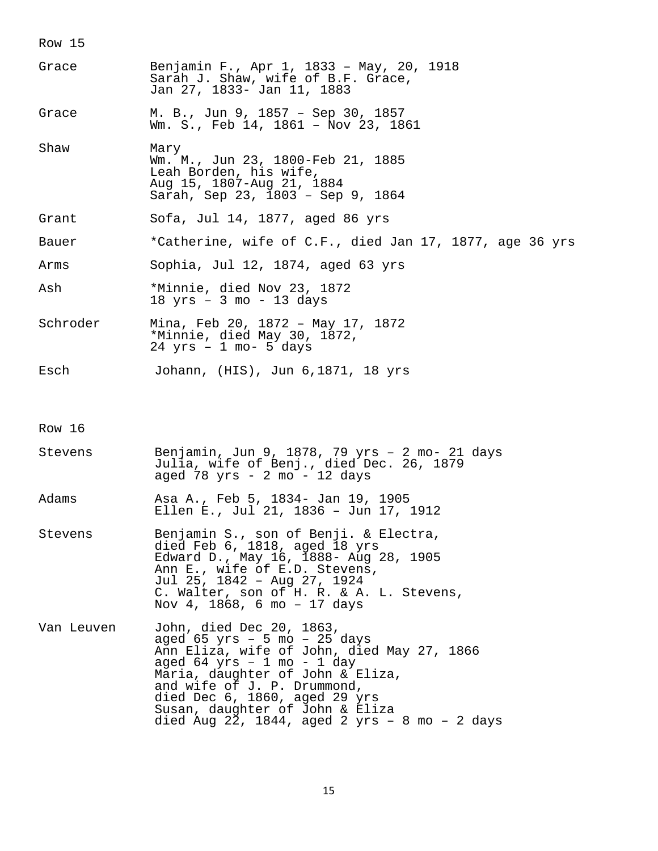| Grace      | Benjamin F., Apr 1, 1833 - May, 20, 1918<br>Sarah J. Shaw, wife of B.F. Grace,<br>Jan 27, 1833- Jan 11, 1883                                                                                                                                                                                                                     |
|------------|----------------------------------------------------------------------------------------------------------------------------------------------------------------------------------------------------------------------------------------------------------------------------------------------------------------------------------|
| Grace      | M. B., Jun 9, 1857 - Sep 30, 1857<br>Wm. S., Feb 14, 1861 - Nov 23, 1861                                                                                                                                                                                                                                                         |
| Shaw       | Mary<br>Wm. M., Jun 23, 1800-Feb 21, 1885<br>Leah Borden, his wife,<br>Aug 15, 1807-Aug 21, 1884<br>Sarah, Sep 23, 1803 - Sep 9, 1864                                                                                                                                                                                            |
| Grant      | Sofa, Jul 14, 1877, aged 86 yrs                                                                                                                                                                                                                                                                                                  |
| Bauer      | *Catherine, wife of C.F., died Jan 17, 1877, age 36 yrs                                                                                                                                                                                                                                                                          |
| Arms       | Sophia, Jul 12, 1874, aged 63 yrs                                                                                                                                                                                                                                                                                                |
| Ash        | *Minnie, died Nov 23, 1872<br>$18 \text{ yrs}$ - 3 mo - 13 days                                                                                                                                                                                                                                                                  |
| Schroder   | Mina, Feb 20, 1872 - May 17, 1872<br>*Minnie, died May 30, 1872,<br>$24$ yrs - 1 mo- 5 days                                                                                                                                                                                                                                      |
| Esch       | Johann, (HIS), Jun 6,1871, 18 yrs                                                                                                                                                                                                                                                                                                |
| Row 16     |                                                                                                                                                                                                                                                                                                                                  |
| Stevens    | Benjamin, Jun 9, 1878, 79 yrs - 2 mo- 21 days<br>Julia, wife of Benj., died Dec. 26, 1879<br>aged 78 yrs - 2 mo - 12 days                                                                                                                                                                                                        |
| Adams      | Asa A., Feb 5, 1834- Jan 19, 1905<br>Ellen E., Jul 21, 1836 - Jun 17, 1912                                                                                                                                                                                                                                                       |
| Stevens    | Benjamin S., son of Benji. & Electra,<br>died Feb 6, 1818, aged 18 yrs<br>Edward D., May 16, 1888- Aug 28, 1905<br>Ann E., wife of E.D. Stevens,<br>Jul 25, 1842 - Aug 27, 1924<br>C. Walter, son of H. R. & A. L. Stevens,<br>Nov 4, 1868, 6 mo - 17 days                                                                       |
| Van Leuven | John, died Dec 20, 1863,<br>aged $65$ yrs - 5 mo - 25 days<br>Ann Eliza, wife of John, died May 27, 1866<br>aged 64 yrs - 1 mo - 1 day<br>Maria, daughter of John & Eliza,<br>and wife of J. P. Drummond,<br>died Dec 6, 1860, aged 29 yrs<br>Susan, daughter of John & Eliza<br>died Aug 22, 1844, aged 2 $yrs - 8$ mo - 2 days |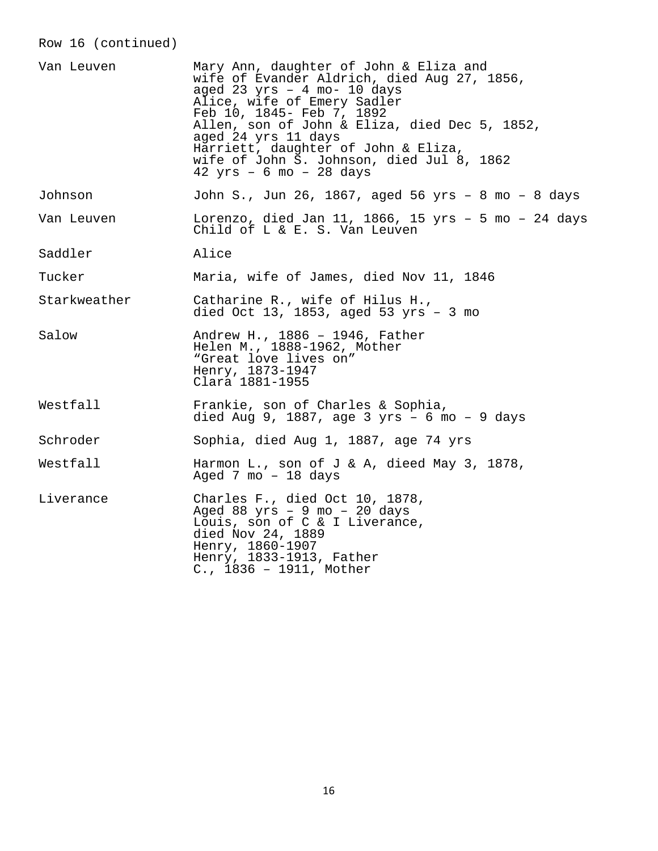# Row 16 (continued)

| Van Leuven   | Mary Ann, daughter of John & Eliza and<br>wife of Evander Aldrich, died Aug 27, 1856,<br>aged 23 $yrs - 4 mo - 10 days$<br>Alice, wife of Emery Sadler<br>Feb 10, 1845- Feb 7, 1892<br>Allen, son of John & Eliza, died Dec 5, 1852,<br>aged 24 yrs 11 days<br>Harriett, daughter of John & Eliza,<br>wife of John S. Johnson, died Jul 8, 1862<br>$42 \text{ yrs} - 6 \text{ mo} - 28 \text{ days}$ |
|--------------|------------------------------------------------------------------------------------------------------------------------------------------------------------------------------------------------------------------------------------------------------------------------------------------------------------------------------------------------------------------------------------------------------|
| Johnson      | John S., Jun 26, 1867, aged 56 yrs - 8 mo - 8 days                                                                                                                                                                                                                                                                                                                                                   |
| Van Leuven   | Lorenzo, died Jan 11, 1866, 15 yrs - 5 mo - 24 days<br>Child of L & E. S. Van Leuven                                                                                                                                                                                                                                                                                                                 |
| Saddler      | Alice                                                                                                                                                                                                                                                                                                                                                                                                |
| Tucker       | Maria, wife of James, died Nov 11, 1846                                                                                                                                                                                                                                                                                                                                                              |
| Starkweather | Catharine R., wife of Hilus H.,<br>died Oct 13, 1853, aged 53 $yrs - 3 mo$                                                                                                                                                                                                                                                                                                                           |
| Salow        | Andrew H., 1886 - 1946, Father<br>Helen M., 1888-1962, Mother<br>"Great love lives on"<br>Henry, 1873-1947<br>Clara 1881-1955                                                                                                                                                                                                                                                                        |
| Westfall     | Frankie, son of Charles & Sophia,<br>died Aug 9, 1887, age 3 $yrs - 6$ mo - 9 days                                                                                                                                                                                                                                                                                                                   |
| Schroder     | Sophia, died Aug 1, 1887, age 74 yrs                                                                                                                                                                                                                                                                                                                                                                 |
| Westfall     | Harmon L., son of J & A, dieed May 3, 1878,<br>Aged 7 mo $-18$ days                                                                                                                                                                                                                                                                                                                                  |
| Liverance    | Charles F., died Oct 10, 1878,<br>Aged 88 $yrs - 9$ mo $-20$ days<br>Louis, son of C & I Liverance,<br>died Nov 24, 1889<br>Henry, 1860-1907<br>Henry, 1833-1913, Father<br>$C.$ , 1836 - 1911, Mother                                                                                                                                                                                               |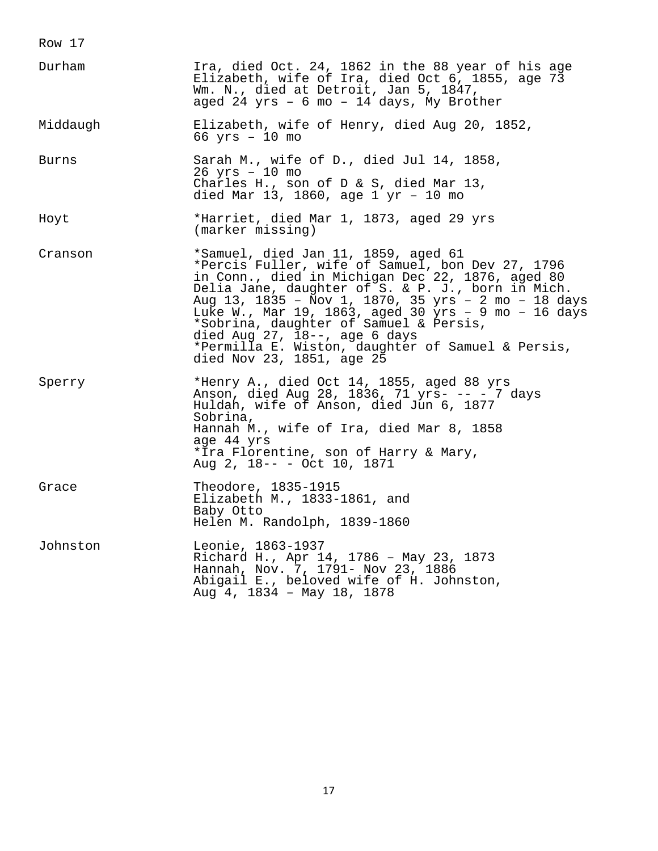| Durham   | Ira, died Oct. 24, 1862 in the 88 year of his age<br>Elizabeth, wife of Ira, died Oct 6, 1855, age 73<br>Wm. N., died at Detroit, Jan 5, 1847,<br>aged 24 $yrs - 6$ mo $- 14$ days, My Brother                                                                                                                                                                                                                                                                                    |
|----------|-----------------------------------------------------------------------------------------------------------------------------------------------------------------------------------------------------------------------------------------------------------------------------------------------------------------------------------------------------------------------------------------------------------------------------------------------------------------------------------|
| Middaugh | Elizabeth, wife of Henry, died Aug 20, 1852,<br>$66 \text{ yrs} - 10 \text{ mo}$                                                                                                                                                                                                                                                                                                                                                                                                  |
| Burns    | Sarah M., wife of D., died Jul 14, 1858,<br>$26$ yrs $-10$ mo<br>Charles H., son of D & S, died Mar 13,<br>died Mar 13, 1860, age $1 \text{ yr}$ - 10 mo                                                                                                                                                                                                                                                                                                                          |
| Hoyt     | *Harriet, died Mar 1, 1873, aged 29 yrs<br>(marker missing)                                                                                                                                                                                                                                                                                                                                                                                                                       |
| Cranson  | *Samuel, died Jan 11, 1859, aged 61<br>*Percis Fuller, wife of Samuel, bon Dev 27, 1796<br>in Conn., died in Michigan Dec 22, 1876, aged 80<br>Delia Jane, daughter of S. & P. J., born in Mich.<br>Aug 13, 1835 - Nov 1, 1870, 35 yrs - 2 mo - 18 days<br>Luke W., Mar 19, 1863, aged 30 yrs - 9 mo - 16 days<br>*Sobrina, daughter of Samuel & Persis,<br>died Aug $27$ , $18--$ , age 6 days<br>*Permilla E. Wiston, daughter of Samuel & Persis,<br>died Nov 23, 1851, age 25 |
| Sperry   | *Henry A., died Oct 14, 1855, aged 88 yrs<br>Anson, died Aug 28, 1836, 71 yrs- -- - 7 days<br>Huldah, wife of Anson, died Jun 6, 1877<br>Sobrina,<br>Hannah M., wife of Ira, died Mar 8, 1858<br>age 44 yrs<br>*Ira Florentine, son of Harry & Mary,<br>Aug 2, 18-- - Oct 10, 1871                                                                                                                                                                                                |
| Grace    | Theodore, 1835-1915<br>Elizabeth M., 1833-1861, and<br>Baby Otto<br>Helen M. Randolph, 1839-1860                                                                                                                                                                                                                                                                                                                                                                                  |
| Johnston | Leonie, 1863-1937<br>Richard H., Apr 14, 1786 - May 23, 1873<br>Hannah, Nov. 7, 1791- Nov 23, 1886<br>Abigail E., beloved wife of H. Johnston,<br>Aug 4, 1834 - May 18, 1878                                                                                                                                                                                                                                                                                                      |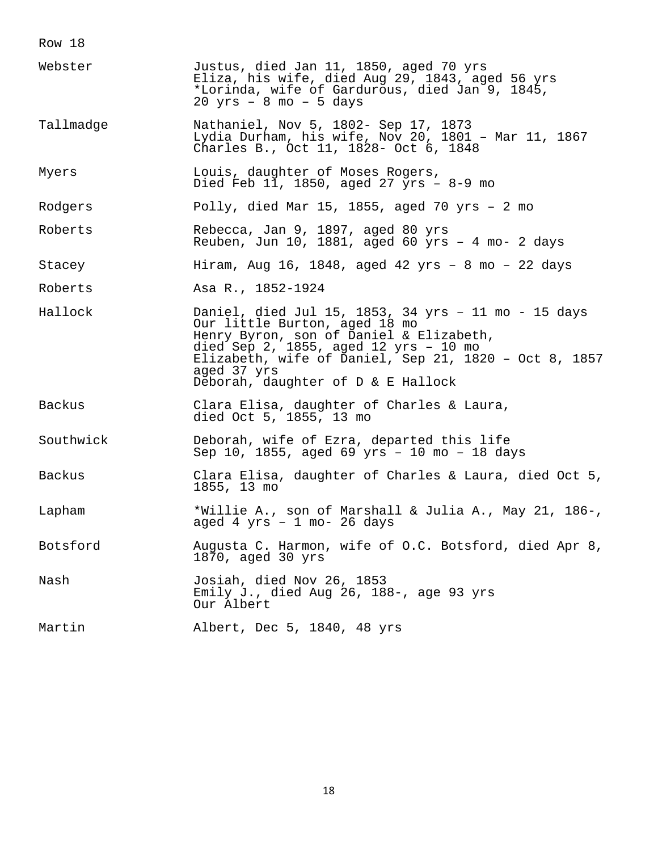Row 18 Webster Justus, died Jan 11, 1850, aged 70 yrs Eliza, his wife, died Aug 29, 1843, aged 56 yrs \*Lorinda, wife of Gardurous, died Jan 9, 1845, 20 yrs – 8 mo – 5 days Tallmadge Mathaniel, Nov 5, 1802- Sep 17, 1873 Lydia Durham, his wife, Nov 20, 1801 – Mar 11, 1867 Charles B., Oct 11, 1828- Oct 6, 1848 Myers **Louis, daughter of Moses Rogers**, Died Feb 11, 1850, aged 27 yrs – 8-9 mo Rodgers Polly, died Mar 15, 1855, aged 70 yrs – 2 mo Roberts Rebecca, Jan 9, 1897, aged 80 yrs Reuben, Jun 10, 1881, aged 60 yrs – 4 mo- 2 days Stacey Hiram, Aug 16, 1848, aged 42 yrs – 8 mo – 22 days Roberts Asa R., 1852-1924 Hallock Daniel, died Jul 15, 1853, 34 yrs – 11 mo - 15 days Our little Burton, aged 18 mo Henry Byron, son of Daniel & Elizabeth, died Sep 2, 1855, aged 12 yrs – 10 mo Elizabeth, wife of Daniel, Sep 21, 1820 – Oct 8, 1857 aged 37 yrs Deborah, daughter of D & E Hallock Backus Clara Elisa, daughter of Charles & Laura, died Oct 5, 1855, 13 mo Southwick Deborah, wife of Ezra, departed this life Sep 10, 1855, aged 69 yrs – 10 mo – 18 days Backus Clara Elisa, daughter of Charles & Laura, died Oct 5, 1855, 13 mo Lapham \*Willie A., son of Marshall & Julia A., May 21, 186-, aged 4 yrs – 1 mo- 26 days Botsford Mugusta C. Harmon, wife of O.C. Botsford, died Apr 8, 1870, aged 30 yrs Nash Josiah, died Nov 26, 1853 Emily J., died Aug 26, 188-, age 93 yrs Our Albert Martin Albert, Dec 5, 1840, 48 yrs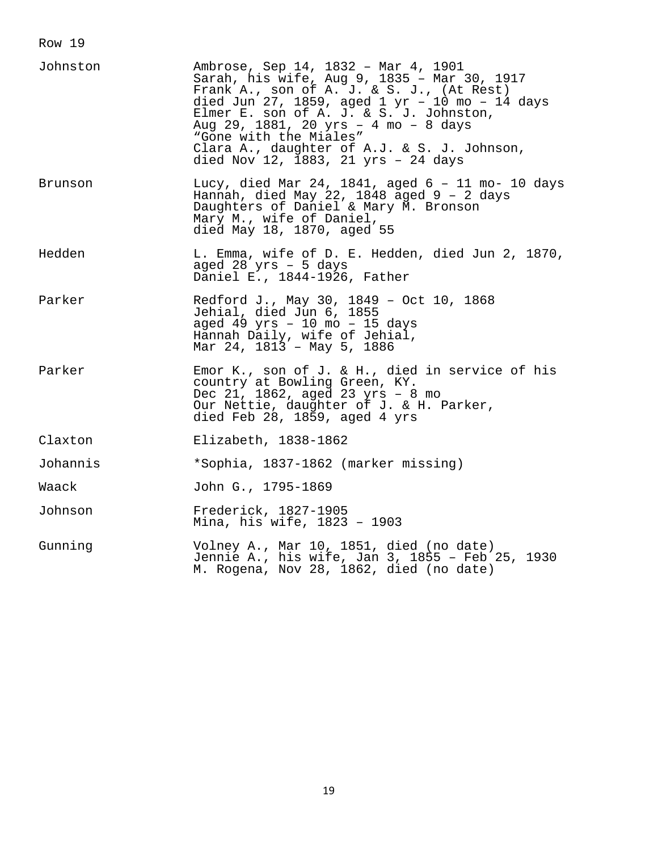| Johnston | Ambrose, Sep 14, 1832 - Mar 4, 1901<br>Sarah, his wife, Aug 9, 1835 - Mar 30, 1917<br>Frank A., son of A. J. & S. J., (At Rest)<br>died Jun 27, 1859, aged $1 \text{ yr}$ - 10 mo - 14 days<br>Elmer E. son of A. J. & S. J. Johnston,<br>Aug 29, 1881, 20 yrs - 4 mo - 8 days<br>"Gone with the Miales"<br>Clara A., daughter of A.J. & S. J. Johnson,<br>died Nov 12, 1883, 21 yrs - 24 days |
|----------|------------------------------------------------------------------------------------------------------------------------------------------------------------------------------------------------------------------------------------------------------------------------------------------------------------------------------------------------------------------------------------------------|
| Brunson  | Lucy, died Mar 24, 1841, aged 6 - 11 mo- 10 days<br>Hannah, died May 22, 1848 aged $9 - 2$ days<br>Daughters of Daniel & Mary M. Bronson<br>Mary M., wife of Daniel,<br>died May 18, 1870, aged 55                                                                                                                                                                                             |
| Hedden   | L. Emma, wife of D. E. Hedden, died Jun 2, 1870,<br>aged 28 $yrs - 5$ days<br>Daniel E., 1844-1926, Father                                                                                                                                                                                                                                                                                     |
| Parker   | Redford J., May 30, 1849 - Oct 10, 1868<br>Jehial, died Jun 6, 1855<br>aged 49 yrs - 10 mo - 15 days<br>Hannah Daily, wife of Jehial,<br>Mar 24, 1813 - May 5, 1886                                                                                                                                                                                                                            |
| Parker   | Emor K., son of J. & H., died in service of his<br>country at Bowling Green, KY.<br>Dec 21, 1862, aged 23 yrs - 8 mo<br>Our Nettie, daughter of J. & H. Parker,<br>died Feb 28, 1859, aged 4 yrs                                                                                                                                                                                               |
| Claxton  | Elizabeth, 1838-1862                                                                                                                                                                                                                                                                                                                                                                           |
| Johannis | *Sophia, 1837-1862 (marker missing)                                                                                                                                                                                                                                                                                                                                                            |
| Waack    | John G., 1795-1869                                                                                                                                                                                                                                                                                                                                                                             |
| Johnson  | Frederick, 1827-1905<br>Mina, his wife, 1823 - 1903                                                                                                                                                                                                                                                                                                                                            |
| Gunning  | Volney A., Mar 10, 1851, died (no date)<br>Jennie A., his wife, Jan 3, 1855 - Feb 25, 1930<br>M. Rogena, Nov 28, 1862, died (no date)                                                                                                                                                                                                                                                          |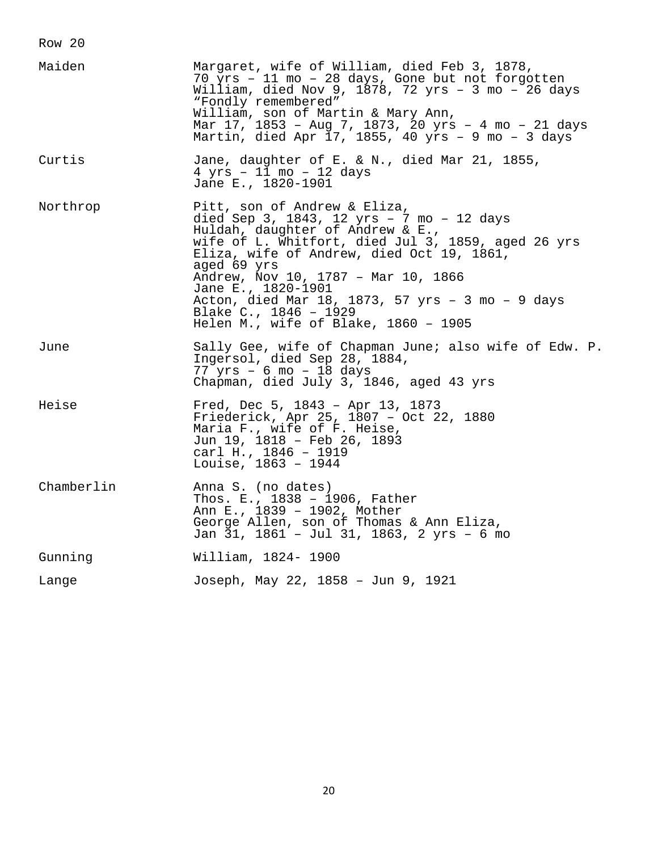Row 20 Maiden Margaret, wife of William, died Feb 3, 1878, 70 yrs – 11 mo – 28 days, Gone but not forgotten William, died Nov 9, 1878, 72 yrs – 3 mo – 26 days "Fondly remembered" William, son of Martin & Mary Ann, Mar 17, 1853 – Aug 7, 1873, 20 yrs – 4 mo – 21 days Martin, died Apr  $\overline{17}$ , 1855, 40 yrs - 9 mo - 3 days Curtis Jane, daughter of E. & N., died Mar 21, 1855, 4 yrs – 11 mo – 12 days Jane E., 1820-1901 Northrop Pitt, son of Andrew & Eliza, died Sep 3, 1843, 12 yrs – 7 mo – 12 days Huldah, daughter of Andrew & E., wife of L. Whitfort, died Jul 3, 1859, aged 26 yrs Eliza, wife of Andrew, died Oct 19, 1861, aged 69 yrs Andrew, Nov 10, 1787 – Mar 10, 1866 Jane E., 1820-1901 Acton, died Mar 18, 1873, 57 yrs – 3 mo – 9 days Blake C., 1846 – 1929 Helen M., wife of Blake, 1860 – 1905 June Sally Gee, wife of Chapman June; also wife of Edw. P. Ingersol, died Sep 28, 1884, 77 yrs – 6 mo – 18 days Chapman, died July 3, 1846, aged 43 yrs Heise Fred, Dec 5, 1843 – Apr 13, 1873 Friederick, Apr 25, 1807 – Oct 22, 1880 Maria F., wife of F. Heise, Jun 19, 1818 – Feb 26, 1893 carl H., 1846 – 1919 Louise, 1863 – 1944 Chamberlin Anna S. (no dates) Thos. E., 1838 – 1906, Father Ann E., 1839 – 1902, Mother George Allen, son of Thomas & Ann Eliza, Jan 31, 1861 – Jul 31, 1863, 2 yrs – 6 mo Gunning William, 1824- 1900 Lange Joseph, May 22, 1858 – Jun 9, 1921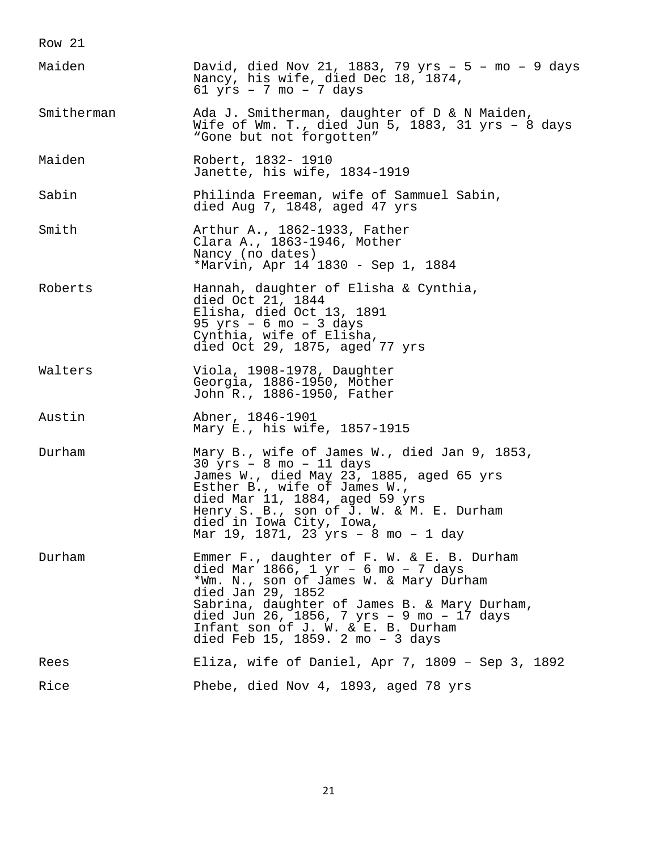| Maiden     | David, died Nov 21, 1883, 79 yrs - 5 - mo - 9 days<br>Nancy, his wife, died Dec 18, 1874,<br>$61$ yrs - 7 mo - 7 days                                                                                                                                                                                                             |
|------------|-----------------------------------------------------------------------------------------------------------------------------------------------------------------------------------------------------------------------------------------------------------------------------------------------------------------------------------|
| Smitherman | Ada J. Smitherman, daughter of D & N Maiden,<br>Wife of Wm. T., died Jun 5, 1883, 31 yrs - 8 days<br>"Gone but not forgotten"                                                                                                                                                                                                     |
| Maiden     | Robert, 1832- 1910<br>Janette, his wife, 1834-1919                                                                                                                                                                                                                                                                                |
| Sabin      | Philinda Freeman, wife of Sammuel Sabin,<br>died Aug 7, 1848, aged 47 yrs                                                                                                                                                                                                                                                         |
| Smith      | Arthur A., 1862-1933, Father<br>Clara A., 1863-1946, Mother<br>Nancy (no dates)<br>*Marvin, Apr 14 1830 - Sep 1, 1884                                                                                                                                                                                                             |
| Roberts    | Hannah, daughter of Elisha & Cynthia,<br>died Oct 21, 1844<br>Elisha, died Oct 13, 1891<br>$95 \text{ yrs}$ - 6 mo - 3 days<br>Cynthia, wife of Elisha,<br>died Oct 29, 1875, aged 77 yrs                                                                                                                                         |
| Walters    | Viola, 1908-1978, Daughter<br>Georgia, 1886-1950, Mother<br>John R., 1886-1950, Father                                                                                                                                                                                                                                            |
| Austin     | Abner, 1846-1901<br>Mary E., his wife, 1857-1915                                                                                                                                                                                                                                                                                  |
| Durham     | Mary B., wife of James W., died Jan 9, 1853,<br>$30 \text{ yrs} - 8 \text{ mo} - 11 \text{ days}$<br>James W., died May 23, 1885, aged 65 yrs<br>Esther B., wife of James W.,<br>died Mar 11, 1884, aged 59 yrs<br>Henry S. B., son of J. W. & M. E. Durham<br>died in Iowa City, Iowa,<br>Mar 19, 1871, 23 yrs - 8 mo - 1 day    |
| Durham     | Emmer F., daughter of F. W. & E. B. Durham<br>died Mar 1866, $1 \text{ yr}$ - 6 mo - 7 days<br>*Wm. N., son of James W. & Mary Durham<br>died Jan 29, 1852<br>Sabrina, daughter of James B. & Mary Durham,<br>died Jun 26, 1856, 7 yrs - 9 mo - 17 days<br>Infant son of J. W. & E. B. Durham<br>died Feb 15, 1859. 2 mo - 3 days |
| Rees       | Eliza, wife of Daniel, Apr 7, 1809 - Sep 3, 1892                                                                                                                                                                                                                                                                                  |
| Rice       | Phebe, died Nov 4, 1893, aged 78 yrs                                                                                                                                                                                                                                                                                              |

21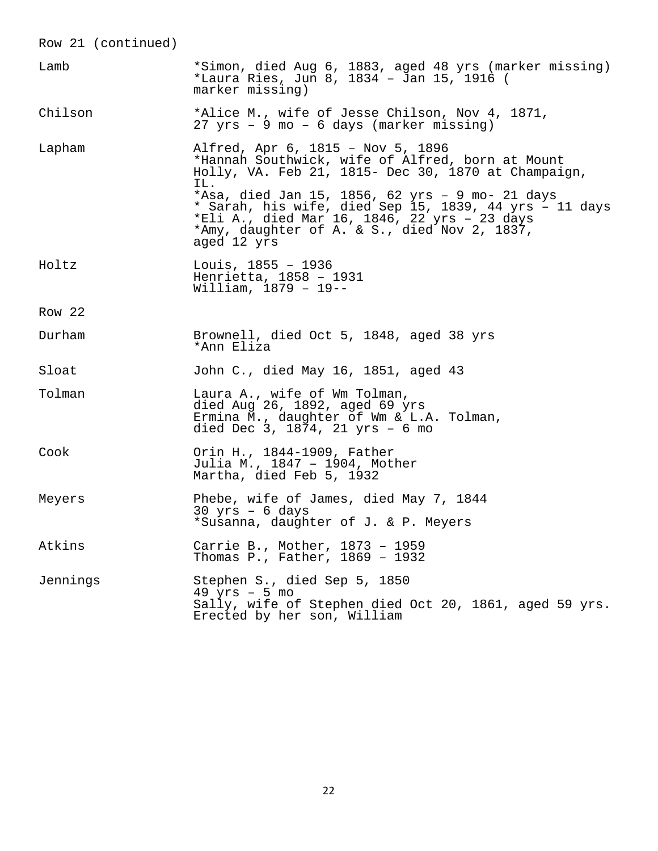| Row 21 (continued) |                                                                                                                                                                                                                                                                                                                                                                                 |
|--------------------|---------------------------------------------------------------------------------------------------------------------------------------------------------------------------------------------------------------------------------------------------------------------------------------------------------------------------------------------------------------------------------|
| Lamb               | *Simon, died Aug 6, 1883, aged 48 yrs (marker missing)<br>*Laura Ries, Jun 8, 1834 - Jan 15, 1916 (<br>marker missing)                                                                                                                                                                                                                                                          |
| Chilson            | *Alice M., wife of Jesse Chilson, Nov 4, 1871,<br>27 yrs - 9 mo - 6 days (marker missing)                                                                                                                                                                                                                                                                                       |
| Lapham             | Alfred, Apr 6, 1815 - Nov 5, 1896<br>*Hannah Southwick, wife of Alfred, born at Mount<br>Holly, VA. Feb 21, 1815- Dec 30, 1870 at Champaign,<br>IL.<br>*Asa, died Jan 15, 1856, 62 yrs - 9 mo- 21 days<br>* Sarah, his wife, died Sep 15, 1839, 44 yrs - 11 days<br>*Eli A., died Mar 16, 1846, 22 yrs - 23 days<br>*Amy, daughter of A. & S., died Nov 2, 1837,<br>aged 12 yrs |
| Holtz              | Louis, $1855 - 1936$<br>Henrietta, 1858 - 1931<br>William, $1879 - 19 - -$                                                                                                                                                                                                                                                                                                      |
| Row 22             |                                                                                                                                                                                                                                                                                                                                                                                 |
| Durham             | Brownell, died Oct 5, 1848, aged 38 yrs<br>*Ann Eliza                                                                                                                                                                                                                                                                                                                           |
| Sloat              | John C., died May 16, 1851, aged 43                                                                                                                                                                                                                                                                                                                                             |
| Tolman             | Laura A., wife of Wm Tolman,<br>died Aug 26, 1892, aged 69 yrs<br>Ermina M., daughter of Wm & L.A. Tolman,<br>died Dec 3, 1874, 21 yrs - 6 mo                                                                                                                                                                                                                                   |
| Cook               | Orin H., 1844-1909, Father<br>Julia M., 1847 - 1904, Mother<br>Martha, died Feb 5, 1932                                                                                                                                                                                                                                                                                         |
| Meyers             | Phebe, wife of James, died May 7, 1844<br>$30 \text{ yrs}$ - 6 days<br>*Susanna, daughter of J. & P. Meyers                                                                                                                                                                                                                                                                     |
| Atkins             | Carrie B., Mother, 1873 - 1959<br>Thomas P., Father, 1869 - 1932                                                                                                                                                                                                                                                                                                                |
| Jennings           | Stephen S., died Sep 5, 1850<br>$49$ yrs - 5 mo<br>Sally, wife of Stephen died Oct 20, 1861, aged 59 yrs.<br>Erected by her son, William                                                                                                                                                                                                                                        |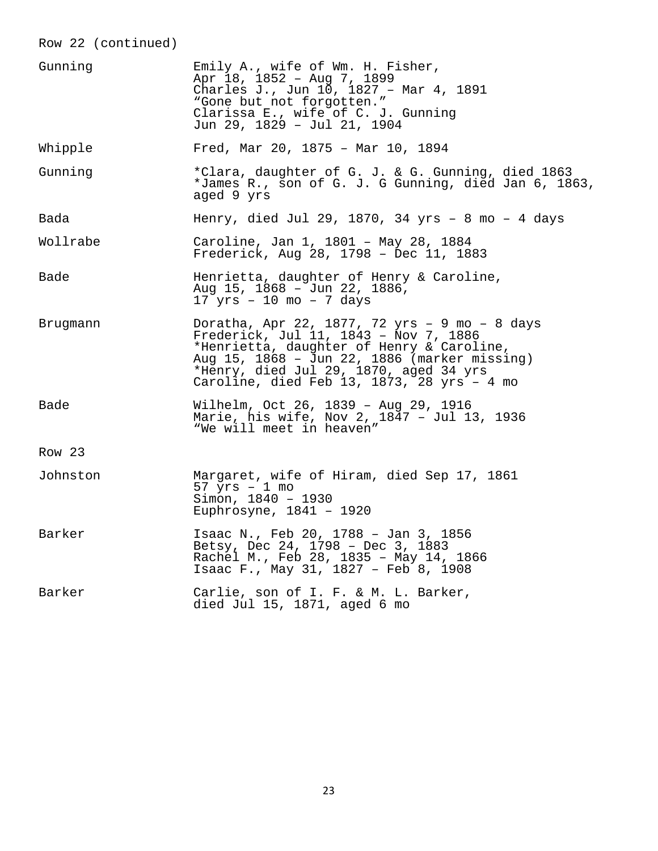Row 22 (continued) Gunning Emily A., wife of Wm. H. Fisher, Apr 18, 1852 – Aug 7, 1899 Charles J., Jun 10, 1827 – Mar 4, 1891 "Gone but not forgotten." Clarissa E., wife of C. J. Gunning Jun 29, 1829 – Jul 21, 1904 Whipple Fred, Mar 20, 1875 – Mar 10, 1894 Gunning \*Clara, daughter of G. J. & G. Gunning, died 1863 \*James R., son of G. J. G Gunning, died Jan 6, 1863, aged 9 yrs Bada Henry, died Jul 29, 1870, 34 yrs – 8 mo – 4 days Wollrabe Caroline, Jan 1, 1801 – May 28, 1884 Frederick, Aug 28, 1798 – Dec 11, 1883 Bade Henrietta, daughter of Henry & Caroline, Aug 15, 1868 – Jun 22, 1886,  $17$  yrs - 10 mo - 7 days Brugmann Doratha, Apr 22, 1877, 72 yrs – 9 mo – 8 days Frederick, Jul 11, 1843 – Nov 7, 1886 \*Henrietta, daughter of Henry & Caroline, Aug 15, 1868 – Jun 22, 1886 (marker missing) \*Henry, died Jul 29, 1870, aged 34 yrs Caroline, died Feb 13, 1873, 28 yrs – 4 mo Bade Wilhelm, Oct 26, 1839 – Aug 29, 1916 Marie, his wife, Nov 2, 1847 – Jul 13, 1936 "We will meet in heaven" Row 23 Johnston Margaret, wife of Hiram, died Sep 17, 1861 57 yrs – 1 mo  $S<sub>1</sub>$   $I<sub>2</sub>$   $I<sub>30</sub>$   $I<sub>40</sub>$   $I<sub>930</sub>$ Euphrosyne, 1841 – 1920 Barker 15aac N., Feb 20, 1788 - Jan 3, 1856 Betsy, Dec 24, 1798 – Dec 3, 1883 Rachel M., Feb 28, 1835 - May 14, 1866 Isaac F., May 31, 1827 – Feb 8, 1908 Barker Carlie, son of I. F. & M. L. Barker, died Jul 15, 1871, aged 6 mo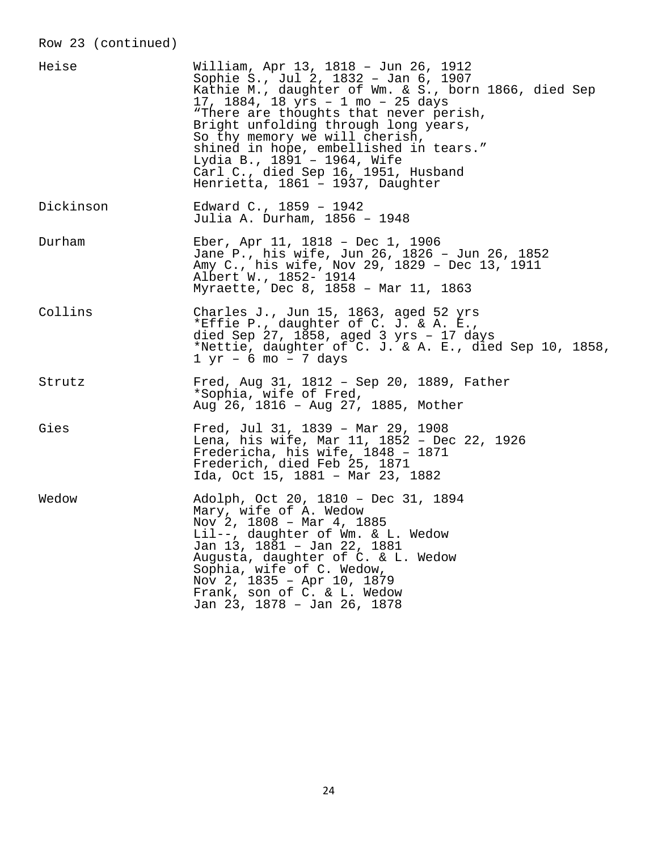# Row 23 (continued)

| Heise     | William, Apr 13, 1818 – Jun 26, 1912<br>Sophie S., Jul 2, 1832 - Jan 6, 1907<br>Kathie M., daughter of Wm. & S., born 1866, died Sep<br>17, 1884, 18 yrs - 1 mo - 25 days<br>"There are thoughts that never perish,<br>Bright unfolding through long years,<br>So thy memory we will cherish,<br>shined in hope, embellished in tears."<br>Lydia B., 1891 - 1964, Wife<br>Carl C., died Sep 16, 1951, Husband<br>Henrietta, 1861 - 1937, Daughter |
|-----------|---------------------------------------------------------------------------------------------------------------------------------------------------------------------------------------------------------------------------------------------------------------------------------------------------------------------------------------------------------------------------------------------------------------------------------------------------|
| Dickinson | Edward C., 1859 - 1942<br>Julia A. Durham, 1856 - 1948                                                                                                                                                                                                                                                                                                                                                                                            |
| Durham    | Eber, Apr 11, 1818 - Dec 1, 1906<br>Jane P., his wife, Jun 26, 1826 - Jun 26, 1852<br>Amy C., his wife, Nov 29, 1829 - Dec 13, 1911<br>Albert W., 1852- 1914<br>Myraette, Dec 8, 1858 - Mar 11, 1863                                                                                                                                                                                                                                              |
| Collins   | Charles J., Jun 15, 1863, aged 52 yrs<br>*Effie P., daughter of C. J. & A. E.,<br>died Sep 27, 1858, aged 3 yrs - 17 days<br>*Nettie, daughter of C. J. & A. E., died Sep 10, 1858,<br>$1 yr - 6 mo - 7 days$                                                                                                                                                                                                                                     |
| Strutz    | Fred, Aug 31, 1812 - Sep 20, 1889, Father<br>*Sophia, wife of Fred,<br>Aug 26, 1816 - Aug 27, 1885, Mother                                                                                                                                                                                                                                                                                                                                        |
| Gies      | Fred, Jul 31, 1839 - Mar 29, 1908<br>Lena, his wife, Mar 11, 1852 - Dec 22, 1926<br>Fredericha, his wife, 1848 - 1871<br>Frederich, died Feb 25, 1871<br>Ida, Oct 15, 1881 - Mar 23, 1882                                                                                                                                                                                                                                                         |
| Wedow     | Adolph, Oct 20, 1810 - Dec 31, 1894<br>Mary, wife of A. Wedow<br>Nov 2, 1808 - Mar 4, 1885<br>Lil--, daughter of Wm. & L. Wedow<br>Jan 13, 1881 - Jan 22, 1881<br>Augusta, daughter of C. & L. Wedow<br>Sophia, wife of C. Wedow,<br>Nov 2, 1835 - Apr 10, 1879<br>Frank, son of C. & L. Wedow<br>Jan 23, 1878 - Jan 26, 1878                                                                                                                     |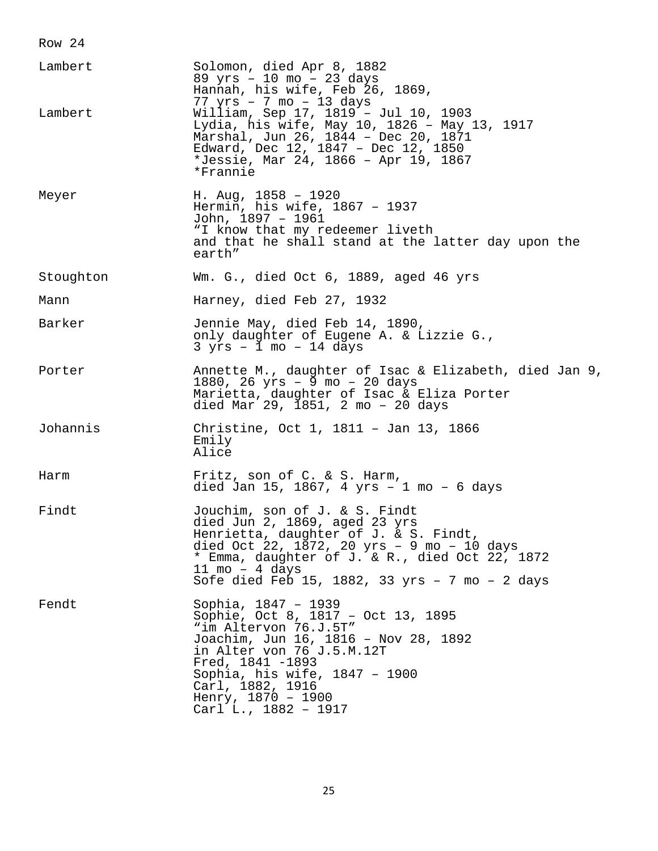| Lambert<br>Lambert | Solomon, died Apr 8, 1882<br>89 yrs - 10 mo - 23 days<br>Hannah, his wife, Feb 26, 1869,<br>77 yrs - 7 mo - 13 days<br>William, Sep 17, 1819 - Jul 10, 1903<br>Lydia, his wife, May 10, 1826 - May 13, 1917<br>Marshal, Jun 26, 1844 - Dec 20, 1871<br>Edward, Dec 12, 1847 - Dec 12, 1850<br>*Jessie, Mar 24, 1866 - Apr 19, 1867<br>*Frannie |
|--------------------|------------------------------------------------------------------------------------------------------------------------------------------------------------------------------------------------------------------------------------------------------------------------------------------------------------------------------------------------|
| Meyer              | H. Aug, $1858 - 1920$<br>Hermin, his wife, 1867 - 1937<br>John, 1897 - 1961<br>"I know that my redeemer liveth<br>and that he shall stand at the latter day upon the<br>earth"                                                                                                                                                                 |
| Stoughton          | Wm. G., died Oct 6, 1889, aged 46 yrs                                                                                                                                                                                                                                                                                                          |
| Mann               | Harney, died Feb 27, 1932                                                                                                                                                                                                                                                                                                                      |
| Barker             | Jennie May, died Feb 14, 1890,<br>only daughter of Eugene A. & Lizzie G.,<br>$3 yrs - 1 mo - 14 days$                                                                                                                                                                                                                                          |
| Porter             | Annette M., daughter of Isac & Elizabeth, died Jan 9,<br>1880, 26 $yrs - 9$ mo - 20 days<br>Marietta, daughter of Isac & Eliza Porter<br>died Mar 29, 1851, 2 mo - 20 days                                                                                                                                                                     |
| Johannis           | Christine, Oct 1, 1811 - Jan 13, 1866<br>Emily<br>Alice                                                                                                                                                                                                                                                                                        |
| Harm               | Fritz, son of C. & S. Harm,<br>died Jan 15, 1867, 4 yrs - 1 mo - 6 days                                                                                                                                                                                                                                                                        |
| Findt              | Jouchim, son of J. & S. Findt<br>died Jun 2, 1869, aged 23 yrs<br>Henrietta, daughter of J. & S. Findt,<br>died Oct 22, $1872$ , 20 yrs - 9 mo - 10 days<br>* Emma, daughter of J. & R., died Oct 22, 1872<br>$11 \text{ mo} - 4 \text{ days}$<br>Sofe died Feb 15, 1882, 33 yrs - 7 mo - 2 days                                               |
| Fendt              | Sophia, 1847 - 1939<br>Sophie, Oct 8, 1817 - Oct 13, 1895<br>"im Altervon 76.J.5T"<br>Joachim, Jun 16, 1816 - Nov 28, 1892<br>in Alter von 76 J.5.M.12T<br>Fred, 1841 -1893<br>Sophia, his wife, 1847 - 1900<br>Carl, 1882, 1916<br>Henry, $1870 - 1900$<br>Carl L., 1882 - 1917                                                               |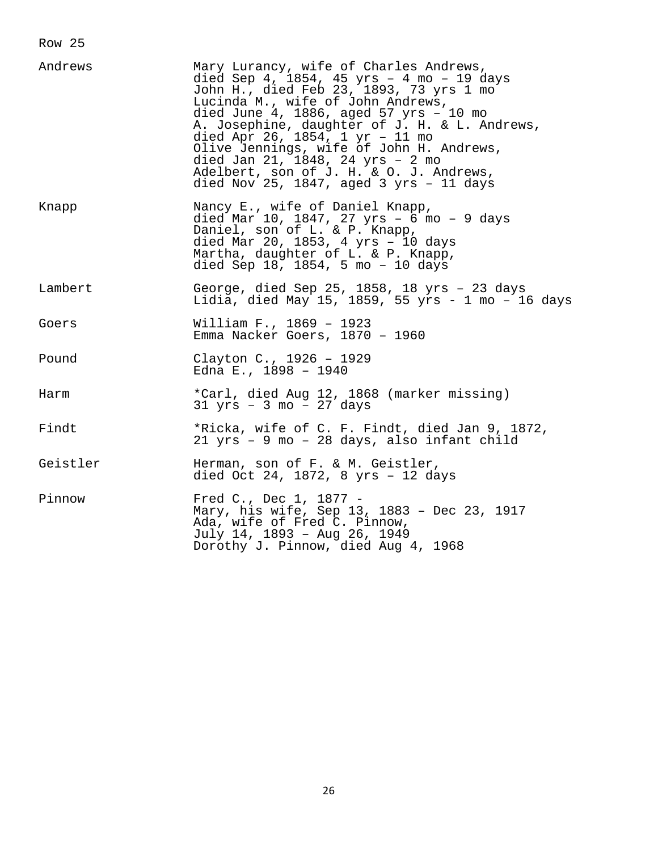| Nancy E., wife of Daniel Knapp,<br>Knapp<br>died Mar 10, 1847, 27 yrs - 6 mo - 9 days<br>Daniel, son of L. & P. Knapp,<br>died Mar 20, 1853, 4 yrs - 10 days<br>Martha, daughter of L. & P. Knapp,<br>died Sep $18$ , $1854$ , 5 mo - 10 days<br>Lambert<br>George, died Sep 25, 1858, 18 yrs - 23 days<br>William F., 1869 - 1923<br>Goers<br>Emma Nacker Goers, 1870 - 1960<br>Clayton C., 1926 - 1929<br>Pound<br>Edna E., $1898 - 1940$<br>*Carl, died Aug 12, 1868 (marker missing)<br>Harm<br>$31 \text{ yrs}$ - 3 mo - 27 days<br>Findt<br>*Ricka, wife of C. F. Findt, died Jan 9, 1872,<br>21 yrs - 9 mo - 28 days, also infant child<br>Geistler<br>Herman, son of F. & M. Geistler,<br>died Oct 24, 1872, 8 yrs - 12 days<br>Fred C., Dec 1, 1877 -<br>Pinnow<br>Mary, his wife, Sep 13, 1883 - Dec 23, 1917<br>Ada, wife of Fred C. Pinnow,<br>July 14, 1893 - Aug 26, 1949<br>Dorothy J. Pinnow, died Aug 4, 1968 | Andrews | Mary Lurancy, wife of Charles Andrews,<br>died Sep 4, 1854, 45 yrs - 4 mo - 19 days<br>John H., died Feb 23, 1893, 73 yrs 1 mo<br>Lucinda M., wife of John Andrews,<br>died June 4, 1886, aged 57 $yrs - 10$ mo<br>A. Josephine, daughter of J. H. & L. Andrews,<br>died Apr 26, 1854, 1 yr - 11 mo<br>Olive Jennings, wife of John H. Andrews,<br>died Jan 21, 1848, 24 yrs - 2 mo<br>Adelbert, son of J. H. & O. J. Andrews,<br>died Nov 25, 1847, aged $3$ yrs - 11 days |
|--------------------------------------------------------------------------------------------------------------------------------------------------------------------------------------------------------------------------------------------------------------------------------------------------------------------------------------------------------------------------------------------------------------------------------------------------------------------------------------------------------------------------------------------------------------------------------------------------------------------------------------------------------------------------------------------------------------------------------------------------------------------------------------------------------------------------------------------------------------------------------------------------------------------------------|---------|-----------------------------------------------------------------------------------------------------------------------------------------------------------------------------------------------------------------------------------------------------------------------------------------------------------------------------------------------------------------------------------------------------------------------------------------------------------------------------|
|                                                                                                                                                                                                                                                                                                                                                                                                                                                                                                                                                                                                                                                                                                                                                                                                                                                                                                                                |         |                                                                                                                                                                                                                                                                                                                                                                                                                                                                             |
|                                                                                                                                                                                                                                                                                                                                                                                                                                                                                                                                                                                                                                                                                                                                                                                                                                                                                                                                |         | Lidia, died May 15, 1859, 55 yrs - 1 mo - 16 days                                                                                                                                                                                                                                                                                                                                                                                                                           |
|                                                                                                                                                                                                                                                                                                                                                                                                                                                                                                                                                                                                                                                                                                                                                                                                                                                                                                                                |         |                                                                                                                                                                                                                                                                                                                                                                                                                                                                             |
|                                                                                                                                                                                                                                                                                                                                                                                                                                                                                                                                                                                                                                                                                                                                                                                                                                                                                                                                |         |                                                                                                                                                                                                                                                                                                                                                                                                                                                                             |
|                                                                                                                                                                                                                                                                                                                                                                                                                                                                                                                                                                                                                                                                                                                                                                                                                                                                                                                                |         |                                                                                                                                                                                                                                                                                                                                                                                                                                                                             |
|                                                                                                                                                                                                                                                                                                                                                                                                                                                                                                                                                                                                                                                                                                                                                                                                                                                                                                                                |         |                                                                                                                                                                                                                                                                                                                                                                                                                                                                             |
|                                                                                                                                                                                                                                                                                                                                                                                                                                                                                                                                                                                                                                                                                                                                                                                                                                                                                                                                |         |                                                                                                                                                                                                                                                                                                                                                                                                                                                                             |
|                                                                                                                                                                                                                                                                                                                                                                                                                                                                                                                                                                                                                                                                                                                                                                                                                                                                                                                                |         |                                                                                                                                                                                                                                                                                                                                                                                                                                                                             |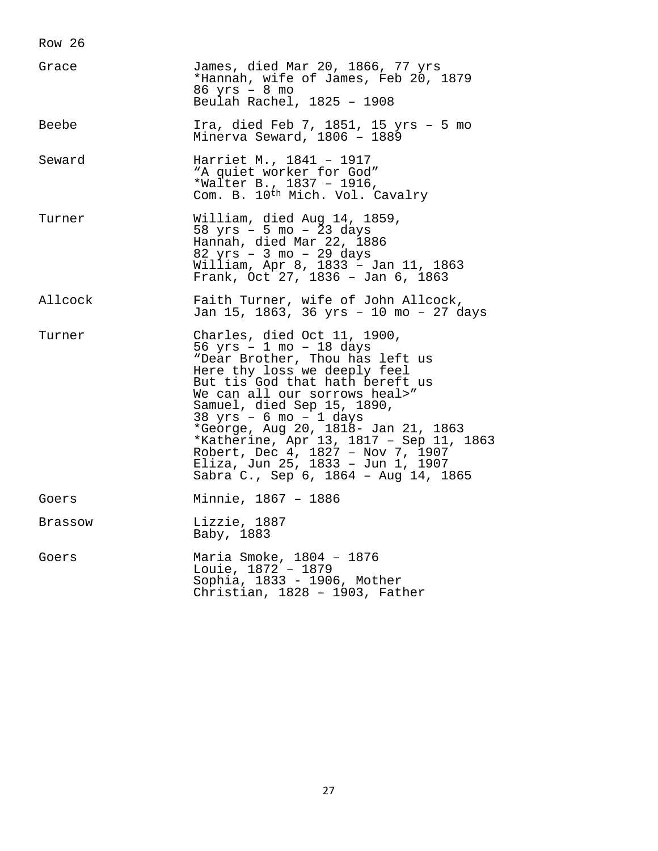| Grace   | James, died Mar 20, 1866, 77 yrs<br>*Hannah, wife of James, Feb 20, 1879<br>$86$ yrs - $8$ mo<br>Beulah Rachel, 1825 - 1908                                                                                                                                                                                                                                                                                                                                 |
|---------|-------------------------------------------------------------------------------------------------------------------------------------------------------------------------------------------------------------------------------------------------------------------------------------------------------------------------------------------------------------------------------------------------------------------------------------------------------------|
| Beebe   | Ira, died Feb 7, 1851, 15 yrs - 5 mo<br>Minerva Seward, 1806 - 1889                                                                                                                                                                                                                                                                                                                                                                                         |
| Seward  | Harriet M., 1841 - 1917<br>"A quiet worker for God"<br>*Walter B., 1837 - 1916,<br>Com. B. 10th Mich. Vol. Cavalry                                                                                                                                                                                                                                                                                                                                          |
| Turner  | William, died Aug 14, 1859,<br>58 $yrs - 5 mo - 23 days$<br>Hannah, died Mar 22, 1886<br>82 yrs - 3 mo - 29 days<br>William, Apr 8, 1833 - Jan 11, 1863<br>Frank, Oct 27, 1836 - Jan 6, 1863                                                                                                                                                                                                                                                                |
| Allcock | Faith Turner, wife of John Allcock,<br>Jan 15, 1863, 36 yrs - 10 mo - 27 days                                                                                                                                                                                                                                                                                                                                                                               |
| Turner  | Charles, died Oct 11, 1900,<br>56 yrs - 1 mo - 18 days<br>"Dear Brother, Thou has left us<br>Here thy loss we deeply feel<br>But tis God that hath bereft us<br>We can all our sorrows heal>"<br>Samuel, died Sep 15, 1890,<br>$38$ yrs - 6 mo - 1 days<br>*George, Aug 20, 1818- Jan 21, 1863<br>*Katherine, Apr 13, 1817 - Sep 11, 1863<br>Robert, Dec 4, 1827 - Nov 7, 1907<br>Eliza, Jun 25, 1833 - Jun 1, 1907<br>Sabra C., Sep 6, 1864 - Aug 14, 1865 |
| Goers   | Minnie, 1867 - 1886                                                                                                                                                                                                                                                                                                                                                                                                                                         |
| Brassow | Lizzie, 1887<br>Baby, 1883                                                                                                                                                                                                                                                                                                                                                                                                                                  |
| Goers   | Maria Smoke, 1804 - 1876<br>Louie, 1872 - 1879<br>Sophia, 1833 - 1906, Mother<br>Christian, 1828 - 1903, Father                                                                                                                                                                                                                                                                                                                                             |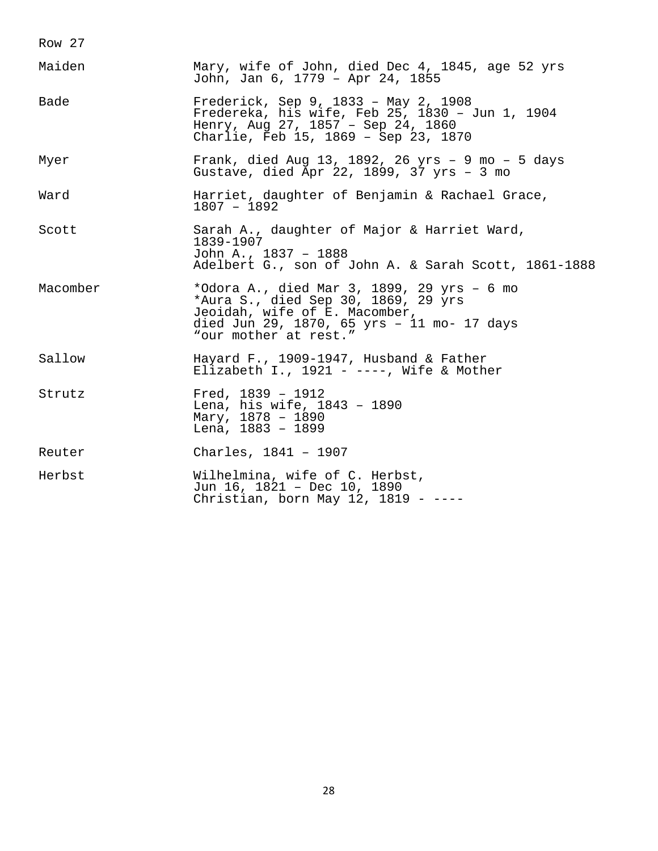| Maiden   | Mary, wife of John, died Dec 4, 1845, age 52 yrs<br>John, Jan 6, 1779 - Apr 24, 1855                                                                                                      |
|----------|-------------------------------------------------------------------------------------------------------------------------------------------------------------------------------------------|
| Bade     | Frederick, Sep 9, 1833 - May 2, 1908<br>Fredereka, his wife, Feb 25, 1830 - Jun 1, 1904<br>Henry, Aug 27, 1857 - Sep 24, 1860<br>Charlie, Feb 15, 1869 - Sep 23, 1870                     |
| Myer     | Frank, died Aug 13, 1892, 26 yrs - 9 mo - 5 days<br>Gustave, died Apr 22, 1899, 37 yrs - 3 mo                                                                                             |
| Ward     | Harriet, daughter of Benjamin & Rachael Grace,<br>$1807 - 1892$                                                                                                                           |
| Scott    | Sarah A., daughter of Major & Harriet Ward,<br>1839-1907<br>John A., 1837 - 1888<br>Adelbert G., son of John A. & Sarah Scott, 1861-1888                                                  |
| Macomber | *Odora A., died Mar 3, 1899, 29 yrs - 6 mo<br>*Aura S., died Sep 30, 1869, 29 yrs<br>Jeoidah, wife of E. Macomber,<br>died Jun 29, 1870, 65 yrs - 11 mo- 17 days<br>"our mother at rest." |
| Sallow   | Hayard F., 1909-1947, Husband & Father<br>Elizabeth I., 1921 - ----, Wife & Mother                                                                                                        |
| Strutz   | Fred, $1839 - 1912$<br>Lena, his wife, 1843 - 1890<br>Mary, 1878 - 1890<br>Lena, 1883 - 1899                                                                                              |
| Reuter   | Charles, 1841 - 1907                                                                                                                                                                      |
| Herbst   | Wilhelmina, wife of C. Herbst,<br>Jun 16, 1821 - Dec 10, 1890<br>Christian, born May 12, 1819 - $---$                                                                                     |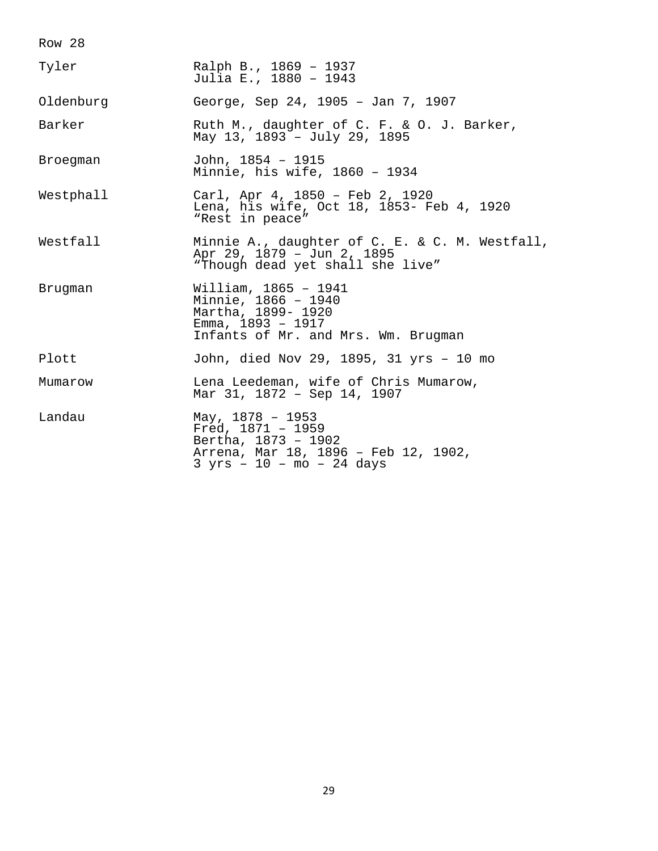| Tyler     | Ralph B., 1869 - 1937<br>Julia E., 1880 - 1943                                                                                          |
|-----------|-----------------------------------------------------------------------------------------------------------------------------------------|
| Oldenburg | George, Sep 24, 1905 - Jan 7, 1907                                                                                                      |
| Barker    | Ruth M., daughter of C. F. & O. J. Barker,<br>May 13, 1893 - July 29, 1895                                                              |
| Broegman  | John, 1854 - 1915<br>Minnie, his wife, 1860 - 1934                                                                                      |
| Westphall | Carl, Apr 4, 1850 - Feb 2, 1920<br>Lena, his wife, Oct 18, 1853- Feb 4, 1920<br>"Rest in peace"                                         |
| Westfall  | Minnie A., daughter of C. E. & C. M. Westfall,<br>Apr 29, 1879 - Jun 2, 1895<br>"Though dead yet shall she live"                        |
| Brugman   | William, 1865 - 1941<br>Minnie, 1866 - 1940<br>Martha, 1899- 1920<br>Emma, $1893 - 1917$<br>Infants of Mr. and Mrs. Wm. Brugman         |
| Plott     | John, died Nov 29, 1895, 31 yrs - 10 mo                                                                                                 |
| Mumarow   | Lena Leedeman, wife of Chris Mumarow,<br>Mar 31, 1872 - Sep 14, 1907                                                                    |
| Landau    | May, $1878 - 1953$<br>Fred, $1871 - 1959$<br>Bertha, 1873 - 1902<br>Arrena, Mar 18, 1896 - Feb 12, 1902,<br>$3 yrs - 10 - mo - 24 days$ |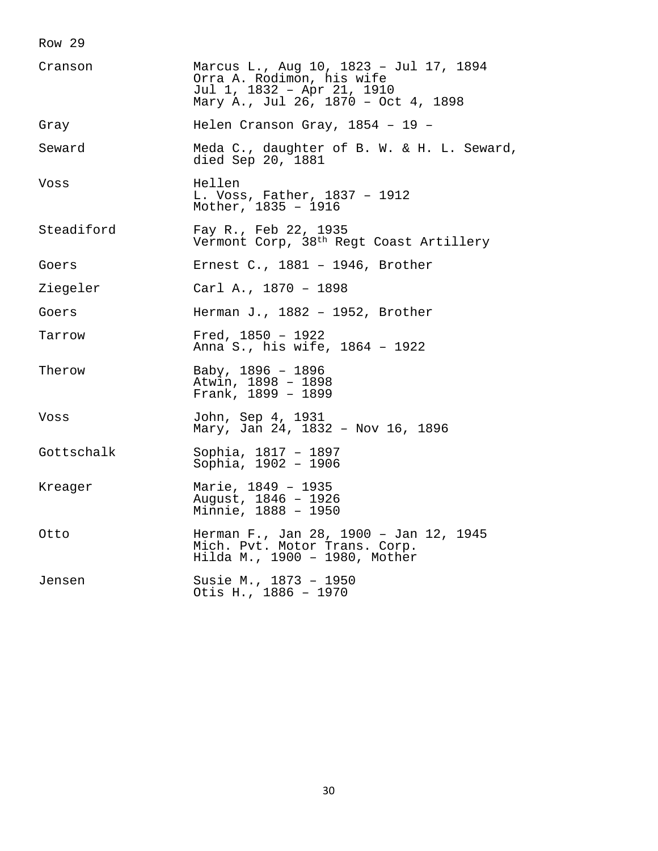| Cranson    | Marcus L., Aug 10, 1823 - Jul 17, 1894<br>Orra A. Rodimon, his wife<br>Jul 1, 1832 - Apr 21, 1910<br>Mary A., Jul 26, 1870 - Oct 4, 1898 |
|------------|------------------------------------------------------------------------------------------------------------------------------------------|
| Gray       | Helen Cranson Gray, 1854 - 19 -                                                                                                          |
| Seward     | Meda C., daughter of B. W. & H. L. Seward,<br>died Sep 20, 1881                                                                          |
| Voss       | Hellen<br>L. Voss, Father, 1837 - 1912<br>Mother, 1835 - 1916                                                                            |
| Steadiford | Fay R., Feb 22, 1935<br>Vermont Corp, 38th Regt Coast Artillery                                                                          |
| Goers      | Ernest C., $1881 - 1946$ , Brother                                                                                                       |
| Ziegeler   | Carl A., 1870 - 1898                                                                                                                     |
| Goers      | Herman J., 1882 - 1952, Brother                                                                                                          |
| Tarrow     | Fred, $1850 - 1922$<br>Anna S., his wife, 1864 - 1922                                                                                    |
| Therow     | Baby, 1896 - 1896<br>Atwin, 1898 - 1898<br>Frank, $1899 - 1899$                                                                          |
| Voss       | John, Sep 4, 1931<br>Mary, Jan 24, 1832 - Nov 16, 1896                                                                                   |
| Gottschalk | Sophia, 1817 - 1897<br>Sophia, 1902 - 1906                                                                                               |
| Kreager    | Marie, 1849 - 1935<br>August, 1846 - 1926<br>Minnie, 1888 - 1950                                                                         |
| Otto       | Herman F., Jan 28, 1900 - Jan 12, 1945<br>Mich. Pvt. Motor Trans. Corp.<br>Hilda M., 1900 - 1980, Mother                                 |
| Jensen     | Susie M., 1873 - 1950<br>Otis H., 1886 - 1970                                                                                            |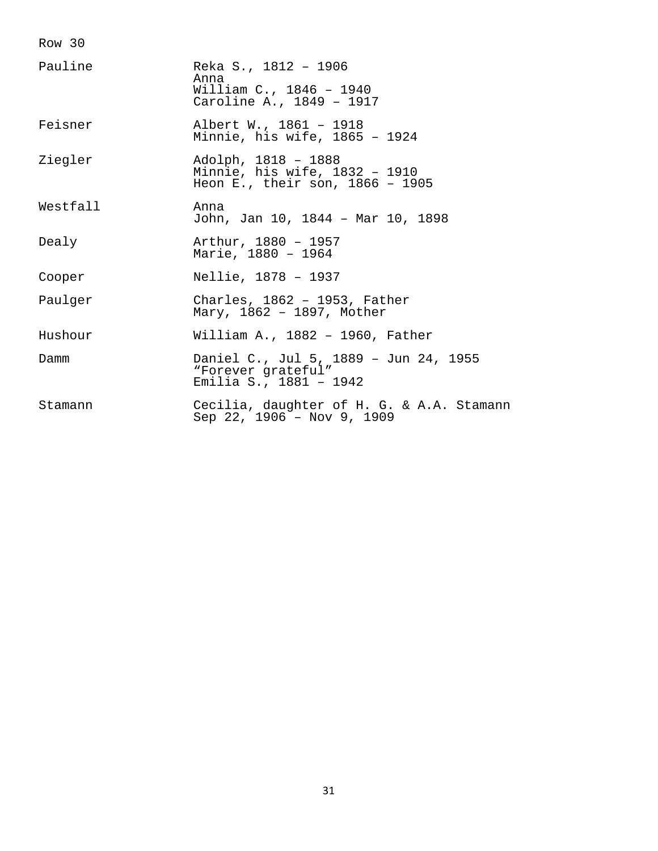| Pauline  | Reka S., 1812 - 1906<br>Anna<br>William C., 1846 - 1940<br>Caroline A., 1849 - 1917       |
|----------|-------------------------------------------------------------------------------------------|
| Feisner  | Albert W., 1861 - 1918<br>Minnie, his wife, 1865 - 1924                                   |
| Ziegler  | Adolph, 1818 - 1888<br>Minnie, his wife, 1832 - 1910<br>Heon E., their son, $1866 - 1905$ |
| Westfall | Anna<br>John, Jan 10, 1844 - Mar 10, 1898                                                 |
| Dealy    | Arthur, 1880 - 1957<br>Marie, 1880 - 1964                                                 |
| Cooper   | Nellie, 1878 - 1937                                                                       |
| Paulger  | Charles, 1862 - 1953, Father<br>Mary, 1862 - 1897, Mother                                 |
| Hushour  | William A., $1882 - 1960$ , Father                                                        |
| Damm     | Daniel C., Jul 5, 1889 - Jun 24, 1955<br>"Forever grateful"<br>Emilia S., 1881 - 1942     |
| Stamann  | Cecilia, daughter of H. G. & A.A. Stamann<br>Sep 22, 1906 - Nov 9, 1909                   |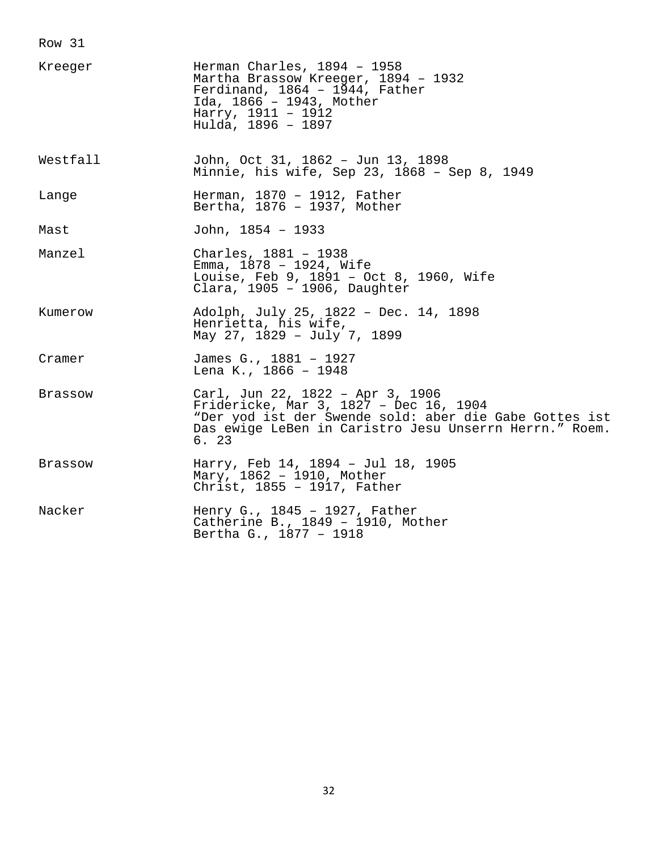| Kreeger  | Herman Charles, $1894 - 1958$<br>Martha Brassow Kreeger, 1894 - 1932<br>Ferdinand, 1864 - 1944, Father<br>Ida, 1866 - 1943, Mother<br>Harry, 1911 - 1912<br>Hulda, 1896 - 1897                         |
|----------|--------------------------------------------------------------------------------------------------------------------------------------------------------------------------------------------------------|
| Westfall | John, Oct 31, 1862 - Jun 13, 1898<br>Minnie, his wife, Sep 23, 1868 - Sep 8, 1949                                                                                                                      |
| Lange    | Herman, 1870 - 1912, Father<br>Bertha, 1876 - 1937, Mother                                                                                                                                             |
| Mast     | John, $1854 - 1933$                                                                                                                                                                                    |
| Manzel   | Charles, 1881 - 1938<br>Emma, 1878 - 1924, Wife<br>Louise, Feb 9, 1891 - Oct 8, 1960, Wife<br>Clara, 1905 - 1906, Daughter                                                                             |
| Kumerow  | Adolph, July 25, 1822 - Dec. 14, 1898<br>Henrietta, his wife,<br>May 27, 1829 - July 7, 1899                                                                                                           |
| Cramer   | James G., 1881 - 1927<br>Lena K., 1866 - 1948                                                                                                                                                          |
| Brassow  | Carl, Jun 22, 1822 - Apr 3, 1906<br>Fridericke, Mar 3, 1827 - Dec 16, 1904<br>"Der yod ist der Swende sold: aber die Gabe Gottes ist<br>Das ewige LeBen in Caristro Jesu Unserrn Herrn." Roem.<br>6.23 |
| Brassow  | Harry, Feb 14, 1894 - Jul 18, 1905<br>Mary, 1862 - 1910, Mother<br>Christ, 1855 - 1917, Father                                                                                                         |
| Nacker   | Henry G., 1845 - 1927, Father<br>Catherine B., 1849 - 1910, Mother<br>Bertha G., 1877 - 1918                                                                                                           |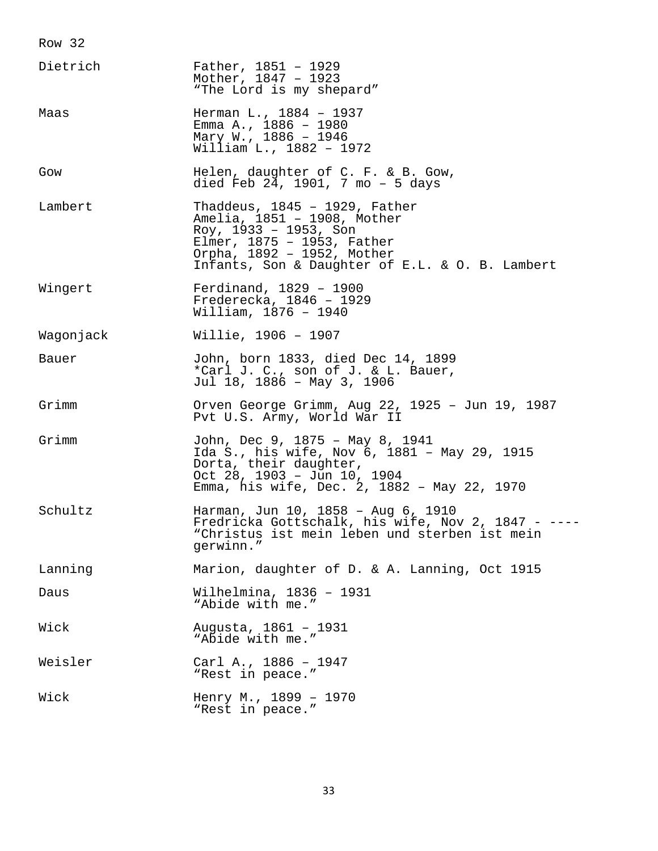| Dietrich  | Father, $1851 - 1929$<br>Mother, 1847 - 1923<br>"The Lord is my shepard"                                                                                                                                   |
|-----------|------------------------------------------------------------------------------------------------------------------------------------------------------------------------------------------------------------|
| Maas      | Herman L., 1884 - 1937<br>Emma A., 1886 - 1980<br>Mary W., 1886 - 1946<br>William L., 1882 - 1972                                                                                                          |
| Gow       | Helen, daughter of C. F. & B. Gow,<br>died Feb 24, 1901, 7 mo - 5 days                                                                                                                                     |
| Lambert   | Thaddeus, $1845 - 1929$ , Father<br>Amelia, 1851 - 1908, Mother<br>Roy, $1933 - 1953$ , Son<br>Elmer, 1875 - 1953, Father<br>Orpha, 1892 - 1952, Mother<br>Infants, Son & Daughter of E.L. & O. B. Lambert |
| Wingert   | Ferdinand, $1829 - 1900$<br>Frederecka, 1846 - 1929<br>William, 1876 - 1940                                                                                                                                |
| Waqonjack | Willie, 1906 - 1907                                                                                                                                                                                        |
| Bauer     | John, born 1833, died Dec 14, 1899<br>*Carl J. C., son of J. & L. Bauer,<br>Jul 18, 1886 - May 3, 1906                                                                                                     |
| Grimm     | Orven George Grimm, Aug 22, 1925 - Jun 19, 1987<br>Pvt U.S. Army, World War II                                                                                                                             |
| Grimm     | John, Dec 9, 1875 - May 8, 1941<br>Ida S., his wife, Nov 6, 1881 - May 29, 1915<br>Dorta, their daughter,<br>Oct 28, 1903 - Jun 10, 1904<br>Emma, his wife, Dec. 2, 1882 - May 22, 1970                    |
| Schultz   | Harman, Jun 10, 1858 - Aug 6, 1910<br>Fredricka Gottschalk, his wife, Nov 2, 1847 - ----<br>"Christus ist mein leben und sterben ist mein<br>qerwinn."                                                     |
| Lanning   | Marion, daughter of D. & A. Lanning, Oct 1915                                                                                                                                                              |
| Daus      | Wilhelmina, 1836 - 1931<br>"Abide with me."                                                                                                                                                                |
| Wick      | Augusta, 1861 - 1931<br>"Abide with me."                                                                                                                                                                   |
| Weisler   | Carl A., 1886 - 1947<br>"Rest in peace."                                                                                                                                                                   |
| Wick      | Henry M., 1899 - 1970<br>"Rest in peace."                                                                                                                                                                  |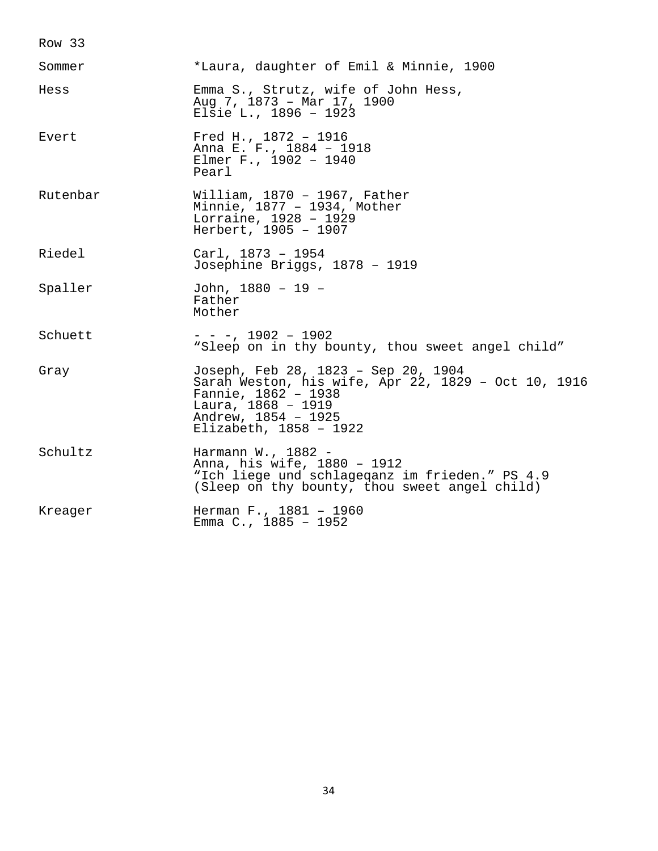| Sommer   | *Laura, daughter of Emil & Minnie, 1900                                                                                                                                                  |
|----------|------------------------------------------------------------------------------------------------------------------------------------------------------------------------------------------|
| Hess     | Emma S., Strutz, wife of John Hess,<br>Aug 7, 1873 - Mar 17, 1900<br>Elsie L., 1896 - 1923                                                                                               |
| Evert    | Fred H., 1872 - 1916<br>Anna E. F., 1884 - 1918<br>Elmer F., 1902 - 1940<br>Pearl                                                                                                        |
| Rutenbar | William, $1870 - 1967$ , Father<br>Minnie, 1877 - 1934, Mother<br>Lorraine, 1928 - 1929<br>Herbert, 1905 - 1907                                                                          |
| Riedel   | $Carl, 1873 - 1954$<br>Josephine Briggs, 1878 - 1919                                                                                                                                     |
| Spaller  | John, 1880 - 19 -<br>Father<br>Mother                                                                                                                                                    |
| Schuett  | $- - -$ , 1902 - 1902<br>"Sleep on in thy bounty, thou sweet angel child"                                                                                                                |
| Gray     | Joseph, Feb 28, 1823 - Sep 20, 1904<br>Sarah Weston, his wife, Apr 22, 1829 - Oct 10, 1916<br>Fannie, 1862 - 1938<br>Laura, 1868 - 1919<br>Andrew, 1854 - 1925<br>Elizabeth, 1858 - 1922 |
| Schultz  | Harmann W., 1882 -<br>Anna, his wife, 1880 - 1912<br>"Ich liege und schlageganz im frieden." PS 4.9<br>(Sleep on thy bounty, thou sweet angel child)                                     |
| Kreager  | Herman F., 1881 - 1960<br>Emma C., 1885 - 1952                                                                                                                                           |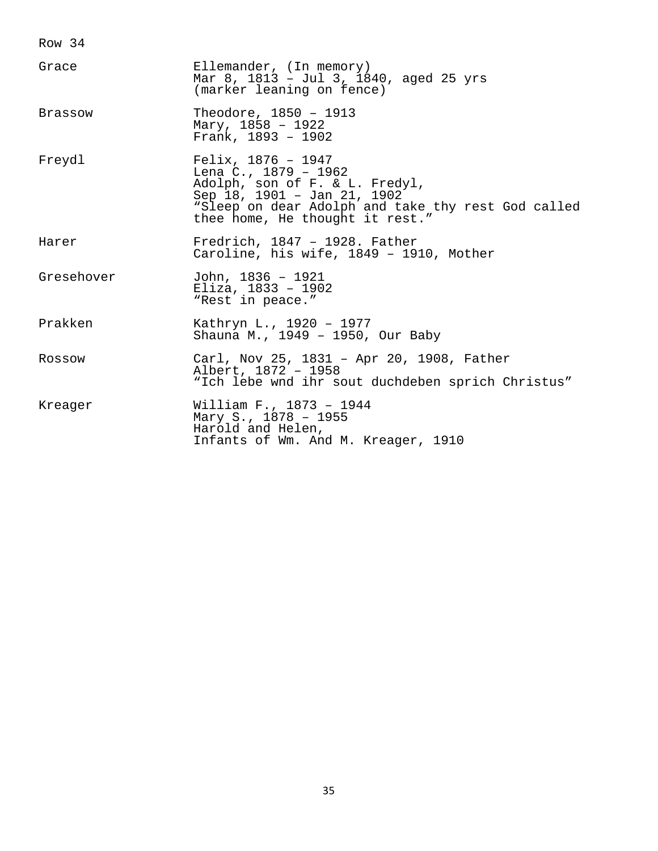| Grace          | Ellemander, (In memory)<br>Mar 8, 1813 - Jul 3, 1840, aged 25 yrs<br>(marker leaning on fence)                                                                                                           |
|----------------|----------------------------------------------------------------------------------------------------------------------------------------------------------------------------------------------------------|
| <b>Brassow</b> | Theodore, 1850 - 1913<br>Mary, $1858 - 1922$<br>Frank, 1893 - 1902                                                                                                                                       |
| Freydl         | Felix, $1876 - 1947$<br>Lena C., $1879 - 1962$<br>Adolph, son of F. & L. Fredyl,<br>Sep 18, 1901 - Jan 21, 1902<br>"Sleep on dear Adolph and take thy rest God called<br>thee home, He thought it rest." |
| Harer          | Fredrich, $1847 - 1928$ . Father<br>Caroline, his wife, 1849 - 1910, Mother                                                                                                                              |
| Gresehover     | John, 1836 - 1921<br>Eliza, $1833 - 1902$<br>"Rest in peace."                                                                                                                                            |
| Prakken        | Kathryn L., 1920 - 1977<br>Shauna M., 1949 - 1950, Our Baby                                                                                                                                              |
| Rossow         | Carl, Nov 25, 1831 - Apr 20, 1908, Father<br>Albert, 1872 - 1958<br>"Ich lebe wnd ihr sout duchdeben sprich Christus"                                                                                    |
| Kreager        | William F., 1873 - 1944<br>Mary S., 1878 - 1955<br>Harold and Helen,<br>Infants of Wm. And M. Kreager, 1910                                                                                              |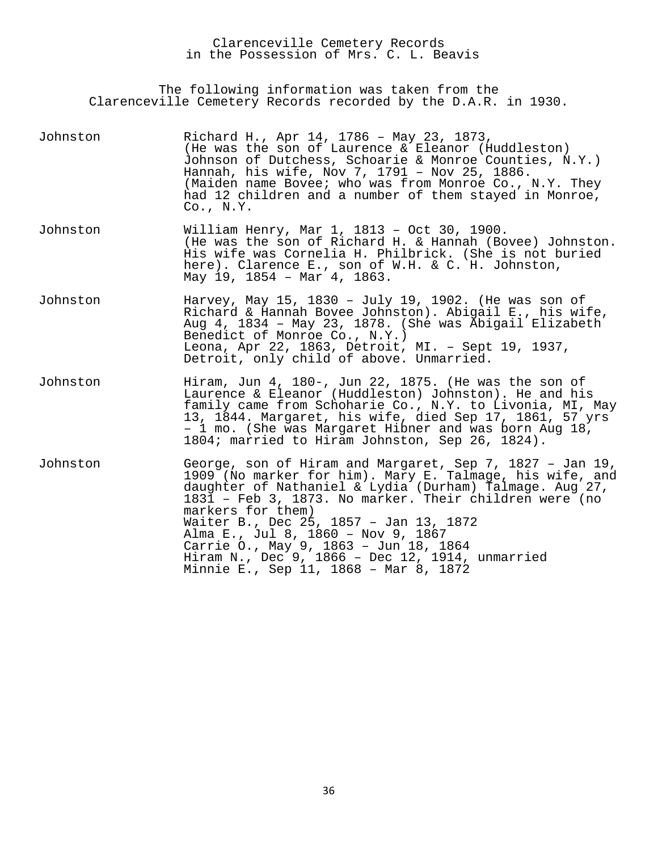Clarenceville Cemetery Records in the Possession of Mrs. C. L. Beavis

The following information was taken from the Clarenceville Cemetery Records recorded by the D.A.R. in 1930.

| Johnston | Richard H., Apr 14, 1786 - May 23, 1873,<br>(He was the son of Laurence & Eleanor (Huddleston)<br>Johnson of Dutchess, Schoarie & Monroe Counties, N.Y.)<br>Hannah, his wife, Nov 7, 1791 - Nov 25, 1886.<br>(Maiden name Bovee; who was from Monroe Co., N.Y. They<br>had 12 children and a number of them stayed in Monroe,<br>$Co.$ , $N.Y.$                                                                                                                                     |
|----------|-------------------------------------------------------------------------------------------------------------------------------------------------------------------------------------------------------------------------------------------------------------------------------------------------------------------------------------------------------------------------------------------------------------------------------------------------------------------------------------|
| Johnston | William Henry, Mar 1, 1813 - Oct 30, 1900.<br>(He was the son of Richard H. & Hannah (Bovee) Johnston.<br>His wife was Cornelia H. Philbrick. (She is not buried<br>here). Clarence E., son of W.H. & C. H. Johnston,<br>May 19, 1854 - Mar 4, 1863.                                                                                                                                                                                                                                |
| Johnston | Harvey, May 15, 1830 - July 19, 1902. (He was son of<br>Richard & Hannah Bovee Johnston). Abigail E., his wife,<br>Aug 4, 1834 - May 23, 1878. (She was Abigail Elizabeth<br>Benedict of Monroe Co., N.Y.)<br>Leona, Apr 22, 1863, Detroit, MI. - Sept 19, 1937,<br>Detroit, only child of above. Unmarried.                                                                                                                                                                        |
| Johnston | Hiram, Jun 4, 180-, Jun 22, 1875. (He was the son of<br>Laurence & Eleanor (Huddleston) Johnston). He and his<br>family came from Schoharie Co., N.Y. to Livonia, MI, May<br>13, 1844. Margaret, his wife, died Sep 17, 1861, 57 yrs<br>- 1 mo. (She was Margaret Hibner and was born Aug 18,<br>1804; married to Hiram Johnston, Sep 26, 1824).                                                                                                                                    |
| Johnston | George, son of Hiram and Margaret, Sep 7, 1827 - Jan 19,<br>1909 (No marker for him). Mary E. Talmage, his wife, and<br>daughter of Nathaniel & Lydia (Durham) Talmage. Aug 27,<br>1831 - Feb 3, 1873. No marker. Their children were (no<br>markers for them)<br>Waiter B., Dec 25, 1857 - Jan 13, 1872<br>Alma E., Jul 8, 1860 - Nov 9, 1867<br>Carrie O., May 9, 1863 - Jun 18, 1864<br>Hiram N., Dec 9, 1866 - Dec 12, 1914, unmarried<br>Minnie E., Sep 11, 1868 - Mar 8, 1872 |
|          |                                                                                                                                                                                                                                                                                                                                                                                                                                                                                     |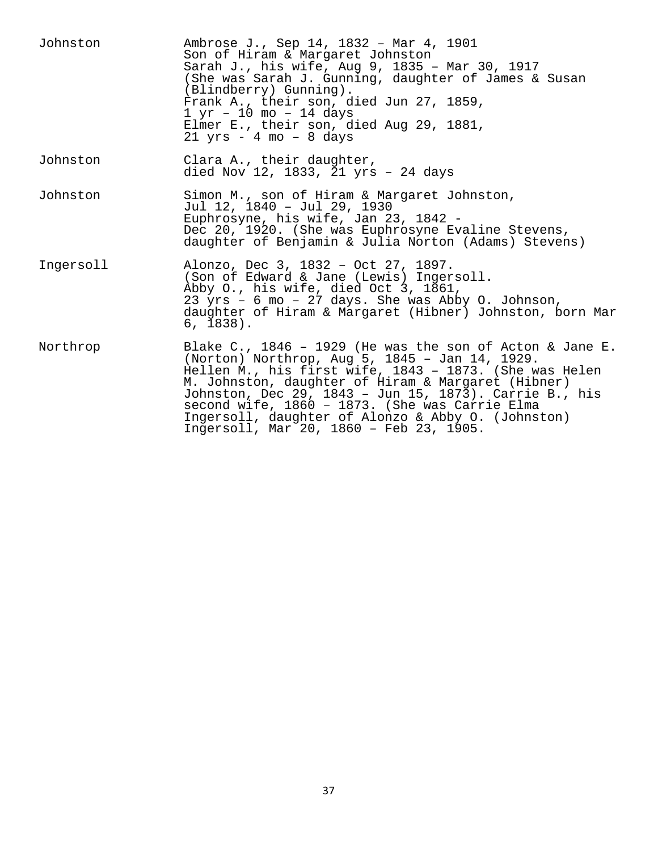| Johnston  | Ambrose J., Sep 14, 1832 - Mar 4, 1901<br>Son of Hiram & Margaret Johnston<br>Sarah J., his wife, Aug 9, 1835 - Mar 30, 1917<br>(She was Sarah J. Gunning, daughter of James & Susan<br>(Blindberry) Gunning).<br>Frank A., their son, died Jun 27, 1859,<br>$1 \text{ yr} - 10 \text{ mo} - 14 \text{ days}$<br>Elmer E., their son, died Aug 29, 1881,<br>$21$ yrs - 4 mo - 8 days                                                    |
|-----------|-----------------------------------------------------------------------------------------------------------------------------------------------------------------------------------------------------------------------------------------------------------------------------------------------------------------------------------------------------------------------------------------------------------------------------------------|
| Johnston  | Clara A., their daughter,<br>died Nov 12, 1833, 21 yrs - 24 days                                                                                                                                                                                                                                                                                                                                                                        |
| Johnston  | Simon M., son of Hiram & Margaret Johnston,<br>Jul 12, 1840 - Jul 29, 1930<br>Euphrosyne, his wife, Jan 23, 1842 -<br>Dec 20, 1920. (She was Euphrosyne Evaline Stevens,<br>daughter of Benjamin & Julia Norton (Adams) Stevens)                                                                                                                                                                                                        |
| Ingersoll | Alonzo, Dec 3, 1832 - Oct 27, 1897.<br>(Son of Edward & Jane (Lewis) Ingersoll.<br>Abby O., his wife, died Oct 3, 1861,<br>23 yrs - 6 mo - 27 days. She was Abby 0. Johnson,<br>daughter of Hiram & Margaret (Hibner) Johnston, born Mar<br>$6, 1838$ .                                                                                                                                                                                 |
| Northrop  | Blake C., 1846 - 1929 (He was the son of Acton & Jane E.<br>(Norton) Northrop, Aug 5, 1845 - Jan 14, 1929.<br>Hellen M., his first wife, 1843 - 1873. (She was Helen<br>M. Johnston, daughter of Hiram & Margaret (Hibner)<br>Johnston, Dec 29, 1843 - Jun 15, 1873). Carrie B., his<br>second wife, 1860 - 1873. (She was Carrie Elma<br>Ingersoll, daughter of Alonzo & Abby O. (Johnston)<br>Ingersoll, Mar 20, 1860 - Feb 23, 1905. |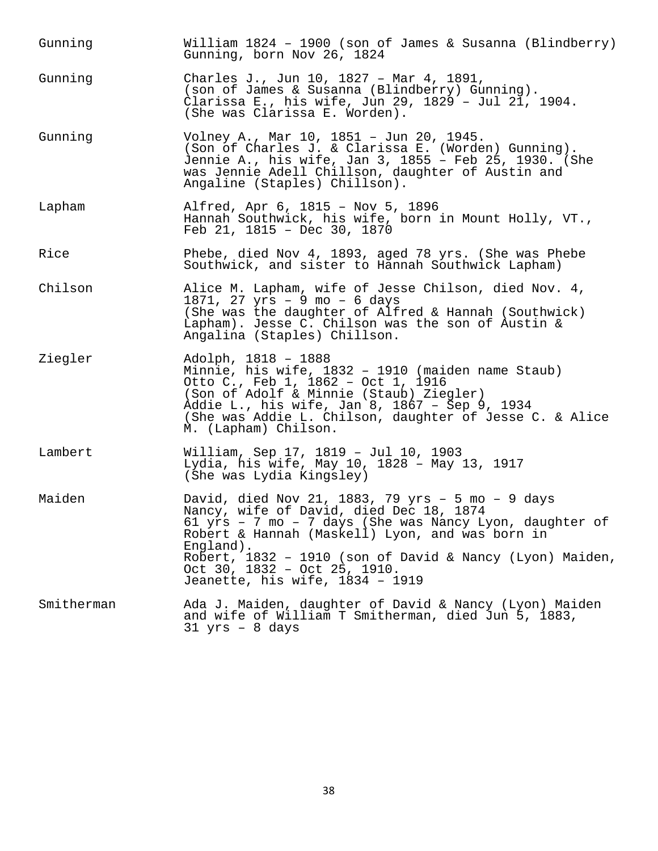| Gunning    | William $1824 - 1900$ (son of James & Susanna (Blindberry)<br>Gunning, born Nov 26, 1824                                                                                                                                                                                                                                                                       |
|------------|----------------------------------------------------------------------------------------------------------------------------------------------------------------------------------------------------------------------------------------------------------------------------------------------------------------------------------------------------------------|
| Gunning    | Charles J., Jun 10, 1827 - Mar 4, 1891,<br>(son of James & Susanna (Blindberry) Gunning).<br>Clarissa E., his wife, Jun 29, 1829 - Jul 21, 1904.<br>(She was Clarissa E. Worden).                                                                                                                                                                              |
| Gunning    | Volney A., Mar 10, 1851 - Jun 20, 1945.<br>(Son of Charles J. & Clarissa E. (Worden) Gunning).<br>Jennie A., his wife, Jan 3, 1855 - Feb 25, 1930. (She<br>was Jennie Adell Chillson, daughter of Austin and<br>Angaline (Staples) Chillson).                                                                                                                  |
| Lapham     | Alfred, Apr 6, 1815 - Nov 5, 1896<br>Hannah Southwick, his wife, born in Mount Holly, VT.,<br>Feb 21, 1815 - Dec 30, 1870                                                                                                                                                                                                                                      |
| Rice       | Phebe, died Nov 4, 1893, aged 78 yrs. (She was Phebe<br>Southwick, and sister to Hannah Southwick Lapham)                                                                                                                                                                                                                                                      |
| Chilson    | Alice M. Lapham, wife of Jesse Chilson, died Nov. 4,<br>1871, 27 $yrs - 9$ mo - 6 days<br>(She was the daughter of Alfred & Hannah (Southwick)<br>Lapham). Jesse C. Chilson was the son of Austin &<br>Angalina (Staples) Chillson.                                                                                                                            |
| Ziegler    | Adolph, 1818 - 1888<br>Minnie, his wife, 1832 - 1910 (maiden name Staub)<br>Otto C., Feb 1, 1862 - Oct 1, 1916<br>(Son of Adolf & Minnie (Staub) Ziegler)<br>Addie L., his wife, Jan 8, 1867 - Sep 9, 1934<br>(She was Addie L. Chilson, daughter of Jesse C. & Alice<br>M. (Lapham) Chilson.                                                                  |
| Lambert    | William, Sep 17, 1819 - Jul 10, 1903<br>Lydia, his wife, May 10, 1828 - May 13, 1917<br>(She was Lydia Kingsley)                                                                                                                                                                                                                                               |
| Maiden     | David, died Nov 21, 1883, 79 yrs - 5 mo - 9 days<br>Nancy, wife of David, died Dec 18, 1874<br>61 yrs - 7 mo - 7 days (She was Nancy Lyon, daughter of<br>Robert & Hannah (Maskell) Lyon, and was born in<br>$England$ ).<br>Robert, 1832 - 1910 (son of David & Nancy (Lyon) Maiden,<br>Oct 30, $1832 - Oct 25$ , $1910$ .<br>Jeanette, his wife, 1834 - 1919 |
| Smitherman | Ada J. Maiden, daughter of David & Nancy (Lyon) Maiden<br>and wife of William T Smitherman, died Jun 5, 1883,<br>$31$ yrs - 8 days                                                                                                                                                                                                                             |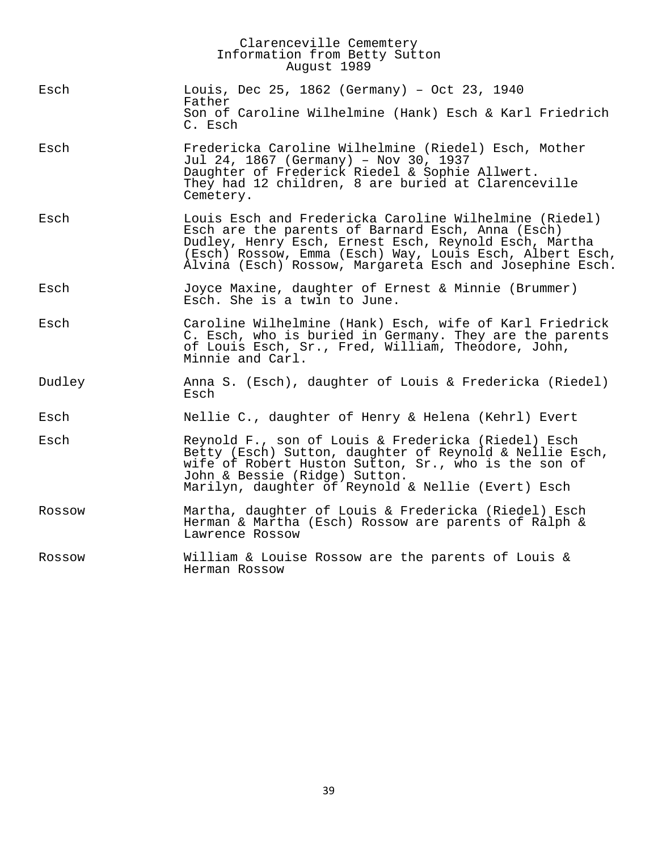|        | Clarenceville Cememtery<br>Information from Betty Sutton<br>August 1989                                                                                                                                                                                                                      |
|--------|----------------------------------------------------------------------------------------------------------------------------------------------------------------------------------------------------------------------------------------------------------------------------------------------|
| Esch   | Louis, Dec 25, 1862 (Germany) - Oct 23, 1940<br>Father<br>Son of Caroline Wilhelmine (Hank) Esch & Karl Friedrich                                                                                                                                                                            |
|        | C. Esch                                                                                                                                                                                                                                                                                      |
| Esch   | Fredericka Caroline Wilhelmine (Riedel) Esch, Mother<br>Jul 24, 1867 (Germany) - Nov 30, 1937<br>Daughter of Frederick Riedel & Sophie Allwert.<br>They had 12 children, 8 are buried at Clarenceville<br>Cemetery.                                                                          |
| Esch   | Louis Esch and Fredericka Caroline Wilhelmine (Riedel)<br>Esch are the parents of Barnard Esch, Anna (Esch)<br>Dudley, Henry Esch, Ernest Esch, Reynold Esch, Martha<br>(Esch) Rossow, Emma (Esch) Way, Louis Esch, Albert Esch,<br>Alvina (Esch) Rossow, Margareta Esch and Josephine Esch. |
| Esch   | Joyce Maxine, daughter of Ernest & Minnie (Brummer)<br>Esch. She is a twin to June.                                                                                                                                                                                                          |
| Esch   | Caroline Wilhelmine (Hank) Esch, wife of Karl Friedrick<br>C. Esch, who is buried in Germany. They are the parents<br>of Louis Esch, Sr., Fred, William, Theodore, John,<br>Minnie and Carl.                                                                                                 |
| Dudley | Anna S. (Esch), daughter of Louis & Fredericka (Riedel)<br>Esch                                                                                                                                                                                                                              |
| Esch   | Nellie C., daughter of Henry & Helena (Kehrl) Evert                                                                                                                                                                                                                                          |
| Esch   | Reynold F., son of Louis & Fredericka (Riedel) Esch<br>Betty (Esch) Sutton, daughter of Reynold & Nellie Esch,<br>wife of Robert Huston Sutton, Sr., who is the son of<br>John & Bessie (Ridge) Sutton.<br>Marilyn, daughter of Reynold & Nellie (Evert) Esch                                |
| Rossow | Martha, daughter of Louis & Fredericka (Riedel) Esch<br>Herman & Martha (Esch) Rossow are parents of Ralph &<br>Lawrence Rossow                                                                                                                                                              |
| Rossow | William & Louise Rossow are the parents of Louis &<br>Herman Rossow                                                                                                                                                                                                                          |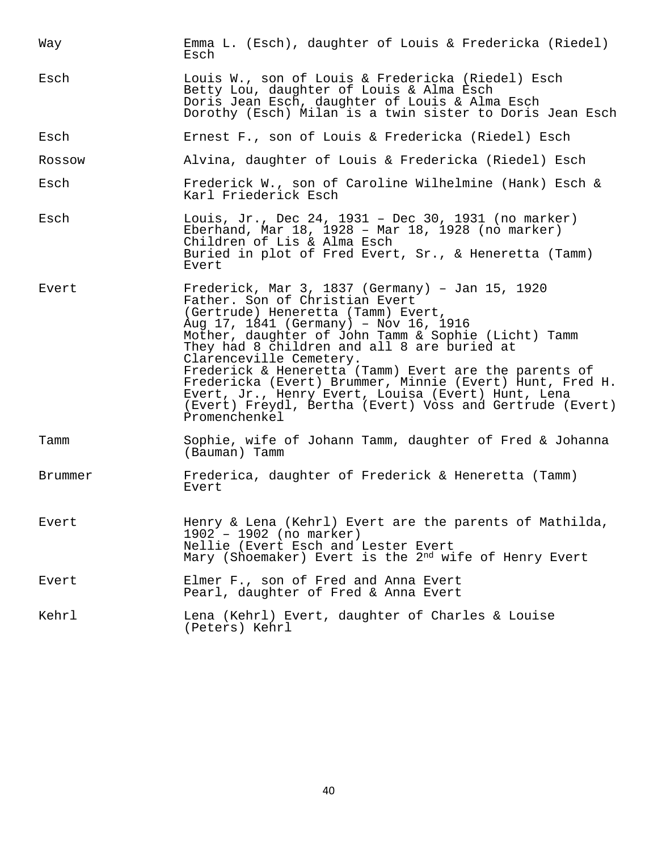| Way     | Emma L. (Esch), daughter of Louis & Fredericka (Riedel)<br>Esch                                                                                                                                                                                                                                                                                                                                                                                                                                                                                           |
|---------|-----------------------------------------------------------------------------------------------------------------------------------------------------------------------------------------------------------------------------------------------------------------------------------------------------------------------------------------------------------------------------------------------------------------------------------------------------------------------------------------------------------------------------------------------------------|
| Esch    | Louis W., son of Louis & Fredericka (Riedel) Esch<br>Betty Lou, daughter of Louis & Alma Esch<br>Doris Jean Esch, daughter of Louis & Alma Esch<br>Dorothy (Esch) Milan is a twin sister to Doris Jean Esch                                                                                                                                                                                                                                                                                                                                               |
| Esch    | Ernest F., son of Louis & Fredericka (Riedel) Esch                                                                                                                                                                                                                                                                                                                                                                                                                                                                                                        |
| Rossow  | Alvina, daughter of Louis & Fredericka (Riedel) Esch                                                                                                                                                                                                                                                                                                                                                                                                                                                                                                      |
| Esch    | Frederick W., son of Caroline Wilhelmine (Hank) Esch &<br>Karl Friederick Esch                                                                                                                                                                                                                                                                                                                                                                                                                                                                            |
| Esch    | Louis, Jr., Dec 24, 1931 - Dec 30, 1931 (no marker)<br>Eberhand, Mar $18$ , $1928 -$ Mar $18$ , $1928$ (no marker)<br>Children of Lis & Alma Esch<br>Buried in plot of Fred Evert, Sr., & Heneretta (Tamm)<br>Evert                                                                                                                                                                                                                                                                                                                                       |
| Evert   | Frederick, Mar 3, 1837 (Germany) - Jan 15, 1920<br>Father. Son of Christian Evert<br>(Gertrude) Heneretta (Tamm) Evert,<br>Aug 17, 1841 (Germany) - Nov 16, 1916<br>Mother, daughter of John Tamm & Sophie (Licht) Tamm<br>They had 8 children and all 8 are buried at<br>Clarenceville Cemetery.<br>Frederick & Heneretta (Tamm) Evert are the parents of<br>Fredericka (Evert) Brummer, Minnie (Evert) Hunt, Fred H.<br>Evert, Jr., Henry Evert, Louisa (Evert) Hunt, Lena<br>(Evert) Freydl, Bertha (Evert) Voss and Gertrude (Evert)<br>Promenchenkel |
| Tamm    | Sophie, wife of Johann Tamm, daughter of Fred & Johanna<br>(Bauman) Tamm                                                                                                                                                                                                                                                                                                                                                                                                                                                                                  |
| Brummer | Frederica, daughter of Frederick & Heneretta (Tamm)<br>Evert                                                                                                                                                                                                                                                                                                                                                                                                                                                                                              |
| Evert   | Henry & Lena (Kehrl) Evert are the parents of Mathilda,<br>$1902 - 1902$ (no marker)<br>Nellie (Evert Esch and Lester Evert<br>Mary (Shoemaker) Evert is the 2 <sup>nd</sup> wife of Henry Evert                                                                                                                                                                                                                                                                                                                                                          |
| Evert   | Elmer F., son of Fred and Anna Evert<br>Pearl, daughter of Fred & Anna Evert                                                                                                                                                                                                                                                                                                                                                                                                                                                                              |
| Kehrl   | Lena (Kehrl) Evert, daughter of Charles & Louise<br>(Peters) Kehrl                                                                                                                                                                                                                                                                                                                                                                                                                                                                                        |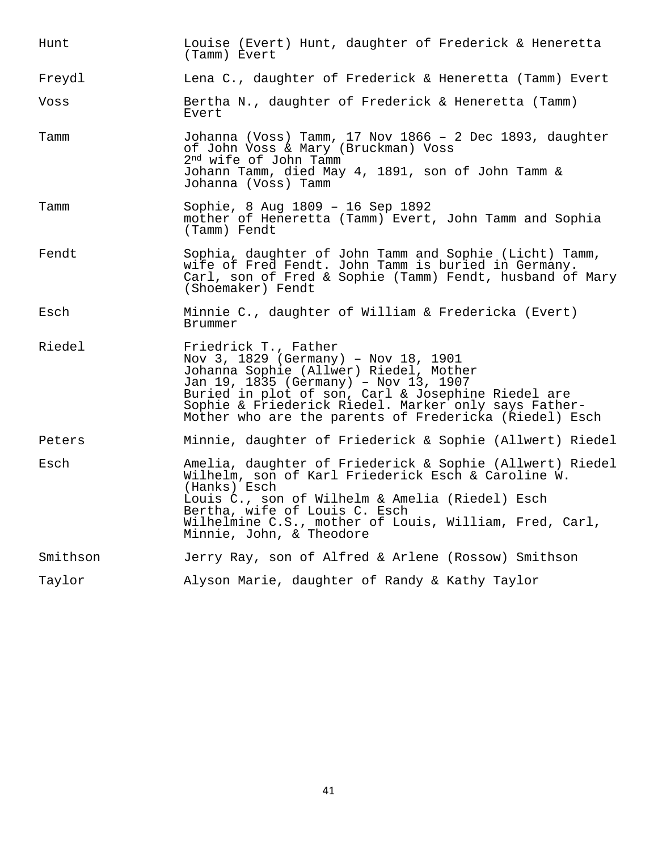| Hunt     | Louise (Evert) Hunt, daughter of Frederick & Heneretta<br>(Tamm) Evert                                                                                                                                                                                                                                                  |
|----------|-------------------------------------------------------------------------------------------------------------------------------------------------------------------------------------------------------------------------------------------------------------------------------------------------------------------------|
| Freydl   | Lena C., daughter of Frederick & Heneretta (Tamm) Evert                                                                                                                                                                                                                                                                 |
| Voss     | Bertha N., daughter of Frederick & Heneretta (Tamm)<br>Evert                                                                                                                                                                                                                                                            |
| Tamm     | Johanna (Voss) Tamm, 17 Nov 1866 - 2 Dec 1893, daughter<br>of John Voss & Mary (Bruckman) Voss<br>2 <sup>nd</sup> wife of John Tamm<br>Johann Tamm, died May 4, 1891, son of John Tamm &<br>Johanna (Voss) Tamm                                                                                                         |
| Tamm     | Sophie, 8 Aug 1809 - 16 Sep 1892<br>mother of Heneretta (Tamm) Evert, John Tamm and Sophia<br>(Tamm) Fendt                                                                                                                                                                                                              |
| Fendt    | Sophia, daughter of John Tamm and Sophie (Licht) Tamm,<br>wife of Fred Fendt. John Tamm is buried in Germany.<br>Carl, son of Fred & Sophie (Tamm) Fendt, husband of Mary<br>(Shoemaker) Fendt                                                                                                                          |
| Esch     | Minnie C., daughter of William & Fredericka (Evert)<br>Brummer                                                                                                                                                                                                                                                          |
| Riedel   | Friedrick T., Father<br>Nov 3, 1829 (Germany) - Nov 18, 1901<br>Johanna Sophie (Allwer) Riedel, Mother<br>Jan 19, 1835 (Germany) - Nov 13, 1907<br>Buried in plot of son, Carl & Josephine Riedel are<br>Sophie & Friederick Riedel. Marker only says Father-<br>Mother who are the parents of Fredericka (Riedel) Esch |
| Peters   | Minnie, daughter of Friederick & Sophie (Allwert) Riedel                                                                                                                                                                                                                                                                |
| Esch     | Amelia, daughter of Friederick & Sophie (Allwert) Riedel<br>Wilhelm, son of Karl Friederick Esch & Caroline W.<br>(Hanks) Esch<br>Louis C., son of Wilhelm & Amelia (Riedel) Esch<br>Bertha, wife of Louis C. Esch<br>Wilhelmine C.S., mother of Louis, William, Fred, Carl,<br>Minnie, John, & Theodore                |
| Smithson | Jerry Ray, son of Alfred & Arlene (Rossow) Smithson                                                                                                                                                                                                                                                                     |
| Taylor   | Alyson Marie, daughter of Randy & Kathy Taylor                                                                                                                                                                                                                                                                          |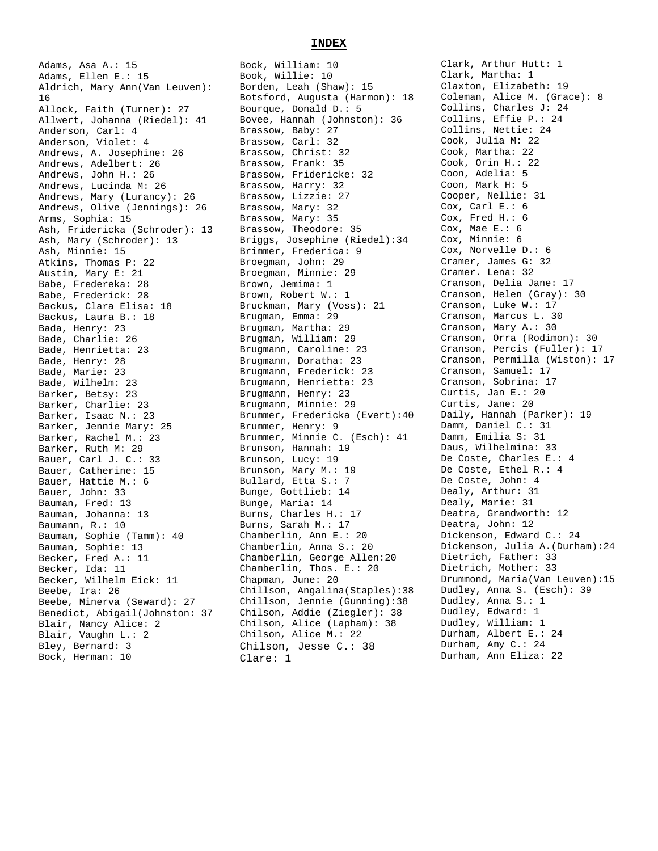Adams, Asa A.: 15 Adams, Ellen E.: 15 Aldrich, Mary Ann(Van Leuven): 16 Allock, Faith (Turner): 27 Allwert, Johanna (Riedel): 41 Anderson, Carl: 4 Anderson, Violet: 4 Andrews, A. Josephine: 26 Andrews, Adelbert: 26 Andrews, John H.: 26 Andrews, Lucinda M: 26 Andrews, Mary (Lurancy): 26 Andrews, Olive (Jennings): 26 Arms, Sophia: 15 Ash, Fridericka (Schroder): 13 Ash, Mary (Schroder): 13 Ash, Minnie: 15 Atkins, Thomas P: 22 Austin, Mary E: 21 Babe, Fredereka: 28 Babe, Frederick: 28 Backus, Clara Elisa: 18 Backus, Laura B.: 18 Bada, Henry: 23 Bade, Charlie: 26 Bade, Henrietta: 23 Bade, Henry: 28 Bade, Marie: 23 Bade, Wilhelm: 23 Barker, Betsy: 23 Barker, Charlie: 23 Barker, Isaac N.: 23 Barker, Jennie Mary: 25 Barker, Rachel M.: 23 Barker, Ruth M: 29 Bauer, Carl J. C.: 33 Bauer, Catherine: 15 Bauer, Hattie M.: 6 Bauer, John: 33 Bauman, Fred: 13 Bauman, Johanna: 13 Baumann, R.: 10 Bauman, Sophie (Tamm): 40 Bauman, Sophie: 13 Becker, Fred A.: 11 Becker, Ida: 11 Becker, Wilhelm Eick: 11 Beebe, Ira: 26 Beebe, Minerva (Seward): 27 Benedict, Abigail(Johnston: 37 Blair, Nancy Alice: 2 Blair, Vaughn L.: 2 Bley, Bernard: 3

Bock, Herman: 10

#### Bock, William: 10 Book, Willie: 10 Borden, Leah (Shaw): 15 Botsford, Augusta (Harmon): 18 Bourque, Donald D.: 5 Bovee, Hannah (Johnston): 36 Brassow, Baby: 27 Brassow, Carl: 32 Brassow, Christ: 32 Brassow, Frank: 35 Brassow, Fridericke: 32 Brassow, Harry: 32 Brassow, Lizzie: 27 Brassow, Mary: 32 Brassow, Mary: 35 Brassow, Theodore: 35 Briggs, Josephine (Riedel):34 Brimmer, Frederica: 9 Broegman, John: 29 Broegman, Minnie: 29 Brown, Jemima: 1 Brown, Robert W.: 1 Bruckman, Mary (Voss): 21 Brugman, Emma: 29 Brugman, Martha: 29 Brugman, William: 29 Brugmann, Caroline: 23 Brugmann, Doratha: 23 Brugmann, Frederick: 23 Brugmann, Henrietta: 23 Brugmann, Henry: 23 Brugmann, Minnie: 29 Brummer, Fredericka (Evert):40 Brummer, Henry: 9 Brummer, Minnie C. (Esch): 41 Brunson, Hannah: 19 Brunson, Lucy: 19 Brunson, Mary M.: 19 Bullard, Etta S.: 7 Bunge, Gottlieb: 14 Bunge, Maria: 14 Burns, Charles H.: 17 Burns, Sarah M.: 17 Chamberlin, Ann E.: 20 Chamberlin, Anna S.: 20 Chamberlin, George Allen:20 Chamberlin, Thos. E.: 20 Chapman, June: 20 Chillson, Angalina(Staples):38 Chillson, Jennie (Gunning):38 Chilson, Addie (Ziegler): 38 Chilson, Alice (Lapham): 38 Chilson, Alice M.: 22 Chilson, Jesse C.: 38 Clare: 1

Clark, Arthur Hutt: 1 Clark, Martha: 1 Claxton, Elizabeth: 19 Coleman, Alice M. (Grace): 8 Collins, Charles J: 24 Collins, Effie P.: 24 Collins, Nettie: 24 Cook, Julia M: 22 Cook, Martha: 22 Cook, Orin H.: 22 Coon, Adelia: 5 Coon, Mark H: 5 Cooper, Nellie: 31 Cox, Carl E.: 6 Cox, Fred H.: 6 Cox, Mae E.: 6 Cox, Minnie: 6 Cox, Norvelle D.: 6 Cramer, James G: 32 Cramer. Lena: 32 Cranson, Delia Jane: 17 Cranson, Helen (Gray): 30 Cranson, Luke W.: 17 Cranson, Marcus L. 30 Cranson, Mary A.: 30 Cranson, Orra (Rodimon): 30 Cranson, Percis (Fuller): 17 Cranson, Permilla (Wiston): 17 Cranson, Samuel: 17 Cranson, Sobrina: 17 Curtis, Jan E.: 20 Curtis, Jane: 20 Daily, Hannah (Parker): 19 Damm, Daniel C.: 31 Damm, Emilia S: 31 Daus, Wilhelmina: 33 De Coste, Charles E.: 4 De Coste, Ethel R.: 4 De Coste, John: 4 Dealy, Arthur: 31 Dealy, Marie: 31 Deatra, Grandworth: 12 Deatra, John: 12 Dickenson, Edward C.: 24 Dickenson, Julia A.(Durham):24 Dietrich, Father: 33 Dietrich, Mother: 33 Drummond, Maria(Van Leuven):15 Dudley, Anna S. (Esch): 39 Dudley, Anna S.: 1 Dudley, Edward: 1 Dudley, William: 1 Durham, Albert E.: 24 Durham, Amy C.: 24 Durham, Ann Eliza: 22

#### **INDEX**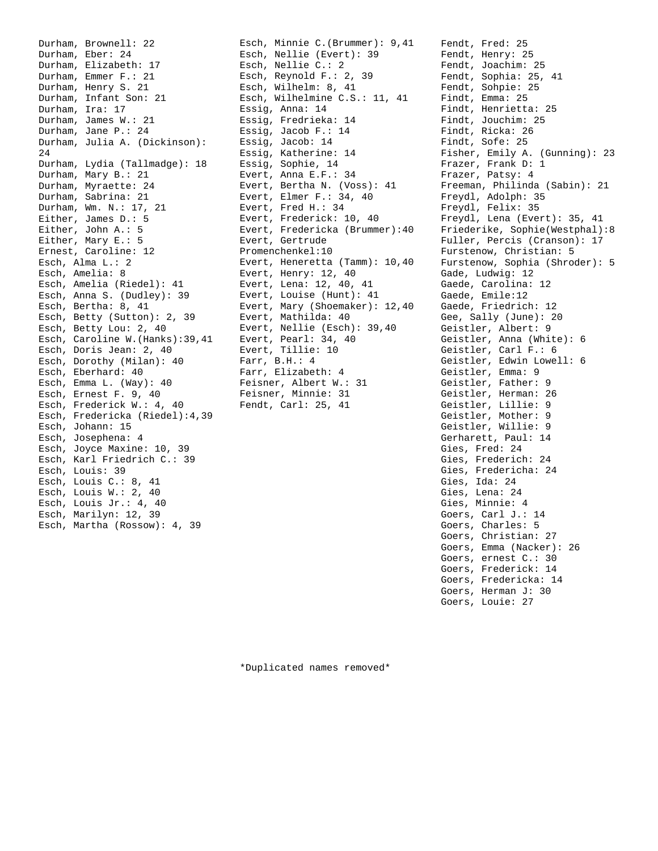Durham, Brownell: 22 Durham, Eber: 24 Durham, Elizabeth: 17 Durham, Emmer F.: 21 Durham, Henry S. 21 Durham, Infant Son: 21 Durham, Ira: 17 Durham, James W.: 21 Durham, Jane P.: 24 Durham, Julia A. (Dickinson): 24 Durham, Lydia (Tallmadge): 18 Durham, Mary B.: 21 Durham, Myraette: 24 Durham, Sabrina: 21 Durham, Wm. N.: 17, 21 Either, James D.: 5 Either, John A.: 5 Either, Mary E.: 5 Ernest, Caroline: 12 Esch, Alma L.: 2 Esch, Amelia: 8 Esch, Amelia (Riedel): 41 Esch, Anna S. (Dudley): 39 Esch, Bertha: 8, 41 Esch, Betty (Sutton): 2, 39 Esch, Betty Lou: 2, 40 Esch, Caroline W.(Hanks):39,41 Esch, Doris Jean: 2, 40 Esch, Dorothy (Milan): 40 Esch, Eberhard: 40 Esch, Emma L. (Way): 40 Esch, Ernest F. 9, 40 Esch, Frederick W.: 4, 40 Esch, Fredericka (Riedel):4,39 Esch, Johann: 15 Esch, Josephena: 4 Esch, Joyce Maxine: 10, 39 Esch, Karl Friedrich C.: 39 Esch, Louis: 39 Esch, Louis C.: 8, 41 Esch, Louis W.: 2, 40 Esch, Louis Jr.: 4, 40 Esch, Marilyn: 12, 39 Esch, Martha (Rossow): 4, 39

Esch, Minnie C.(Brummer): 9,41 Esch, Nellie (Evert): 39 Esch, Nellie C.: 2 Esch, Reynold F.: 2, 39 Esch, Wilhelm: 8, 41 Esch, Wilhelmine C.S.: 11, 41 Essig, Anna: 14 Essig, Fredrieka: 14 Essig, Jacob F.: 14 Essig, Jacob: 14 Essig, Katherine: 14 Essig, Sophie, 14 Evert, Anna E.F.: 34 Evert, Bertha N. (Voss): 41 Evert, Elmer F.: 34, 40 Evert, Fred H.: 34 Evert, Frederick: 10, 40 Evert, Fredericka (Brummer):40 Evert, Gertrude Promenchenkel:10 Evert, Heneretta (Tamm): 10,40 Evert, Henry: 12, 40 Evert, Lena: 12, 40, 41 Evert, Louise (Hunt): 41 Evert, Mary (Shoemaker): 12,40 Evert, Mathilda: 40 Evert, Nellie (Esch): 39,40 Evert, Pearl: 34, 40 Evert, Tillie: 10 Farr, B.H.: 4 Farr, Elizabeth: 4 Feisner, Albert W.: 31 Feisner, Minnie: 31 Fendt, Carl: 25, 41

Fendt, Fred: 25 Fendt, Henry: 25 Fendt, Joachim: 25 Fendt, Sophia: 25, 41 Fendt, Sohpie: 25 Findt, Emma: 25 Findt, Henrietta: 25 Findt, Jouchim: 25 Findt, Ricka: 26 Findt, Sofe: 25 Fisher, Emily A. (Gunning): 23 Frazer, Frank D: 1 Frazer, Patsy: 4 Freeman, Philinda (Sabin): 21 Freydl, Adolph: 35 Freydl, Felix: 35 Freydl, Lena (Evert): 35, 41 Friederike, Sophie(Westphal):8 Fuller, Percis (Cranson): 17 Furstenow, Christian: 5 Furstenow, Sophia (Shroder): 5 Gade, Ludwig: 12 Gaede, Carolina: 12 Gaede, Emile:12 Gaede, Friedrich: 12 Gee, Sally (June): 20 Geistler, Albert: 9 Geistler, Anna (White): 6 Geistler, Carl F.: 6 Geistler, Edwin Lowell: 6 Geistler, Emma: 9 Geistler, Father: 9 Geistler, Herman: 26 Geistler, Lillie: 9 Geistler, Mother: 9 Geistler, Willie: 9 Gerharett, Paul: 14 Gies, Fred: 24 Gies, Frederich: 24 Gies, Fredericha: 24 Gies, Ida: 24 Gies, Lena: 24 Gies, Minnie: 4 Goers, Carl J.: 14 Goers, Charles: 5 Goers, Christian: 27 Goers, Emma (Nacker): 26 Goers, ernest C.: 30 Goers, Frederick: 14 Goers, Fredericka: 14 Goers, Herman J: 30 Goers, Louie: 27

\*Duplicated names removed\*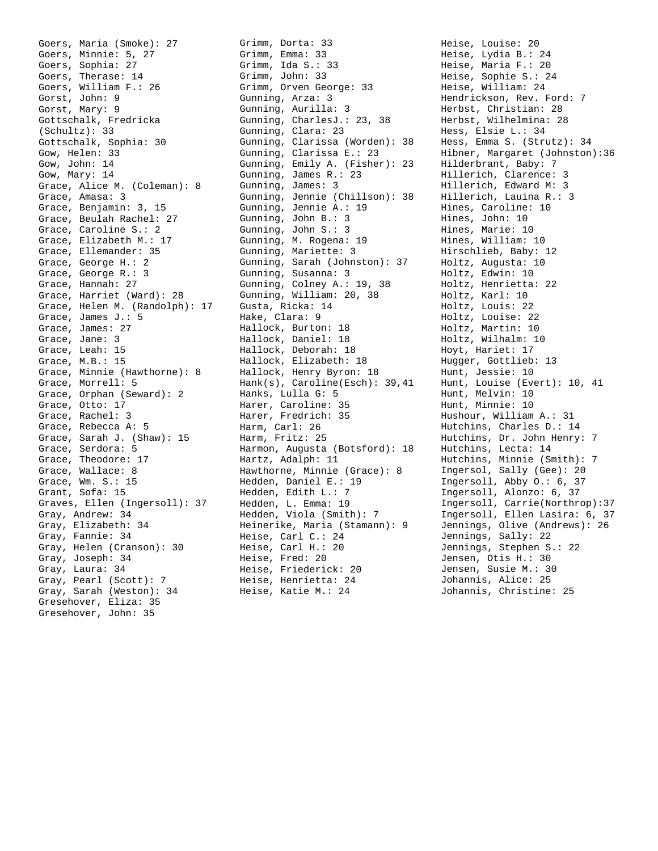Goers, Maria (Smoke): 27 Goers, Minnie: 5, 27 Goers, Sophia: 27 Goers, Therase: 14 Goers, William F.: 26 Gorst, John: 9 Gorst, Mary: 9 Gottschalk, Fredricka (Schultz): 33 Gottschalk, Sophia: 30 Gow, Helen: 33 Gow, John: 14 Gow, Mary: 14 Grace, Alice M. (Coleman): 8 Grace, Amasa: 3 Grace, Benjamin: 3, 15 Grace, Beulah Rachel: 27 Grace, Caroline S.: 2 Grace, Elizabeth M.: 17 Grace, Ellemander: 35 Grace, George H.: 2 Grace, George R.: 3 Grace, Hannah: 27 Grace, Harriet (Ward): 28 Grace, Helen M. (Randolph): 17 Grace, James J.: 5 Grace, James: 27 Grace, Jane: 3 Grace, Leah: 15 Grace, M.B.: 15 Grace, Minnie (Hawthorne): 8 Grace, Morrell: 5 Grace, Orphan (Seward): 2 Grace, Otto: 17 Grace, Rachel: 3 Grace, Rebecca A: 5 Grace, Sarah J. (Shaw): 15 Grace, Serdora: 5 Grace, Theodore: 17 Grace, Wallace: 8 Grace, Wm. S.: 15 Grant, Sofa: 15 Graves, Ellen (Ingersoll): 37 Gray, Andrew: 34 Gray, Elizabeth: 34 Gray, Fannie: 34 Gray, Helen (Cranson): 30 Gray, Joseph: 34 Gray, Laura: 34 Gray, Pearl (Scott): 7 Gray, Sarah (Weston): 34 Gresehover, Eliza: 35 Gresehover, John: 35

Grimm, Dorta: 33 Grimm, Emma: 33 Grimm, Ida S.: 33 Grimm, John: 33 Grimm, Orven George: 33 Gunning, Arza: 3 Gunning, Aurilla: 3 Gunning, CharlesJ.: 23, 38 Gunning, Clara: 23 Gunning, Clarissa (Worden): 38 Gunning, Clarissa E.: 23 Gunning, Emily A. (Fisher): 23 Gunning, James R.: 23 Gunning, James: 3 Gunning, Jennie (Chillson): 38 Gunning, Jennie A.: 19 Gunning, John B.: 3 Gunning, John S.: 3 Gunning, M. Rogena: 19 Gunning, Mariette: 3 Gunning, Sarah (Johnston): 37 Gunning, Susanna: 3 Gunning, Colney A.: 19, 38 Gunning, William: 20, 38 Gusta, Ricka: 14 Hake, Clara: 9 Hallock, Burton: 18 Hallock, Daniel: 18 Hallock, Deborah: 18 Hallock, Elizabeth: 18 Hallock, Henry Byron: 18 Hank(s), Caroline(Esch): 39,41 Hanks, Lulla G: 5 Harer, Caroline: 35 Harer, Fredrich: 35 Harm, Carl: 26 Harm, Fritz: 25 Harmon, Augusta (Botsford): 18 Hartz, Adalph: 11 Hawthorne, Minnie (Grace): 8 Hedden, Daniel E.: 19 Hedden, Edith L.: 7 Hedden, L. Emma: 19 Hedden, Viola (Smith): 7 Heinerike, Maria (Stamann): 9 Heise, Carl C.: 24 Heise, Carl H.: 20 Heise, Fred: 20 Heise, Friederick: 20 Heise, Henrietta: 24 Heise, Katie M.: 24

Heise, Louise: 20 Heise, Lydia B.: 24 Heise, Maria F.: 20 Heise, Sophie S.: 24 Heise, William: 24 Hendrickson, Rev. Ford: 7 Herbst, Christian: 28 Herbst, Wilhelmina: 28 Hess, Elsie L.: 34 Hess, Emma S. (Strutz): 34 Hibner, Margaret (Johnston):36 Hilderbrant, Baby: 7 Hillerich, Clarence: 3 Hillerich, Edward M: 3 Hillerich, Lauina R.: 3 Hines, Caroline: 10 Hines, John: 10 Hines, Marie: 10 Hines, William: 10 Hirschlieb, Baby: 12 Holtz, Augusta: 10 Holtz, Edwin: 10 Holtz, Henrietta: 22 Holtz, Karl: 10 Holtz, Louis: 22 Holtz, Louise: 22 Holtz, Martin: 10 Holtz, Wilhalm: 10 Hoyt, Hariet: 17 Hugger, Gottlieb: 13 Hunt, Jessie: 10 Hunt, Louise (Evert): 10, 41 Hunt, Melvin: 10 Hunt, Minnie: 10 Hushour, William A.: 31 Hutchins, Charles D.: 14 Hutchins, Dr. John Henry: 7 Hutchins, Lecta: 14 Hutchins, Minnie (Smith): 7 Ingersol, Sally (Gee): 20 Ingersoll, Abby O.: 6, 37 Ingersoll, Alonzo: 6, 37 Ingersoll, Carrie(Northrop):37 Ingersoll, Ellen Lasira: 6, 37 Jennings, Olive (Andrews): 26 Jennings, Sally: 22 Jennings, Stephen S.: 22 Jensen, Otis H.: 30 Jensen, Susie M.: 30 Johannis, Alice: 25 Johannis, Christine: 25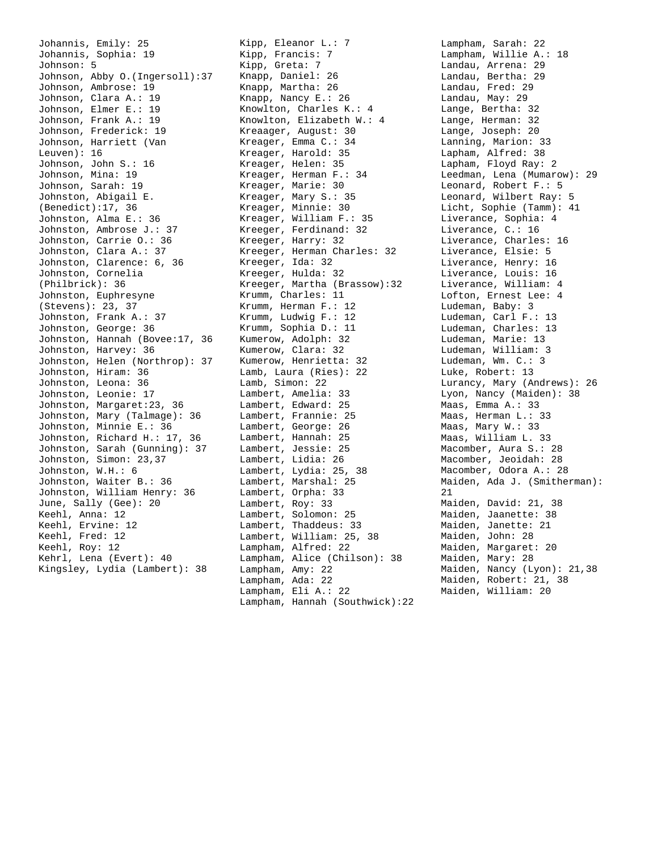Johannis, Emily: 25 Johannis, Sophia: 19 Johnson: 5 Johnson, Abby O.(Ingersoll):37 Johnson, Ambrose: 19 Johnson, Clara A.: 19 Johnson, Elmer E.: 19 Johnson, Frank A.: 19 Johnson, Frederick: 19 Johnson, Harriett (Van Leuven): 16 Johnson, John S.: 16 Johnson, Mina: 19 Johnson, Sarah: 19 Johnston, Abigail E. (Benedict):17, 36 Johnston, Alma E.: 36 Johnston, Ambrose J.: 37 Johnston, Carrie O.: 36 Johnston, Clara A.: 37 Johnston, Clarence: 6, 36 Johnston, Cornelia (Philbrick): 36 Johnston, Euphresyne (Stevens): 23, 37 Johnston, Frank A.: 37 Johnston, George: 36 Johnston, Hannah (Bovee:17, 36 Johnston, Harvey: 36 Johnston, Helen (Northrop): 37 Johnston, Hiram: 36 Johnston, Leona: 36 Johnston, Leonie: 17 Johnston, Margaret:23, 36 Johnston, Mary (Talmage): 36 Johnston, Minnie E.: 36 Johnston, Richard H.: 17, 36 Johnston, Sarah (Gunning): 37 Johnston, Simon: 23,37 Johnston, W.H.: 6 Johnston, Waiter B.: 36 Johnston, William Henry: 36 June, Sally (Gee): 20 Keehl, Anna: 12 Keehl, Ervine: 12 Keehl, Fred: 12 Keehl, Roy: 12 Kehrl, Lena (Evert): 40 Kingsley, Lydia (Lambert): 38

Kipp, Eleanor L.: 7 Kipp, Francis: 7 Kipp, Greta: 7 Knapp, Daniel: 26 Knapp, Martha: 26 Knapp, Nancy E.: 26 Knowlton, Charles K.: 4 Knowlton, Elizabeth W.: 4 Kreaager, August: 30 Kreager, Emma C.: 34 Kreager, Harold: 35 Kreager, Helen: 35 Kreager, Herman F.: 34 Kreager, Marie: 30 Kreager, Mary S.: 35 Kreager, Minnie: 30 Kreager, William F.: 35 Kreeger, Ferdinand: 32 Kreeger, Harry: 32 Kreeger, Herman Charles: 32 Kreeger, Ida: 32 Kreeger, Hulda: 32 Kreeger, Martha (Brassow):32 Krumm, Charles: 11 Krumm, Herman F.: 12 Krumm, Ludwig F.: 12 Krumm, Sophia D.: 11 Kumerow, Adolph: 32 Kumerow, Clara: 32 Kumerow, Henrietta: 32 Lamb, Laura (Ries): 22 Lamb, Simon: 22 Lambert, Amelia: 33 Lambert, Edward: 25 Lambert, Frannie: 25 Lambert, George: 26 Lambert, Hannah: 25 Lambert, Jessie: 25 Lambert, Lidia: 26 Lambert, Lydia: 25, 38 Lambert, Marshal: 25 Lambert, Orpha: 33 Lambert, Roy: 33 Lambert, Solomon: 25 Lambert, Thaddeus: 33 Lambert, William: 25, 38 Lampham, Alfred: 22 Lampham, Alice (Chilson): 38 Lampham, Amy: 22 Lampham, Ada: 22 Lampham, Eli A.: 22 Lampham, Hannah (Southwick):22 Lampham, Sarah: 22 Lampham, Willie A.: 18 Landau, Arrena: 29 Landau, Bertha: 29 Landau, Fred: 29 Landau, May: 29 Lange, Bertha: 32 Lange, Herman: 32 Lange, Joseph: 20 Lanning, Marion: 33 Lapham, Alfred: 38 Lapham, Floyd Ray: 2 Leedman, Lena (Mumarow): 29 Leonard, Robert F.: 5 Leonard, Wilbert Ray: 5 Licht, Sophie (Tamm): 41 Liverance, Sophia: 4 Liverance, C.: 16 Liverance, Charles: 16 Liverance, Elsie: 5 Liverance, Henry: 16 Liverance, Louis: 16 Liverance, William: 4 Lofton, Ernest Lee: 4 Ludeman, Baby: 3 Ludeman, Carl F.: 13 Ludeman, Charles: 13 Ludeman, Marie: 13 Ludeman, William: 3 Ludeman, Wm. C.: 3 Luke, Robert: 13 Lurancy, Mary (Andrews): 26 Lyon, Nancy (Maiden): 38 Maas, Emma A.: 33 Maas, Herman L.: 33 Maas, Mary W.: 33 Maas, William L. 33 Macomber, Aura S.: 28 Macomber, Jeoidah: 28 Macomber, Odora A.: 28 Maiden, Ada J. (Smitherman): 21 Maiden, David: 21, 38 Maiden, Jaanette: 38 Maiden, Janette: 21 Maiden, John: 28 Maiden, Margaret: 20 Maiden, Mary: 28 Maiden, Nancy (Lyon): 21,38 Maiden, Robert: 21, 38 Maiden, William: 20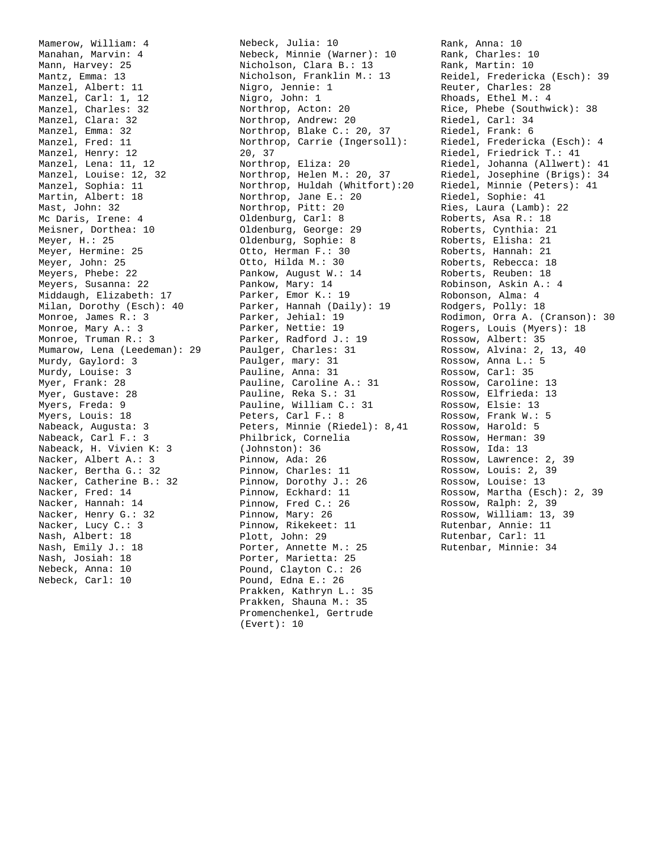Mamerow, William: 4 Manahan, Marvin: 4 Mann, Harvey: 25 Mantz, Emma: 13 Manzel, Albert: 11 Manzel, Carl: 1, 12 Manzel, Charles: 32 Manzel, Clara: 32 Manzel, Emma: 32 Manzel, Fred: 11 Manzel, Henry: 12 Manzel, Lena: 11, 12 Manzel, Louise: 12, 32 Manzel, Sophia: 11 Martin, Albert: 18 Mast, John: 32 Mc Daris, Irene: 4 Meisner, Dorthea: 10 Meyer, H.: 25 Meyer, Hermine: 25 Meyer, John: 25 Meyers, Phebe: 22 Meyers, Susanna: 22 Middaugh, Elizabeth: 17 Milan, Dorothy (Esch): 40 Monroe, James R.: 3 Monroe, Mary A.: 3 Monroe, Truman R.: 3 Mumarow, Lena (Leedeman): 29 Murdy, Gaylord: 3 Murdy, Louise: 3 Myer, Frank: 28 Myer, Gustave: 28 Myers, Freda: 9 Myers, Louis: 18 Nabeack, Augusta: 3 Nabeack, Carl F.: 3 Nabeack, H. Vivien K: 3 Nacker, Albert A.: 3 Nacker, Bertha G.: 32 Nacker, Catherine B.: 32 Nacker, Fred: 14 Nacker, Hannah: 14 Nacker, Henry G.: 32 Nacker, Lucy C.: 3 Nash, Albert: 18 Nash, Emily J.: 18 Nash, Josiah: 18 Nebeck, Anna: 10 Nebeck, Carl: 10

Nebeck, Julia: 10 Nebeck, Minnie (Warner): 10 Nicholson, Clara B.: 13 Nicholson, Franklin M.: 13 Nigro, Jennie: 1 Nigro, John: 1 Northrop, Acton: 20 Northrop, Andrew: 20 Northrop, Blake C.: 20, 37 Northrop, Carrie (Ingersoll): 20, 37 Northrop, Eliza: 20 Northrop, Helen M.: 20, 37 Northrop, Huldah (Whitfort):20 Northrop, Jane E.: 20 Northrop, Pitt: 20 Oldenburg, Carl: 8 Oldenburg, George: 29 Oldenburg, Sophie: 8 Otto, Herman F.: 30 Otto, Hilda M.: 30 Pankow, August W.: 14 Pankow, Mary: 14 Parker, Emor K.: 19 Parker, Hannah (Daily): 19 Parker, Jehial: 19 Parker, Nettie: 19 Parker, Radford J.: 19 Paulger, Charles: 31 Paulger, mary: 31 Pauline, Anna: 31 Pauline, Caroline A.: 31 Pauline, Reka S.: 31 Pauline, William C.: 31 Peters, Carl F.: 8 Peters, Minnie (Riedel): 8,41 Philbrick, Cornelia (Johnston): 36 Pinnow, Ada: 26 Pinnow, Charles: 11 Pinnow, Dorothy J.: 26 Pinnow, Eckhard: 11 Pinnow, Fred C.: 26 Pinnow, Mary: 26 Pinnow, Rikekeet: 11 Plott, John: 29 Porter, Annette M.: 25 Porter, Marietta: 25 Pound, Clayton C.: 26 Pound, Edna E.: 26 Prakken, Kathryn L.: 35 Prakken, Shauna M.: 35 Promenchenkel, Gertrude (Evert): 10

Rank, Anna: 10 Rank, Charles: 10 Rank, Martin: 10 Reidel, Fredericka (Esch): 39 Reuter, Charles: 28 Rhoads, Ethel M.: 4 Rice, Phebe (Southwick): 38 Riedel, Carl: 34 Riedel, Frank: 6 Riedel, Fredericka (Esch): 4 Riedel, Friedrick T.: 41 Riedel, Johanna (Allwert): 41 Riedel, Josephine (Brigs): 34 Riedel, Minnie (Peters): 41 Riedel, Sophie: 41 Ries, Laura (Lamb): 22 Roberts, Asa R.: 18 Roberts, Cynthia: 21 Roberts, Elisha: 21 Roberts, Hannah: 21 Roberts, Rebecca: 18 Roberts, Reuben: 18 Robinson, Askin A.: 4 Robonson, Alma: 4 Rodgers, Polly: 18 Rodimon, Orra A. (Cranson): 30 Rogers, Louis (Myers): 18 Rossow, Albert: 35 Rossow, Alvina: 2, 13, 40 Rossow, Anna L.: 5 Rossow, Carl: 35 Rossow, Caroline: 13 Rossow, Elfrieda: 13 Rossow, Elsie: 13 Rossow, Frank W.: 5 Rossow, Harold: 5 Rossow, Herman: 39 Rossow, Ida: 13 Rossow, Lawrence: 2, 39 Rossow, Louis: 2, 39 Rossow, Louise: 13 Rossow, Martha (Esch): 2, 39 Rossow, Ralph: 2, 39 Rossow, William: 13, 39 Rutenbar, Annie: 11 Rutenbar, Carl: 11

Rutenbar, Minnie: 34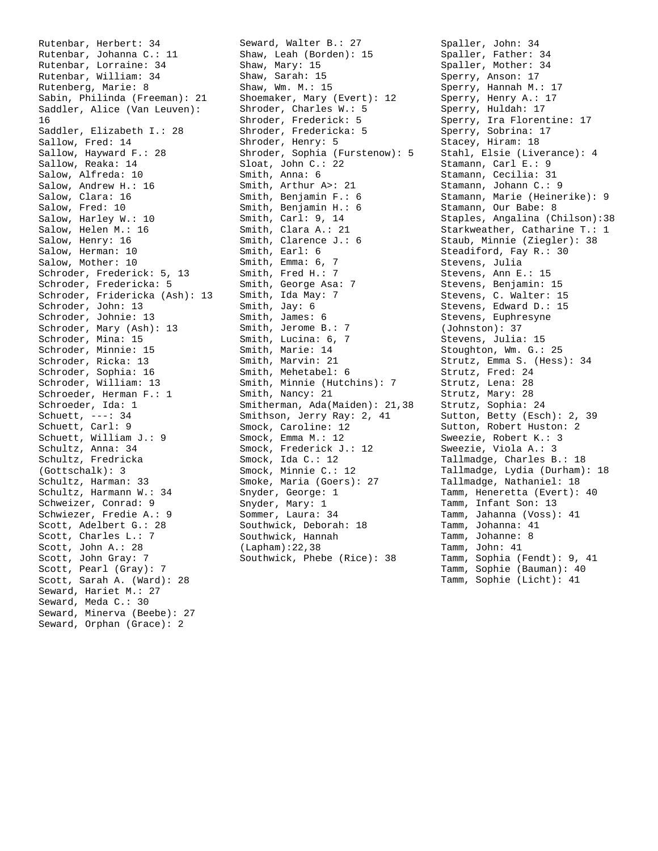Rutenbar, Herbert: 34 Rutenbar, Johanna C.: 11 Rutenbar, Lorraine: 34 Rutenbar, William: 34 Rutenberg, Marie: 8 Sabin, Philinda (Freeman): 21 Saddler, Alice (Van Leuven): 16 Saddler, Elizabeth I.: 28 Sallow, Fred: 14 Sallow, Hayward F.: 28 Sallow, Reaka: 14 Salow, Alfreda: 10 Salow, Andrew H.: 16 Salow, Clara: 16 Salow, Fred: 10 Salow, Harley W.: 10 Salow, Helen M.: 16 Salow, Henry: 16 Salow, Herman: 10 Salow, Mother: 10 Schroder, Frederick: 5, 13 Schroder, Fredericka: 5 Schroder, Fridericka (Ash): 13 Schroder, John: 13 Schroder, Johnie: 13 Schroder, Mary (Ash): 13 Schroder, Mina: 15 Schroder, Minnie: 15 Schroder, Ricka: 13 Schroder, Sophia: 16 Schroder, William: 13 Schroeder, Herman F.: 1 Schroeder, Ida: 1 Schuett, ---: 34 Schuett, Carl: 9 Schuett, William J.: 9 Schultz, Anna: 34 Schultz, Fredricka (Gottschalk): 3 Schultz, Harman: 33 Schultz, Harmann W.: 34 Schweizer, Conrad: 9 Schwiezer, Fredie A.: 9 Scott, Adelbert G.: 28 Scott, Charles L.: 7 Scott, John A.: 28 Scott, John Gray: 7 Scott, Pearl (Gray): 7 Scott, Sarah A. (Ward): 28 Seward, Hariet M.: 27 Seward, Meda C.: 30 Seward, Minerva (Beebe): 27 Seward, Orphan (Grace): 2

Seward, Walter B.: 27 Shaw, Leah (Borden): 15 Shaw, Mary: 15 Shaw, Sarah: 15 Shaw, Wm. M.: 15 Shoemaker, Mary (Evert): 12 Shroder, Charles W.: 5 Shroder, Frederick: 5 Shroder, Fredericka: 5 Shroder, Henry: 5 Shroder, Sophia (Furstenow): 5 Sloat, John C.: 22 Smith, Anna: 6 Smith, Arthur A>: 21 Smith, Benjamin F.: 6 Smith, Benjamin H.: 6 Smith, Carl: 9, 14 Smith, Clara A.: 21 Smith, Clarence J.: 6 Smith, Earl: 6 Smith, Emma: 6, 7 Smith, Fred H.: 7 Smith, George Asa: 7 Smith, Ida May: 7 Smith, Jay: 6 Smith, James: 6 Smith, Jerome B.: 7 Smith, Lucina: 6, 7 Smith, Marie: 14 Smith, Marvin: 21 Smith, Mehetabel: 6 Smith, Minnie (Hutchins): 7 Smith, Nancy: 21 Smitherman, Ada(Maiden): 21,38 Smithson, Jerry Ray: 2, 41 Smock, Caroline: 12 Smock, Emma M.: 12 Smock, Frederick J.: 12 Smock, Ida C.: 12 Smock, Minnie C.: 12 Smoke, Maria (Goers): 27 Snyder, George: 1 Snyder, Mary: 1 Sommer, Laura: 34 Southwick, Deborah: 18 Southwick, Hannah (Lapham):22,38 Southwick, Phebe (Rice): 38

Spaller, John: 34 Spaller, Father: 34 Spaller, Mother: 34 Sperry, Anson: 17 Sperry, Hannah M.: 17 Sperry, Henry A.: 17 Sperry, Huldah: 17 Sperry, Ira Florentine: 17 Sperry, Sobrina: 17 Stacey, Hiram: 18 Stahl, Elsie (Liverance): 4 Stamann, Carl E.: 9 Stamann, Cecilia: 31 Stamann, Johann C.: 9 Stamann, Marie (Heinerike): 9 Stamann, Our Babe: 8 Staples, Angalina (Chilson):38 Starkweather, Catharine T.: 1 Staub, Minnie (Ziegler): 38 Steadiford, Fay R.: 30 Stevens, Julia Stevens, Ann E.: 15 Stevens, Benjamin: 15 Stevens, C. Walter: 15 Stevens, Edward D.: 15 Stevens, Euphresyne (Johnston): 37 Stevens, Julia: 15 Stoughton, Wm. G.: 25 Strutz, Emma S. (Hess): 34 Strutz, Fred: 24 Strutz, Lena: 28 Strutz, Mary: 28 Strutz, Sophia: 24 Sutton, Betty (Esch): 2, 39 Sutton, Robert Huston: 2 Sweezie, Robert K.: 3 Sweezie, Viola A.: 3 Tallmadge, Charles B.: 18 Tallmadge, Lydia (Durham): 18 Tallmadge, Nathaniel: 18 Tamm, Heneretta (Evert): 40 Tamm, Infant Son: 13 Tamm, Jahanna (Voss): 41 Tamm, Johanna: 41 Tamm, Johanne: 8 Tamm, John: 41 Tamm, Sophia (Fendt): 9, 41 Tamm, Sophie (Bauman): 40

Tamm, Sophie (Licht): 41